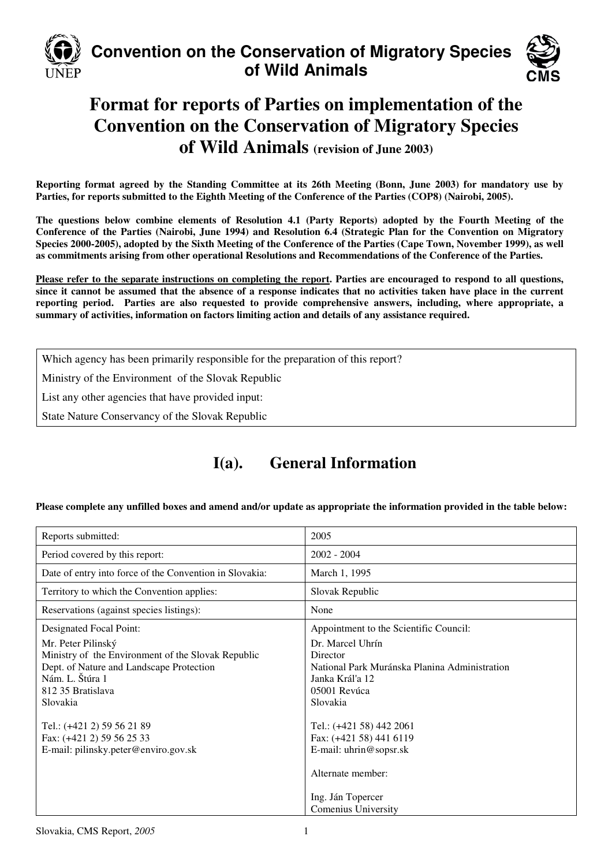

## **Convention on the Conservation of Migratory Species of Wild Animals**



# **Format for reports of Parties on implementation of the Convention on the Conservation of Migratory Species of Wild Animals (revision of June 2003)**

**Reporting format agreed by the Standing Committee at its 26th Meeting (Bonn, June 2003) for mandatory use by Parties, for reports submitted to the Eighth Meeting of the Conference of the Parties (COP8) (Nairobi, 2005).** 

**The questions below combine elements of Resolution 4.1 (Party Reports) adopted by the Fourth Meeting of the Conference of the Parties (Nairobi, June 1994) and Resolution 6.4 (Strategic Plan for the Convention on Migratory Species 2000-2005), adopted by the Sixth Meeting of the Conference of the Parties (Cape Town, November 1999), as well as commitments arising from other operational Resolutions and Recommendations of the Conference of the Parties.** 

**Please refer to the separate instructions on completing the report. Parties are encouraged to respond to all questions, since it cannot be assumed that the absence of a response indicates that no activities taken have place in the current reporting period. Parties are also requested to provide comprehensive answers, including, where appropriate, a summary of activities, information on factors limiting action and details of any assistance required.**

Which agency has been primarily responsible for the preparation of this report?

Ministry of the Environment of the Slovak Republic

List any other agencies that have provided input:

State Nature Conservancy of the Slovak Republic

## **I(a). General Information**

**Please complete any unfilled boxes and amend and/or update as appropriate the information provided in the table below:** 

| Reports submitted:                                                                                                                                                       | 2005                                                                                                                        |
|--------------------------------------------------------------------------------------------------------------------------------------------------------------------------|-----------------------------------------------------------------------------------------------------------------------------|
| Period covered by this report:                                                                                                                                           | $2002 - 2004$                                                                                                               |
| Date of entry into force of the Convention in Slovakia:                                                                                                                  | March 1, 1995                                                                                                               |
| Territory to which the Convention applies:                                                                                                                               | Slovak Republic                                                                                                             |
| Reservations (against species listings):                                                                                                                                 | None                                                                                                                        |
| Designated Focal Point:                                                                                                                                                  | Appointment to the Scientific Council:                                                                                      |
| Mr. Peter Pilinský<br>Ministry of the Environment of the Slovak Republic<br>Dept. of Nature and Landscape Protection<br>Nám. L. Štúra 1<br>812 35 Bratislava<br>Slovakia | Dr. Marcel Uhrín<br>Director<br>National Park Muránska Planina Administration<br>Janka Kráľa 12<br>05001 Revúca<br>Slovakia |
| Tel.: (+421 2) 59 56 21 89<br>Fax: (+421 2) 59 56 25 33<br>E-mail: pilinsky.peter@enviro.gov.sk                                                                          | Tel.: (+421 58) 442 2061<br>Fax: (+421 58) 441 6119<br>E-mail: uhrin@sopsr.sk<br>Alternate member:                          |
|                                                                                                                                                                          | Ing. Ján Topercer<br>Comenius University                                                                                    |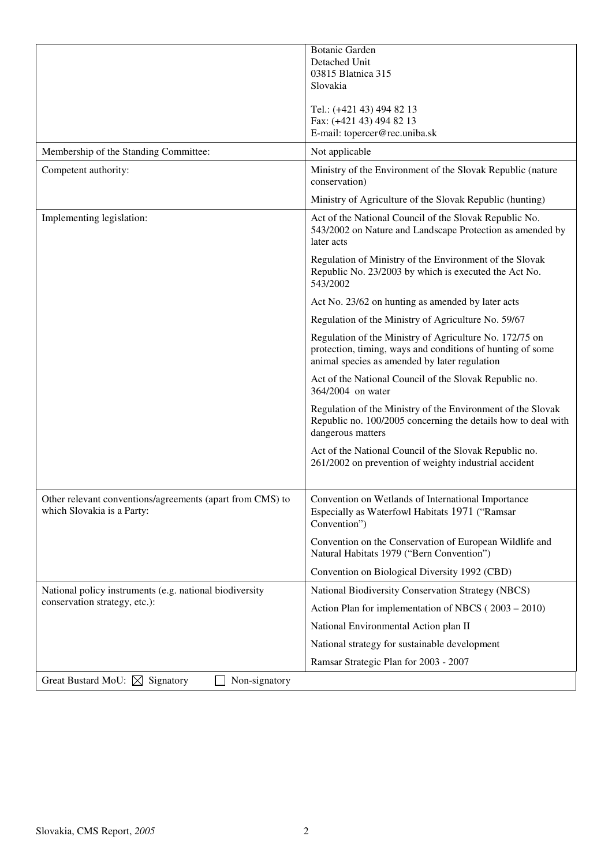|                                                                                         | <b>Botanic Garden</b>                                                                                                                                                  |
|-----------------------------------------------------------------------------------------|------------------------------------------------------------------------------------------------------------------------------------------------------------------------|
|                                                                                         | Detached Unit                                                                                                                                                          |
|                                                                                         | 03815 Blatnica 315                                                                                                                                                     |
|                                                                                         | Slovakia                                                                                                                                                               |
|                                                                                         | Tel.: (+421 43) 494 82 13                                                                                                                                              |
|                                                                                         | Fax: (+421 43) 494 82 13                                                                                                                                               |
|                                                                                         | E-mail: topercer@rec.uniba.sk                                                                                                                                          |
| Membership of the Standing Committee:                                                   | Not applicable                                                                                                                                                         |
| Competent authority:                                                                    | Ministry of the Environment of the Slovak Republic (nature<br>conservation)                                                                                            |
|                                                                                         | Ministry of Agriculture of the Slovak Republic (hunting)                                                                                                               |
| Implementing legislation:                                                               | Act of the National Council of the Slovak Republic No.<br>543/2002 on Nature and Landscape Protection as amended by<br>later acts                                      |
|                                                                                         | Regulation of Ministry of the Environment of the Slovak<br>Republic No. 23/2003 by which is executed the Act No.<br>543/2002                                           |
|                                                                                         | Act No. 23/62 on hunting as amended by later acts                                                                                                                      |
|                                                                                         | Regulation of the Ministry of Agriculture No. 59/67                                                                                                                    |
|                                                                                         | Regulation of the Ministry of Agriculture No. 172/75 on<br>protection, timing, ways and conditions of hunting of some<br>animal species as amended by later regulation |
|                                                                                         | Act of the National Council of the Slovak Republic no.<br>364/2004 on water                                                                                            |
|                                                                                         | Regulation of the Ministry of the Environment of the Slovak<br>Republic no. 100/2005 concerning the details how to deal with<br>dangerous matters                      |
|                                                                                         | Act of the National Council of the Slovak Republic no.<br>261/2002 on prevention of weighty industrial accident                                                        |
|                                                                                         |                                                                                                                                                                        |
| Other relevant conventions/agreements (apart from CMS) to<br>which Slovakia is a Party: | Convention on Wetlands of International Importance<br>Especially as Waterfowl Habitats 1971 ("Ramsar<br>Convention")                                                   |
|                                                                                         | Convention on the Conservation of European Wildlife and<br>Natural Habitats 1979 ("Bern Convention")                                                                   |
|                                                                                         | Convention on Biological Diversity 1992 (CBD)                                                                                                                          |
| National policy instruments (e.g. national biodiversity                                 | National Biodiversity Conservation Strategy (NBCS)                                                                                                                     |
| conservation strategy, etc.):                                                           | Action Plan for implementation of NBCS (2003 - 2010)                                                                                                                   |
|                                                                                         | National Environmental Action plan II                                                                                                                                  |
|                                                                                         | National strategy for sustainable development                                                                                                                          |
|                                                                                         | Ramsar Strategic Plan for 2003 - 2007                                                                                                                                  |
| Great Bustard MoU: $\boxtimes$ Signatory<br>Non-signatory                               |                                                                                                                                                                        |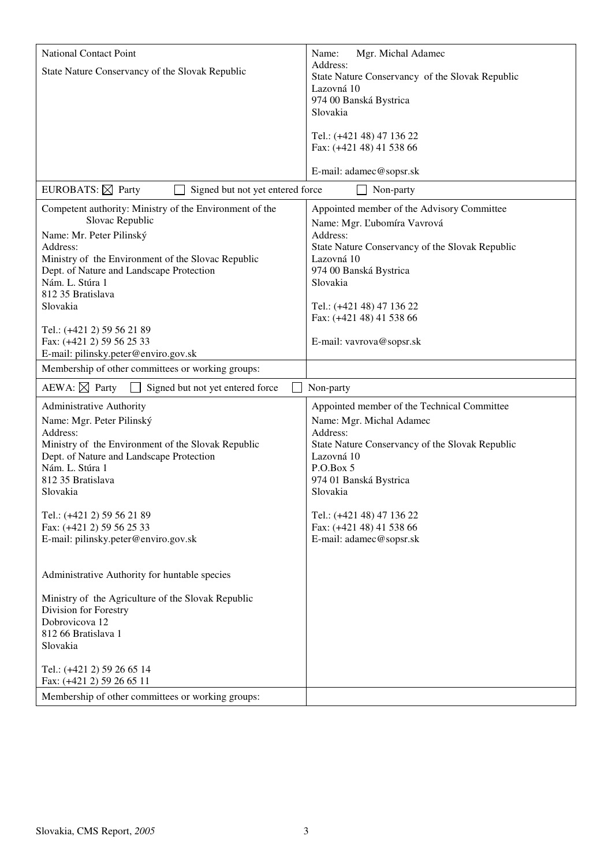| <b>National Contact Point</b>                                                                  | Mgr. Michal Adamec<br>Name:<br>Address:                     |
|------------------------------------------------------------------------------------------------|-------------------------------------------------------------|
| State Nature Conservancy of the Slovak Republic                                                | State Nature Conservancy of the Slovak Republic             |
|                                                                                                | Lazovná 10<br>974 00 Banská Bystrica                        |
|                                                                                                | Slovakia                                                    |
|                                                                                                | Tel.: (+421 48) 47 136 22<br>Fax: (+421 48) 41 538 66       |
|                                                                                                | E-mail: adamec@sopsr.sk                                     |
| EUROBATS: $\boxtimes$ Party<br>Signed but not yet entered force                                | Non-party                                                   |
| Competent authority: Ministry of the Environment of the                                        | Appointed member of the Advisory Committee                  |
| Slovac Republic                                                                                | Name: Mgr. Ľubomíra Vavrová                                 |
| Name: Mr. Peter Pilinský<br>Address:                                                           | Address:<br>State Nature Conservancy of the Slovak Republic |
| Ministry of the Environment of the Slovac Republic<br>Dept. of Nature and Landscape Protection | Lazovná 10                                                  |
| Nám. L. Stúra 1                                                                                | 974 00 Banská Bystrica<br>Slovakia                          |
| 812 35 Bratislava<br>Slovakia                                                                  | Tel.: (+421 48) 47 136 22                                   |
|                                                                                                | Fax: (+421 48) 41 538 66                                    |
| Tel.: (+421 2) 59 56 21 89<br>Fax: (+421 2) 59 56 25 33                                        | E-mail: vavrova@sopsr.sk                                    |
| E-mail: pilinsky.peter@enviro.gov.sk                                                           |                                                             |
| Membership of other committees or working groups:                                              |                                                             |
| AEWA: $\boxtimes$ Party<br>Signed but not yet entered force                                    | Non-party                                                   |
| Administrative Authority                                                                       | Appointed member of the Technical Committee                 |
| Name: Mgr. Peter Pilinský<br>Address:                                                          | Name: Mgr. Michal Adamec<br>Address:                        |
| Ministry of the Environment of the Slovak Republic                                             | State Nature Conservancy of the Slovak Republic             |
| Dept. of Nature and Landscape Protection<br>Nám. L. Stúra 1                                    | Lazovná 10<br>P.O.Box 5                                     |
| 812 35 Bratislava                                                                              | 974 01 Banská Bystrica                                      |
| Slovakia                                                                                       | Slovakia                                                    |
| Tel.: (+421 2) 59 56 21 89                                                                     | Tel.: (+421 48) 47 136 22                                   |
| Fax: (+421 2) 59 56 25 33<br>E-mail: pilinsky.peter@enviro.gov.sk                              | Fax: (+421 48) 41 538 66<br>E-mail: adamec@sopsr.sk         |
|                                                                                                |                                                             |
| Administrative Authority for huntable species                                                  |                                                             |
| Ministry of the Agriculture of the Slovak Republic                                             |                                                             |
| Division for Forestry                                                                          |                                                             |
| Dobrovicova 12<br>812 66 Bratislava 1                                                          |                                                             |
| Slovakia                                                                                       |                                                             |
| Tel.: (+421 2) 59 26 65 14                                                                     |                                                             |
| Fax: (+421 2) 59 26 65 11                                                                      |                                                             |
| Membership of other committees or working groups:                                              |                                                             |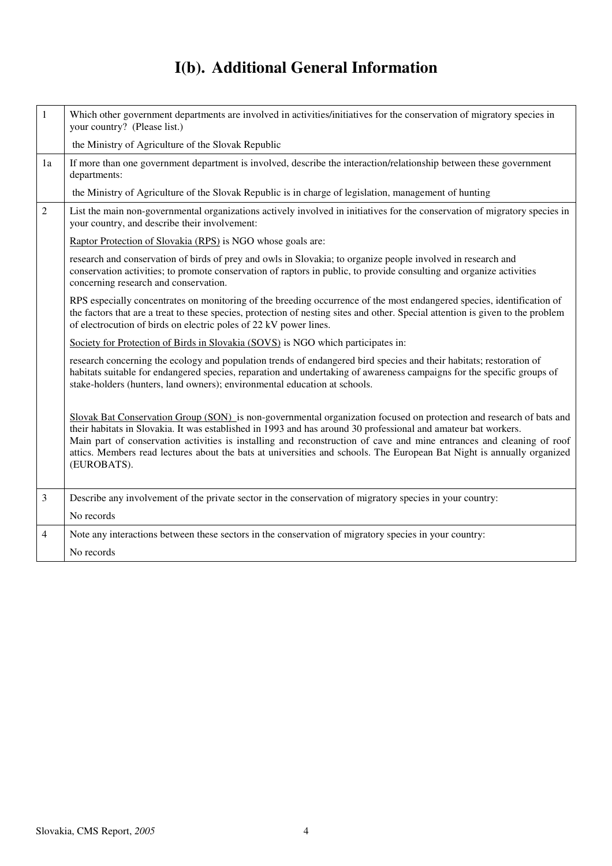# **I(b). Additional General Information**

| $\mathbf{1}$   | Which other government departments are involved in activities/initiatives for the conservation of migratory species in<br>your country? (Please list.)                                                                                                                                                                                                                                                                                                                                                  |
|----------------|---------------------------------------------------------------------------------------------------------------------------------------------------------------------------------------------------------------------------------------------------------------------------------------------------------------------------------------------------------------------------------------------------------------------------------------------------------------------------------------------------------|
|                | the Ministry of Agriculture of the Slovak Republic                                                                                                                                                                                                                                                                                                                                                                                                                                                      |
| 1a             | If more than one government department is involved, describe the interaction/relationship between these government<br>departments:                                                                                                                                                                                                                                                                                                                                                                      |
|                | the Ministry of Agriculture of the Slovak Republic is in charge of legislation, management of hunting                                                                                                                                                                                                                                                                                                                                                                                                   |
| $\overline{2}$ | List the main non-governmental organizations actively involved in initiatives for the conservation of migratory species in<br>your country, and describe their involvement:                                                                                                                                                                                                                                                                                                                             |
|                | Raptor Protection of Slovakia (RPS) is NGO whose goals are:                                                                                                                                                                                                                                                                                                                                                                                                                                             |
|                | research and conservation of birds of prey and owls in Slovakia; to organize people involved in research and<br>conservation activities; to promote conservation of raptors in public, to provide consulting and organize activities<br>concerning research and conservation.                                                                                                                                                                                                                           |
|                | RPS especially concentrates on monitoring of the breeding occurrence of the most endangered species, identification of<br>the factors that are a treat to these species, protection of nesting sites and other. Special attention is given to the problem<br>of electrocution of birds on electric poles of 22 kV power lines.                                                                                                                                                                          |
|                | Society for Protection of Birds in Slovakia (SOVS) is NGO which participates in:                                                                                                                                                                                                                                                                                                                                                                                                                        |
|                | research concerning the ecology and population trends of endangered bird species and their habitats; restoration of<br>habitats suitable for endangered species, reparation and undertaking of awareness campaigns for the specific groups of<br>stake-holders (hunters, land owners); environmental education at schools.                                                                                                                                                                              |
|                | Slovak Bat Conservation Group (SON) is non-governmental organization focused on protection and research of bats and<br>their habitats in Slovakia. It was established in 1993 and has around 30 professional and amateur bat workers.<br>Main part of conservation activities is installing and reconstruction of cave and mine entrances and cleaning of roof<br>attics. Members read lectures about the bats at universities and schools. The European Bat Night is annually organized<br>(EUROBATS). |
| $\mathfrak{Z}$ | Describe any involvement of the private sector in the conservation of migratory species in your country:                                                                                                                                                                                                                                                                                                                                                                                                |
|                | No records                                                                                                                                                                                                                                                                                                                                                                                                                                                                                              |
| $\overline{4}$ | Note any interactions between these sectors in the conservation of migratory species in your country:                                                                                                                                                                                                                                                                                                                                                                                                   |
|                | No records                                                                                                                                                                                                                                                                                                                                                                                                                                                                                              |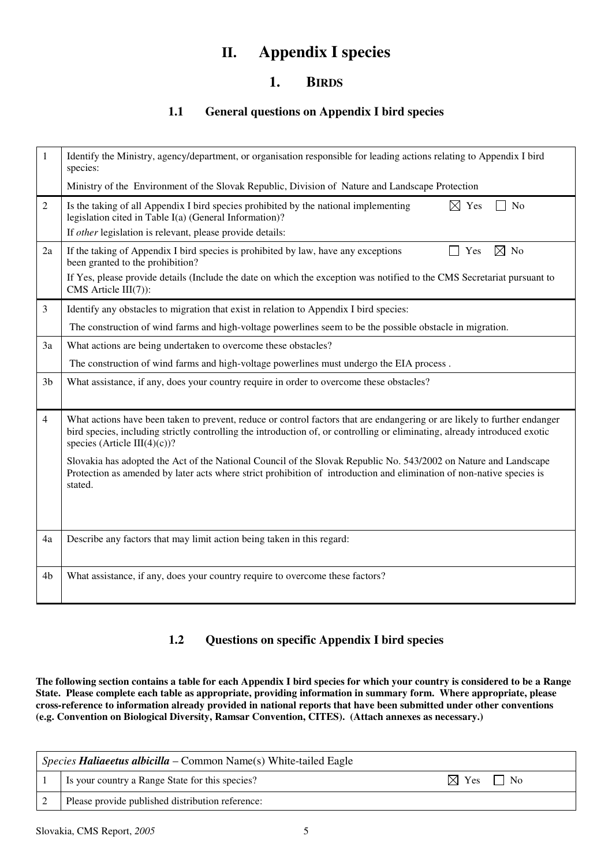### **II. Appendix I species**

### **1. BIRDS**

#### **1.1 General questions on Appendix I bird species**

| $\mathbf{1}$   | Identify the Ministry, agency/department, or organisation responsible for leading actions relating to Appendix I bird<br>species:                                                                                                                                                       |
|----------------|-----------------------------------------------------------------------------------------------------------------------------------------------------------------------------------------------------------------------------------------------------------------------------------------|
|                | Ministry of the Environment of the Slovak Republic, Division of Nature and Landscape Protection                                                                                                                                                                                         |
| $\overline{2}$ | Is the taking of all Appendix I bird species prohibited by the national implementing<br>N <sub>o</sub><br>$\boxtimes$ Yes<br>legislation cited in Table I(a) (General Information)?                                                                                                     |
|                | If other legislation is relevant, please provide details:                                                                                                                                                                                                                               |
| 2a             | If the taking of Appendix I bird species is prohibited by law, have any exceptions<br>$\boxtimes$ No<br>Yes<br>been granted to the prohibition?                                                                                                                                         |
|                | If Yes, please provide details (Include the date on which the exception was notified to the CMS Secretariat pursuant to<br>CMS Article $III(7)$ :                                                                                                                                       |
| 3              | Identify any obstacles to migration that exist in relation to Appendix I bird species:                                                                                                                                                                                                  |
|                | The construction of wind farms and high-voltage powerlines seem to be the possible obstacle in migration.                                                                                                                                                                               |
| 3a             | What actions are being undertaken to overcome these obstacles?                                                                                                                                                                                                                          |
|                | The construction of wind farms and high-voltage powerlines must undergo the EIA process.                                                                                                                                                                                                |
| 3 <sub>b</sub> | What assistance, if any, does your country require in order to overcome these obstacles?                                                                                                                                                                                                |
| 4              | What actions have been taken to prevent, reduce or control factors that are endangering or are likely to further endanger<br>bird species, including strictly controlling the introduction of, or controlling or eliminating, already introduced exotic<br>species (Article III(4)(c))? |
|                | Slovakia has adopted the Act of the National Council of the Slovak Republic No. 543/2002 on Nature and Landscape<br>Protection as amended by later acts where strict prohibition of introduction and elimination of non-native species is<br>stated.                                    |
|                |                                                                                                                                                                                                                                                                                         |
| 4a             | Describe any factors that may limit action being taken in this regard:                                                                                                                                                                                                                  |
| 4b             | What assistance, if any, does your country require to overcome these factors?                                                                                                                                                                                                           |

### **1.2 Questions on specific Appendix I bird species**

**The following section contains a table for each Appendix I bird species for which your country is considered to be a Range State. Please complete each table as appropriate, providing information in summary form. Where appropriate, please cross-reference to information already provided in national reports that have been submitted under other conventions (e.g. Convention on Biological Diversity, Ramsar Convention, CITES). (Attach annexes as necessary.)** 

| Species Haliaeetus albicilla – Common Name(s) White-tailed Eagle |                                                  |                           |
|------------------------------------------------------------------|--------------------------------------------------|---------------------------|
|                                                                  | Is your country a Range State for this species?  | $\boxtimes$ Yes $\Box$ No |
|                                                                  | Please provide published distribution reference: |                           |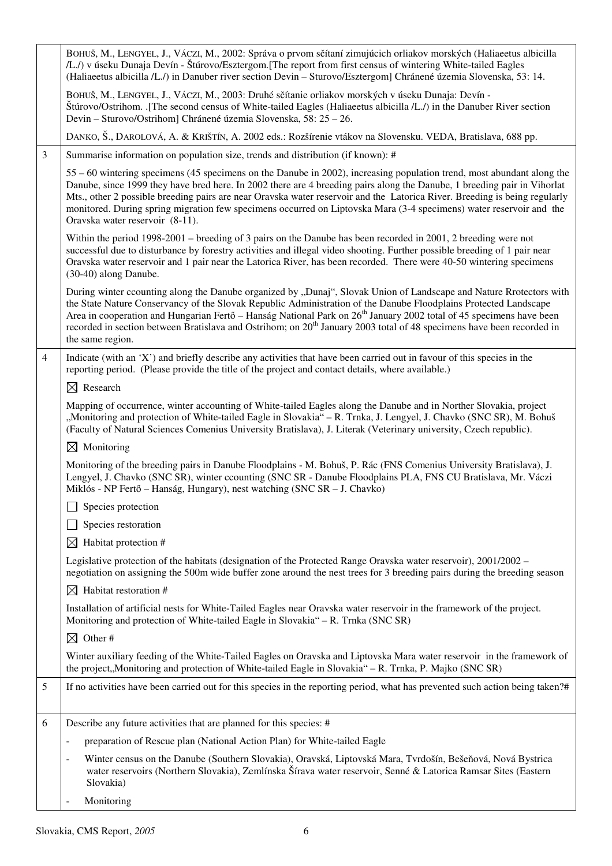|                | BOHUŠ, M., LENGYEL, J., VÁCZI, M., 2002: Správa o prvom sčítaní zimujúcich orliakov morských (Haliaeetus albicilla<br>/L./) v úseku Dunaja Devín - Štúrovo/Esztergom. [The report from first census of wintering White-tailed Eagles<br>(Haliaeetus albicilla /L./) in Danuber river section Devin - Sturovo/Esztergom] Chránené územia Slovenska, 53: 14.                                                                                                                                                                                 |
|----------------|--------------------------------------------------------------------------------------------------------------------------------------------------------------------------------------------------------------------------------------------------------------------------------------------------------------------------------------------------------------------------------------------------------------------------------------------------------------------------------------------------------------------------------------------|
|                | BOHUŠ, M., LENGYEL, J., VÁCZI, M., 2003: Druhé sčítanie orliakov morských v úseku Dunaja: Devín -<br>Štúrovo/Ostrihom. .[The second census of White-tailed Eagles (Haliaeetus albicilla /L./) in the Danuber River section<br>Devin – Sturovo/Ostrihom] Chránené územia Slovenska, 58: 25 – 26.                                                                                                                                                                                                                                            |
|                | DANKO, Š., DAROLOVÁ, A. & KRIŠTÍN, A. 2002 eds.: Rozšírenie vtákov na Slovensku. VEDA, Bratislava, 688 pp.                                                                                                                                                                                                                                                                                                                                                                                                                                 |
| 3              | Summarise information on population size, trends and distribution (if known): #                                                                                                                                                                                                                                                                                                                                                                                                                                                            |
|                | 55 – 60 wintering specimens (45 specimens on the Danube in 2002), increasing population trend, most abundant along the<br>Danube, since 1999 they have bred here. In 2002 there are 4 breeding pairs along the Danube, 1 breeding pair in Vihorlat<br>Mts., other 2 possible breeding pairs are near Oravska water reservoir and the Latorica River. Breeding is being regularly<br>monitored. During spring migration few specimens occurred on Liptovska Mara (3-4 specimens) water reservoir and the<br>Oravska water reservoir (8-11). |
|                | Within the period 1998-2001 – breeding of 3 pairs on the Danube has been recorded in 2001, 2 breeding were not<br>successful due to disturbance by forestry activities and illegal video shooting. Further possible breeding of 1 pair near<br>Oravska water reservoir and 1 pair near the Latorica River, has been recorded. There were 40-50 wintering specimens<br>(30-40) along Danube.                                                                                                                                                |
|                | During winter ccounting along the Danube organized by "Dunaj", Slovak Union of Landscape and Nature Rrotectors with<br>the State Nature Conservancy of the Slovak Republic Administration of the Danube Floodplains Protected Landscape<br>Area in cooperation and Hungarian Fertő – Hanság National Park on 26 <sup>th</sup> January 2002 total of 45 specimens have been<br>recorded in section between Bratislava and Ostrihom; on 20 <sup>th</sup> January 2003 total of 48 specimens have been recorded in<br>the same region.        |
| $\overline{4}$ | Indicate (with an 'X') and briefly describe any activities that have been carried out in favour of this species in the<br>reporting period. (Please provide the title of the project and contact details, where available.)                                                                                                                                                                                                                                                                                                                |
|                | $\boxtimes$ Research                                                                                                                                                                                                                                                                                                                                                                                                                                                                                                                       |
|                | Mapping of occurrence, winter accounting of White-tailed Eagles along the Danube and in Norther Slovakia, project<br>"Monitoring and protection of White-tailed Eagle in Slovakia" - R. Trnka, J. Lengyel, J. Chavko (SNC SR), M. Bohuš<br>(Faculty of Natural Sciences Comenius University Bratislava), J. Literak (Veterinary university, Czech republic).                                                                                                                                                                               |
|                | $\boxtimes$ Monitoring                                                                                                                                                                                                                                                                                                                                                                                                                                                                                                                     |
|                | Monitoring of the breeding pairs in Danube Floodplains - M. Bohuš, P. Rác (FNS Comenius University Bratislava), J.<br>Lengyel, J. Chavko (SNC SR), winter ccounting (SNC SR - Danube Floodplains PLA, FNS CU Bratislava, Mr. Váczi<br>Miklós - NP Fertő – Hanság, Hungary), nest watching (SNC SR – J. Chavko)                                                                                                                                                                                                                             |
|                | $\Box$ Species protection                                                                                                                                                                                                                                                                                                                                                                                                                                                                                                                  |
|                | Species restoration                                                                                                                                                                                                                                                                                                                                                                                                                                                                                                                        |
|                | $\boxtimes$ Habitat protection #                                                                                                                                                                                                                                                                                                                                                                                                                                                                                                           |
|                | Legislative protection of the habitats (designation of the Protected Range Oravska water reservoir), 2001/2002 –<br>negotiation on assigning the 500m wide buffer zone around the nest trees for 3 breeding pairs during the breeding season                                                                                                                                                                                                                                                                                               |
|                | $\boxtimes$ Habitat restoration #                                                                                                                                                                                                                                                                                                                                                                                                                                                                                                          |
|                | Installation of artificial nests for White-Tailed Eagles near Oravska water reservoir in the framework of the project.<br>Monitoring and protection of White-tailed Eagle in Slovakia" – R. Trnka (SNC SR)                                                                                                                                                                                                                                                                                                                                 |
|                | $\boxtimes$ Other#                                                                                                                                                                                                                                                                                                                                                                                                                                                                                                                         |
|                | Winter auxiliary feeding of the White-Tailed Eagles on Oravska and Liptovska Mara water reservoir in the framework of<br>the project,,Monitoring and protection of White-tailed Eagle in Slovakia" - R. Trnka, P. Majko (SNC SR)                                                                                                                                                                                                                                                                                                           |
| 5              | If no activities have been carried out for this species in the reporting period, what has prevented such action being taken?#                                                                                                                                                                                                                                                                                                                                                                                                              |
| 6              | Describe any future activities that are planned for this species: #                                                                                                                                                                                                                                                                                                                                                                                                                                                                        |
|                | preparation of Rescue plan (National Action Plan) for White-tailed Eagle<br>$\overline{\phantom{a}}$                                                                                                                                                                                                                                                                                                                                                                                                                                       |
|                | Winter census on the Danube (Southern Slovakia), Oravská, Liptovská Mara, Tvrdošín, Bešeňová, Nová Bystrica<br>$\overline{\phantom{a}}$<br>water reservoirs (Northern Slovakia), Zemlínska Šírava water reservoir, Senné & Latorica Ramsar Sites (Eastern<br>Slovakia)                                                                                                                                                                                                                                                                     |
|                | Monitoring<br>$\overline{a}$                                                                                                                                                                                                                                                                                                                                                                                                                                                                                                               |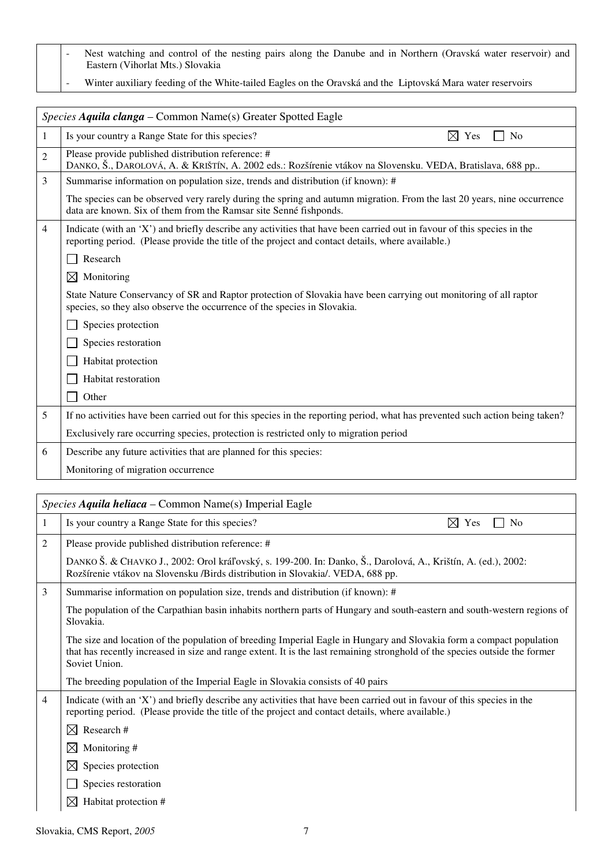- Nest watching and control of the nesting pairs along the Danube and in Northern (Oravská water reservoir) and Eastern (Vihorlat Mts.) Slovakia
- Winter auxiliary feeding of the White-tailed Eagles on the Oravská and the Liptovská Mara water reservoirs

|                | Species Aquila clanga – Common Name(s) Greater Spotted Eagle                                                                                                                                                                |
|----------------|-----------------------------------------------------------------------------------------------------------------------------------------------------------------------------------------------------------------------------|
| 1              | Is your country a Range State for this species?<br>$\boxtimes$ Yes<br>No                                                                                                                                                    |
| $\overline{2}$ | Please provide published distribution reference: #<br>DANKO, Š., DAROLOVÁ, A. & KRIŠTÍN, A. 2002 eds.: Rozšírenie vtákov na Slovensku. VEDA, Bratislava, 688 pp                                                             |
| 3              | Summarise information on population size, trends and distribution (if known): #                                                                                                                                             |
|                | The species can be observed very rarely during the spring and autumn migration. From the last 20 years, nine occurrence<br>data are known. Six of them from the Ramsar site Senné fishponds.                                |
| $\overline{4}$ | Indicate (with an 'X') and briefly describe any activities that have been carried out in favour of this species in the<br>reporting period. (Please provide the title of the project and contact details, where available.) |
|                | Research                                                                                                                                                                                                                    |
|                | $\boxtimes$<br>Monitoring                                                                                                                                                                                                   |
|                | State Nature Conservancy of SR and Raptor protection of Slovakia have been carrying out monitoring of all raptor<br>species, so they also observe the occurrence of the species in Slovakia.                                |
|                | Species protection                                                                                                                                                                                                          |
|                | Species restoration                                                                                                                                                                                                         |
|                | Habitat protection                                                                                                                                                                                                          |
|                | Habitat restoration                                                                                                                                                                                                         |
|                | Other                                                                                                                                                                                                                       |
| 5              | If no activities have been carried out for this species in the reporting period, what has prevented such action being taken?                                                                                                |
|                | Exclusively rare occurring species, protection is restricted only to migration period                                                                                                                                       |
| 6              | Describe any future activities that are planned for this species:                                                                                                                                                           |
|                | Monitoring of migration occurrence                                                                                                                                                                                          |

|   | <i>Species Aquila heliaca – Common Name(s) Imperial Eagle</i>                                                                                                                                                                                                        |  |
|---|----------------------------------------------------------------------------------------------------------------------------------------------------------------------------------------------------------------------------------------------------------------------|--|
| 1 | $\boxtimes$ Yes<br>Is your country a Range State for this species?<br>N <sub>0</sub>                                                                                                                                                                                 |  |
| 2 | Please provide published distribution reference: #                                                                                                                                                                                                                   |  |
|   | DANKO Š. & CHAVKO J., 2002: Orol kráľovský, s. 199-200. In: Danko, Š., Darolová, A., Krištín, A. (ed.), 2002:<br>Rozšírenie vtákov na Slovensku /Birds distribution in Slovakia/. VEDA, 688 pp.                                                                      |  |
| 3 | Summarise information on population size, trends and distribution (if known): #                                                                                                                                                                                      |  |
|   | The population of the Carpathian basin inhabits northern parts of Hungary and south-eastern and south-western regions of<br>Slovakia.                                                                                                                                |  |
|   | The size and location of the population of breeding Imperial Eagle in Hungary and Slovakia form a compact population<br>that has recently increased in size and range extent. It is the last remaining stronghold of the species outside the former<br>Soviet Union. |  |
|   | The breeding population of the Imperial Eagle in Slovakia consists of 40 pairs                                                                                                                                                                                       |  |
| 4 | Indicate (with an 'X') and briefly describe any activities that have been carried out in favour of this species in the<br>reporting period. (Please provide the title of the project and contact details, where available.)                                          |  |
|   | Research #<br>$\boxtimes$                                                                                                                                                                                                                                            |  |
|   | Monitoring #<br>$\boxtimes$                                                                                                                                                                                                                                          |  |
|   | $\boxtimes$<br>Species protection                                                                                                                                                                                                                                    |  |
|   | Species restoration                                                                                                                                                                                                                                                  |  |
|   | $\boxtimes$<br>Habitat protection #                                                                                                                                                                                                                                  |  |

Slovakia, CMS Report, *2005* 7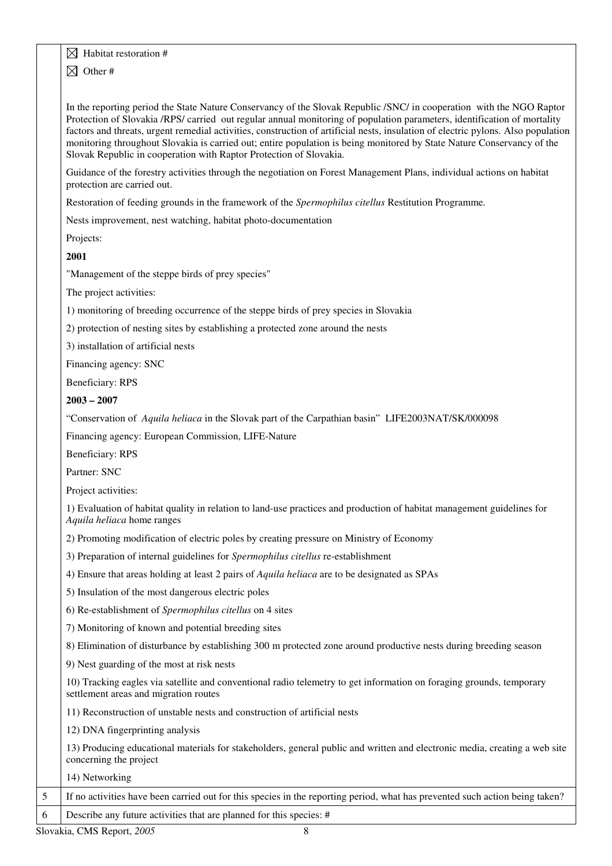#### $\boxtimes$  Habitat restoration #

 $\boxtimes$  Other #

In the reporting period the State Nature Conservancy of the Slovak Republic /SNC/ in cooperation with the NGO Raptor Protection of Slovakia /RPS/ carried out regular annual monitoring of population parameters, identification of mortality factors and threats, urgent remedial activities, construction of artificial nests, insulation of electric pylons. Also population monitoring throughout Slovakia is carried out; entire population is being monitored by State Nature Conservancy of the Slovak Republic in cooperation with Raptor Protection of Slovakia.

Guidance of the forestry activities through the negotiation on Forest Management Plans, individual actions on habitat protection are carried out.

Restoration of feeding grounds in the framework of the *Spermophilus citellus* Restitution Programme.

Nests improvement, nest watching, habitat photo-documentation

Projects:

**2001** 

"Management of the steppe birds of prey species"

The project activities:

1) monitoring of breeding occurrence of the steppe birds of prey species in Slovakia

2) protection of nesting sites by establishing a protected zone around the nests

3) installation of artificial nests

Financing agency: SNC

Beneficiary: RPS

**2003 – 2007** 

"Conservation of *Aquila heliaca* in the Slovak part of the Carpathian basin" LIFE2003NAT/SK/000098

Financing agency: European Commission, LIFE-Nature

Beneficiary: RPS

Partner: SNC

Project activities:

1) Evaluation of habitat quality in relation to land-use practices and production of habitat management guidelines for *Aquila heliaca* home ranges

2) Promoting modification of electric poles by creating pressure on Ministry of Economy

3) Preparation of internal guidelines for *Spermophilus citellus* re-establishment

4) Ensure that areas holding at least 2 pairs of *Aquila heliaca* are to be designated as SPAs

5) Insulation of the most dangerous electric poles

6) Re-establishment of *Spermophilus citellus* on 4 sites

7) Monitoring of known and potential breeding sites

8) Elimination of disturbance by establishing 300 m protected zone around productive nests during breeding season

9) Nest guarding of the most at risk nests

10) Tracking eagles via satellite and conventional radio telemetry to get information on foraging grounds, temporary settlement areas and migration routes

11) Reconstruction of unstable nests and construction of artificial nests

12) DNA fingerprinting analysis

| 13) Producing educational materials for stakeholders, general public and written and electronic media, creating a web site |  |
|----------------------------------------------------------------------------------------------------------------------------|--|
| concerning the project                                                                                                     |  |

| 14) Networking |
|----------------|
|                |

5 If no activities have been carried out for this species in the reporting period, what has prevented such action being taken?

6 Describe any future activities that are planned for this species: #

Slovakia, CMS Report, 2005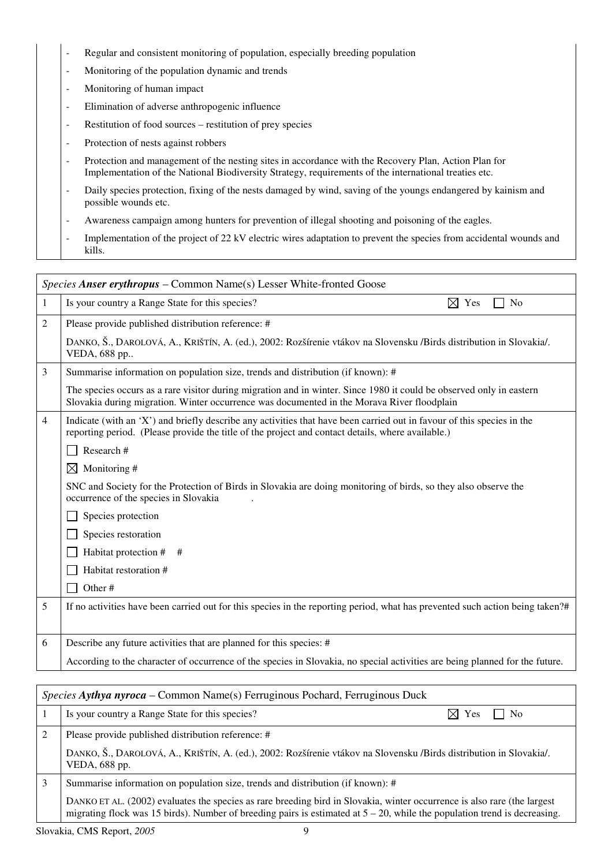- Regular and consistent monitoring of population, especially breeding population
- Monitoring of the population dynamic and trends
- Monitoring of human impact
- Elimination of adverse anthropogenic influence
- Restitution of food sources restitution of prey species
- Protection of nests against robbers
- Protection and management of the nesting sites in accordance with the Recovery Plan, Action Plan for Implementation of the National Biodiversity Strategy, requirements of the international treaties etc.
- Daily species protection, fixing of the nests damaged by wind, saving of the youngs endangered by kainism and possible wounds etc.
- Awareness campaign among hunters for prevention of illegal shooting and poisoning of the eagles.
- Implementation of the project of 22 kV electric wires adaptation to prevent the species from accidental wounds and kills.

|                | <i>Species Anser erythropus – Common Name(s) Lesser White-fronted Goose</i>                                                                                                                                                 |  |
|----------------|-----------------------------------------------------------------------------------------------------------------------------------------------------------------------------------------------------------------------------|--|
| 1              | Is your country a Range State for this species?<br>$\boxtimes$ Yes<br>No                                                                                                                                                    |  |
| 2              | Please provide published distribution reference: #                                                                                                                                                                          |  |
|                | DANKO, Š., DAROLOVÁ, A., KRIŠTÍN, A. (ed.), 2002: Rozšírenie vtákov na Slovensku /Birds distribution in Slovakia/.<br>VEDA, 688 pp                                                                                          |  |
| 3              | Summarise information on population size, trends and distribution (if known): #                                                                                                                                             |  |
|                | The species occurs as a rare visitor during migration and in winter. Since 1980 it could be observed only in eastern<br>Slovakia during migration. Winter occurrence was documented in the Morava River floodplain          |  |
| $\overline{4}$ | Indicate (with an 'X') and briefly describe any activities that have been carried out in favour of this species in the<br>reporting period. (Please provide the title of the project and contact details, where available.) |  |
|                | Research #                                                                                                                                                                                                                  |  |
|                | Monitoring #<br>$\boxtimes$                                                                                                                                                                                                 |  |
|                | SNC and Society for the Protection of Birds in Slovakia are doing monitoring of birds, so they also observe the<br>occurrence of the species in Slovakia                                                                    |  |
|                | Species protection                                                                                                                                                                                                          |  |
|                | Species restoration                                                                                                                                                                                                         |  |
|                | Habitat protection #<br>#                                                                                                                                                                                                   |  |
|                | Habitat restoration #                                                                                                                                                                                                       |  |
|                | Other#                                                                                                                                                                                                                      |  |
| 5              | If no activities have been carried out for this species in the reporting period, what has prevented such action being taken?#                                                                                               |  |
|                |                                                                                                                                                                                                                             |  |
| 6              | Describe any future activities that are planned for this species: #                                                                                                                                                         |  |
|                | According to the character of occurrence of the species in Slovakia, no special activities are being planned for the future.                                                                                                |  |

| Species Aythya nyroca – Common Name(s) Ferruginous Pochard, Ferruginous Duck |                                                                                                                                                                                                                                                          |                                 |
|------------------------------------------------------------------------------|----------------------------------------------------------------------------------------------------------------------------------------------------------------------------------------------------------------------------------------------------------|---------------------------------|
|                                                                              | Is your country a Range State for this species?                                                                                                                                                                                                          | $\boxtimes$ Yes<br>$\vert$   No |
| $\mathfrak{D}$                                                               | Please provide published distribution reference: #                                                                                                                                                                                                       |                                 |
|                                                                              | DANKO, Š., DAROLOVÁ, A., KRIŠTÍN, A. (ed.), 2002: Rozšírenie vtákov na Slovensku /Birds distribution in Slovakia/.<br>VEDA, 688 pp.                                                                                                                      |                                 |
|                                                                              | Summarise information on population size, trends and distribution (if known): #                                                                                                                                                                          |                                 |
|                                                                              | DANKO ET AL. (2002) evaluates the species as rare breeding bird in Slovakia, winter occurrence is also rare (the largest<br>migrating flock was 15 birds). Number of breeding pairs is estimated at $5 - 20$ , while the population trend is decreasing. |                                 |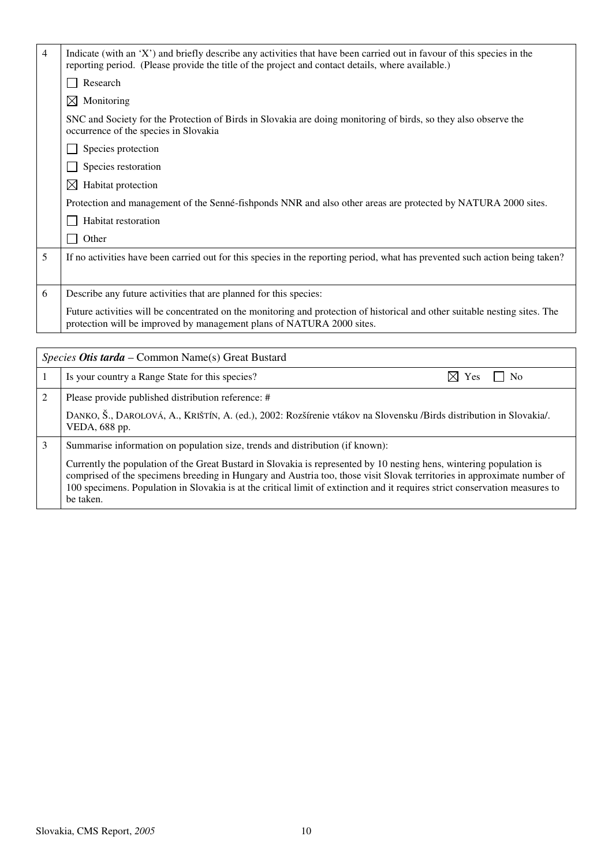| $\overline{4}$ | Indicate (with an 'X') and briefly describe any activities that have been carried out in favour of this species in the<br>reporting period. (Please provide the title of the project and contact details, where available.) |
|----------------|-----------------------------------------------------------------------------------------------------------------------------------------------------------------------------------------------------------------------------|
|                | Research                                                                                                                                                                                                                    |
|                | $\boxtimes$ Monitoring                                                                                                                                                                                                      |
|                | SNC and Society for the Protection of Birds in Slovakia are doing monitoring of birds, so they also observe the<br>occurrence of the species in Slovakia                                                                    |
|                | Species protection                                                                                                                                                                                                          |
|                | Species restoration                                                                                                                                                                                                         |
|                | Habitat protection<br>⋉                                                                                                                                                                                                     |
|                | Protection and management of the Senné-fishponds NNR and also other areas are protected by NATURA 2000 sites.                                                                                                               |
|                | Habitat restoration                                                                                                                                                                                                         |
|                | Other                                                                                                                                                                                                                       |
| 5              | If no activities have been carried out for this species in the reporting period, what has prevented such action being taken?                                                                                                |
| 6              | Describe any future activities that are planned for this species:                                                                                                                                                           |
|                | Future activities will be concentrated on the monitoring and protection of historical and other suitable nesting sites. The<br>protection will be improved by management plans of NATURA 2000 sites.                        |

| <i>Species Otis tarda –</i> Common Name(s) Great Bustard |                                                                                                                                                                                                                                                                                                                                                                                              |                                   |
|----------------------------------------------------------|----------------------------------------------------------------------------------------------------------------------------------------------------------------------------------------------------------------------------------------------------------------------------------------------------------------------------------------------------------------------------------------------|-----------------------------------|
|                                                          | Is your country a Range State for this species?                                                                                                                                                                                                                                                                                                                                              | $\boxtimes$ Yes<br>N <sub>0</sub> |
| 2                                                        | Please provide published distribution reference: #                                                                                                                                                                                                                                                                                                                                           |                                   |
|                                                          | DANKO, Š., DAROLOVÁ, A., KRIŠTÍN, A. (ed.), 2002: Rozšírenie vtákov na Slovensku /Birds distribution in Slovakia/.<br>VEDA, 688 pp.                                                                                                                                                                                                                                                          |                                   |
| 3                                                        | Summarise information on population size, trends and distribution (if known):                                                                                                                                                                                                                                                                                                                |                                   |
|                                                          | Currently the population of the Great Bustard in Slovakia is represented by 10 nesting hens, wintering population is<br>comprised of the specimens breeding in Hungary and Austria too, those visit Slovak territories in approximate number of<br>100 specimens. Population in Slovakia is at the critical limit of extinction and it requires strict conservation measures to<br>be taken. |                                   |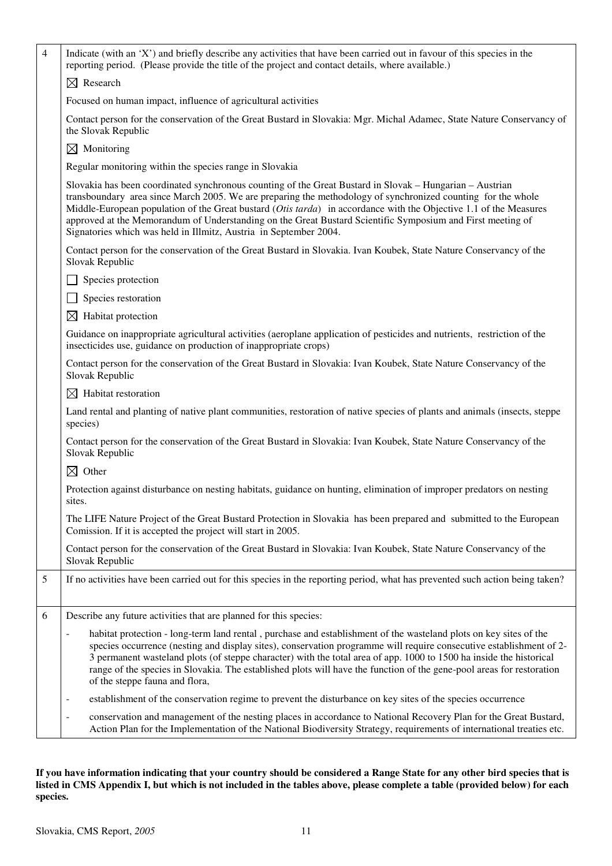| $\overline{4}$ | Indicate (with an 'X') and briefly describe any activities that have been carried out in favour of this species in the<br>reporting period. (Please provide the title of the project and contact details, where available.)                                                                                                                                                                                                                                                                                                                            |
|----------------|--------------------------------------------------------------------------------------------------------------------------------------------------------------------------------------------------------------------------------------------------------------------------------------------------------------------------------------------------------------------------------------------------------------------------------------------------------------------------------------------------------------------------------------------------------|
|                | $\boxtimes$ Research                                                                                                                                                                                                                                                                                                                                                                                                                                                                                                                                   |
|                | Focused on human impact, influence of agricultural activities                                                                                                                                                                                                                                                                                                                                                                                                                                                                                          |
|                | Contact person for the conservation of the Great Bustard in Slovakia: Mgr. Michal Adamec, State Nature Conservancy of<br>the Slovak Republic                                                                                                                                                                                                                                                                                                                                                                                                           |
|                | $\boxtimes$ Monitoring                                                                                                                                                                                                                                                                                                                                                                                                                                                                                                                                 |
|                | Regular monitoring within the species range in Slovakia                                                                                                                                                                                                                                                                                                                                                                                                                                                                                                |
|                | Slovakia has been coordinated synchronous counting of the Great Bustard in Slovak – Hungarian – Austrian<br>transboundary area since March 2005. We are preparing the methodology of synchronized counting for the whole<br>Middle-European population of the Great bustard (Otis tarda) in accordance with the Objective 1.1 of the Measures<br>approved at the Memorandum of Understanding on the Great Bustard Scientific Symposium and First meeting of<br>Signatories which was held in Illmitz, Austria in September 2004.                       |
|                | Contact person for the conservation of the Great Bustard in Slovakia. Ivan Koubek, State Nature Conservancy of the<br>Slovak Republic                                                                                                                                                                                                                                                                                                                                                                                                                  |
|                | Species protection                                                                                                                                                                                                                                                                                                                                                                                                                                                                                                                                     |
|                | Species restoration                                                                                                                                                                                                                                                                                                                                                                                                                                                                                                                                    |
|                | Habitat protection<br>$\bowtie$                                                                                                                                                                                                                                                                                                                                                                                                                                                                                                                        |
|                | Guidance on inappropriate agricultural activities (aeroplane application of pesticides and nutrients, restriction of the<br>insecticides use, guidance on production of inappropriate crops)                                                                                                                                                                                                                                                                                                                                                           |
|                | Contact person for the conservation of the Great Bustard in Slovakia: Ivan Koubek, State Nature Conservancy of the<br>Slovak Republic                                                                                                                                                                                                                                                                                                                                                                                                                  |
|                | $\boxtimes$ Habitat restoration                                                                                                                                                                                                                                                                                                                                                                                                                                                                                                                        |
|                | Land rental and planting of native plant communities, restoration of native species of plants and animals (insects, steppe<br>species)                                                                                                                                                                                                                                                                                                                                                                                                                 |
|                | Contact person for the conservation of the Great Bustard in Slovakia: Ivan Koubek, State Nature Conservancy of the<br>Slovak Republic                                                                                                                                                                                                                                                                                                                                                                                                                  |
|                | $\boxtimes$ Other                                                                                                                                                                                                                                                                                                                                                                                                                                                                                                                                      |
|                | Protection against disturbance on nesting habitats, guidance on hunting, elimination of improper predators on nesting<br>sites.                                                                                                                                                                                                                                                                                                                                                                                                                        |
|                | The LIFE Nature Project of the Great Bustard Protection in Slovakia has been prepared and submitted to the European<br>Comission. If it is accepted the project will start in 2005.                                                                                                                                                                                                                                                                                                                                                                    |
|                | Contact person for the conservation of the Great Bustard in Slovakia: Ivan Koubek, State Nature Conservancy of the<br>Slovak Republic                                                                                                                                                                                                                                                                                                                                                                                                                  |
| $\mathfrak{S}$ | If no activities have been carried out for this species in the reporting period, what has prevented such action being taken?                                                                                                                                                                                                                                                                                                                                                                                                                           |
| $\sqrt{6}$     | Describe any future activities that are planned for this species:                                                                                                                                                                                                                                                                                                                                                                                                                                                                                      |
|                | habitat protection - long-term land rental, purchase and establishment of the wasteland plots on key sites of the<br>$\overline{\phantom{0}}$<br>species occurrence (nesting and display sites), conservation programme will require consecutive establishment of 2-<br>3 permanent wasteland plots (of steppe character) with the total area of app. 1000 to 1500 ha inside the historical<br>range of the species in Slovakia. The established plots will have the function of the gene-pool areas for restoration<br>of the steppe fauna and flora, |
|                | establishment of the conservation regime to prevent the disturbance on key sites of the species occurrence<br>$\qquad \qquad \blacksquare$                                                                                                                                                                                                                                                                                                                                                                                                             |
|                | conservation and management of the nesting places in accordance to National Recovery Plan for the Great Bustard,<br>$\overline{\phantom{0}}$<br>Action Plan for the Implementation of the National Biodiversity Strategy, requirements of international treaties etc.                                                                                                                                                                                                                                                                                  |

**If you have information indicating that your country should be considered a Range State for any other bird species that is listed in CMS Appendix I, but which is not included in the tables above, please complete a table (provided below) for each species.**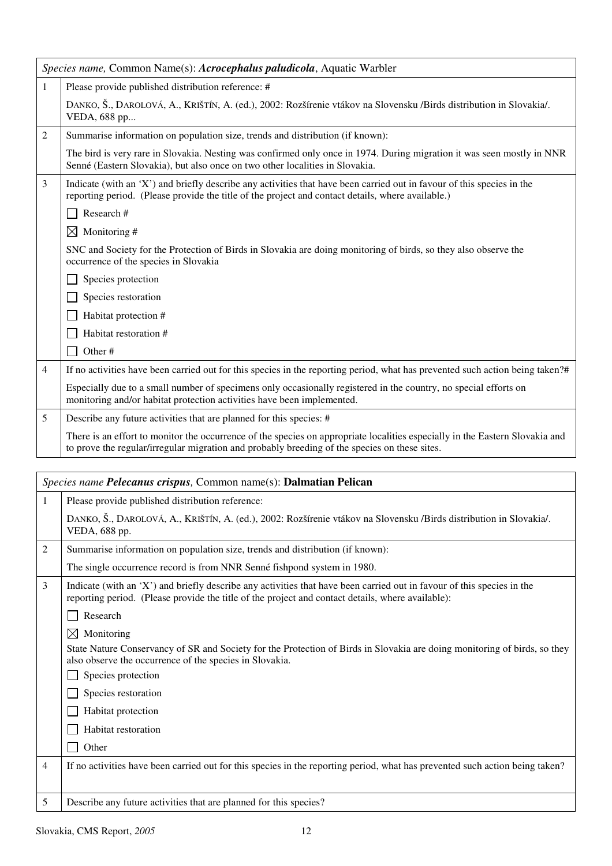|   | Species name, Common Name(s): Acrocephalus paludicola, Aquatic Warbler                                                                                                                                                        |
|---|-------------------------------------------------------------------------------------------------------------------------------------------------------------------------------------------------------------------------------|
| 1 | Please provide published distribution reference: #                                                                                                                                                                            |
|   | DANKO, Š., DAROLOVÁ, A., KRIŠTÍN, A. (ed.), 2002: Rozšírenie vtákov na Slovensku /Birds distribution in Slovakia/.<br>VEDA, 688 pp                                                                                            |
| 2 | Summarise information on population size, trends and distribution (if known):                                                                                                                                                 |
|   | The bird is very rare in Slovakia. Nesting was confirmed only once in 1974. During migration it was seen mostly in NNR<br>Senné (Eastern Slovakia), but also once on two other localities in Slovakia.                        |
| 3 | Indicate (with an 'X') and briefly describe any activities that have been carried out in favour of this species in the<br>reporting period. (Please provide the title of the project and contact details, where available.)   |
|   | Research #                                                                                                                                                                                                                    |
|   | $\boxtimes$ Monitoring #                                                                                                                                                                                                      |
|   | SNC and Society for the Protection of Birds in Slovakia are doing monitoring of birds, so they also observe the<br>occurrence of the species in Slovakia                                                                      |
|   | Species protection                                                                                                                                                                                                            |
|   | Species restoration                                                                                                                                                                                                           |
|   | Habitat protection #                                                                                                                                                                                                          |
|   | Habitat restoration #                                                                                                                                                                                                         |
|   | Other#                                                                                                                                                                                                                        |
| 4 | If no activities have been carried out for this species in the reporting period, what has prevented such action being taken?#                                                                                                 |
|   | Especially due to a small number of specimens only occasionally registered in the country, no special efforts on<br>monitoring and/or habitat protection activities have been implemented.                                    |
| 5 | Describe any future activities that are planned for this species: #                                                                                                                                                           |
|   | There is an effort to monitor the occurrence of the species on appropriate localities especially in the Eastern Slovakia and<br>to prove the regular/irregular migration and probably breeding of the species on these sites. |
|   |                                                                                                                                                                                                                               |
|   | Species name Pelecanus crispus, Common name(s): Dalmatian Pelican                                                                                                                                                             |

|   | <i>Species name Felecanus crispus</i> , Common name(s). <b>Dannauan Fencan</b>                                                                                                                                              |
|---|-----------------------------------------------------------------------------------------------------------------------------------------------------------------------------------------------------------------------------|
| 1 | Please provide published distribution reference:                                                                                                                                                                            |
|   | DANKO, Š., DAROLOVÁ, A., KRIŠTÍN, A. (ed.), 2002: Rozšírenie vtákov na Slovensku /Birds distribution in Slovakia/.<br>VEDA, 688 pp.                                                                                         |
| 2 | Summarise information on population size, trends and distribution (if known):                                                                                                                                               |
|   | The single occurrence record is from NNR Senné fishpond system in 1980.                                                                                                                                                     |
| 3 | Indicate (with an 'X') and briefly describe any activities that have been carried out in favour of this species in the<br>reporting period. (Please provide the title of the project and contact details, where available): |
|   | Research                                                                                                                                                                                                                    |
|   | Monitoring<br>$\bowtie$                                                                                                                                                                                                     |
|   | State Nature Conservancy of SR and Society for the Protection of Birds in Slovakia are doing monitoring of birds, so they<br>also observe the occurrence of the species in Slovakia.                                        |
|   | Species protection                                                                                                                                                                                                          |
|   | Species restoration                                                                                                                                                                                                         |
|   | Habitat protection                                                                                                                                                                                                          |
|   | Habitat restoration                                                                                                                                                                                                         |
|   | Other                                                                                                                                                                                                                       |
| 4 | If no activities have been carried out for this species in the reporting period, what has prevented such action being taken?                                                                                                |
|   |                                                                                                                                                                                                                             |
| 5 | Describe any future activities that are planned for this species?                                                                                                                                                           |
|   |                                                                                                                                                                                                                             |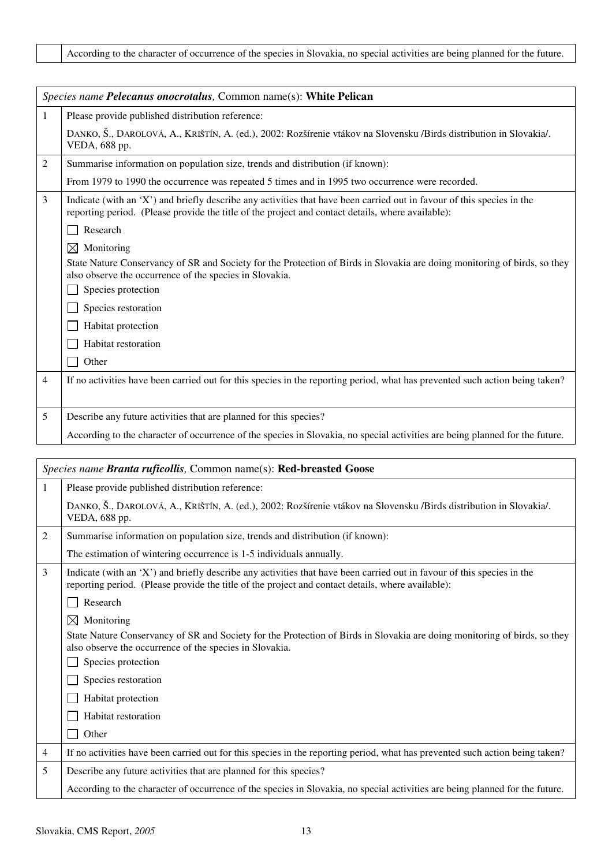|                | Species name Pelecanus onocrotalus, Common name(s): White Pelican                                                                                                                                                           |
|----------------|-----------------------------------------------------------------------------------------------------------------------------------------------------------------------------------------------------------------------------|
| 1              | Please provide published distribution reference:                                                                                                                                                                            |
|                | DANKO, Š., DAROLOVÁ, A., KRIŠTÍN, A. (ed.), 2002: Rozšírenie vtákov na Slovensku /Birds distribution in Slovakia/.<br>VEDA, 688 pp.                                                                                         |
| $\overline{2}$ | Summarise information on population size, trends and distribution (if known):                                                                                                                                               |
|                | From 1979 to 1990 the occurrence was repeated 5 times and in 1995 two occurrence were recorded.                                                                                                                             |
| $\overline{3}$ | Indicate (with an 'X') and briefly describe any activities that have been carried out in favour of this species in the<br>reporting period. (Please provide the title of the project and contact details, where available): |
|                | Research                                                                                                                                                                                                                    |
|                | Monitoring<br>⊠                                                                                                                                                                                                             |
|                | State Nature Conservancy of SR and Society for the Protection of Birds in Slovakia are doing monitoring of birds, so they<br>also observe the occurrence of the species in Slovakia.                                        |
|                | Species protection                                                                                                                                                                                                          |
|                | Species restoration                                                                                                                                                                                                         |
|                | Habitat protection                                                                                                                                                                                                          |
|                | Habitat restoration                                                                                                                                                                                                         |
|                | Other                                                                                                                                                                                                                       |
| $\overline{4}$ | If no activities have been carried out for this species in the reporting period, what has prevented such action being taken?                                                                                                |
|                |                                                                                                                                                                                                                             |
| 5              | Describe any future activities that are planned for this species?                                                                                                                                                           |
|                | According to the character of occurrence of the species in Slovakia, no special activities are being planned for the future.                                                                                                |

|   | Species name Branta ruficollis, Common name(s): Red-breasted Goose                                                                                                                                                          |
|---|-----------------------------------------------------------------------------------------------------------------------------------------------------------------------------------------------------------------------------|
| 1 | Please provide published distribution reference:                                                                                                                                                                            |
|   | DANKO, Š., DAROLOVÁ, A., KRIŠTÍN, A. (ed.), 2002: Rozšírenie vtákov na Slovensku /Birds distribution in Slovakia/.<br>VEDA, 688 pp.                                                                                         |
| 2 | Summarise information on population size, trends and distribution (if known):                                                                                                                                               |
|   | The estimation of wintering occurrence is 1-5 individuals annually.                                                                                                                                                         |
| 3 | Indicate (with an 'X') and briefly describe any activities that have been carried out in favour of this species in the<br>reporting period. (Please provide the title of the project and contact details, where available): |
|   | Research                                                                                                                                                                                                                    |
|   | $\boxtimes$<br>Monitoring                                                                                                                                                                                                   |
|   | State Nature Conservancy of SR and Society for the Protection of Birds in Slovakia are doing monitoring of birds, so they<br>also observe the occurrence of the species in Slovakia.                                        |
|   | Species protection                                                                                                                                                                                                          |
|   | Species restoration                                                                                                                                                                                                         |
|   | Habitat protection                                                                                                                                                                                                          |
|   | Habitat restoration                                                                                                                                                                                                         |
|   | Other                                                                                                                                                                                                                       |
| 4 | If no activities have been carried out for this species in the reporting period, what has prevented such action being taken?                                                                                                |
| 5 | Describe any future activities that are planned for this species?                                                                                                                                                           |
|   | According to the character of occurrence of the species in Slovakia, no special activities are being planned for the future.                                                                                                |
|   |                                                                                                                                                                                                                             |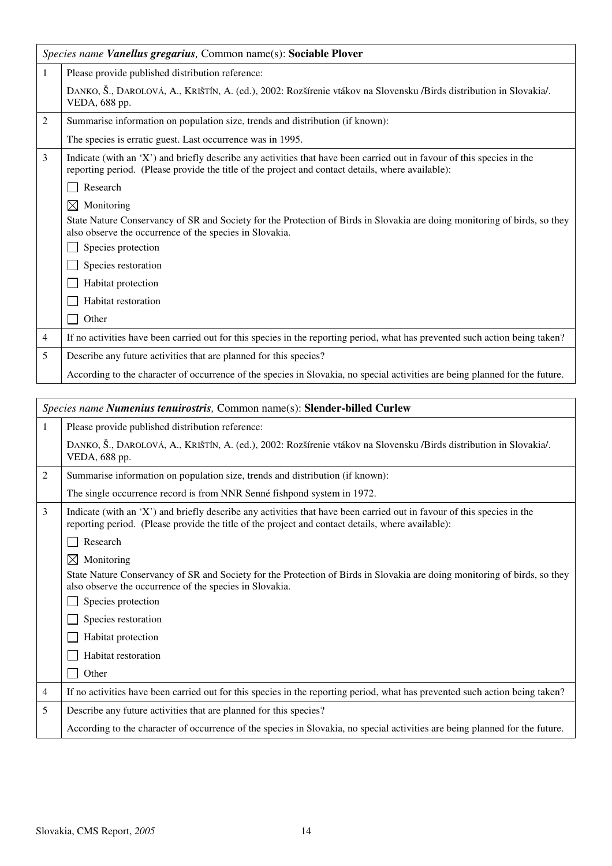|                | Species name Vanellus gregarius, Common name(s): Sociable Plover                                                                                                                                                            |  |
|----------------|-----------------------------------------------------------------------------------------------------------------------------------------------------------------------------------------------------------------------------|--|
| 1              | Please provide published distribution reference:                                                                                                                                                                            |  |
|                | DANKO, Š., DAROLOVÁ, A., KRIŠTÍN, A. (ed.), 2002: Rozšírenie vtákov na Slovensku /Birds distribution in Slovakia/.<br>VEDA, 688 pp.                                                                                         |  |
| $\overline{c}$ | Summarise information on population size, trends and distribution (if known):                                                                                                                                               |  |
|                | The species is erratic guest. Last occurrence was in 1995.                                                                                                                                                                  |  |
| 3              | Indicate (with an 'X') and briefly describe any activities that have been carried out in favour of this species in the<br>reporting period. (Please provide the title of the project and contact details, where available): |  |
|                | Research                                                                                                                                                                                                                    |  |
|                | $\boxtimes$<br>Monitoring                                                                                                                                                                                                   |  |
|                | State Nature Conservancy of SR and Society for the Protection of Birds in Slovakia are doing monitoring of birds, so they<br>also observe the occurrence of the species in Slovakia.                                        |  |
|                | Species protection                                                                                                                                                                                                          |  |
|                | Species restoration                                                                                                                                                                                                         |  |
|                | Habitat protection                                                                                                                                                                                                          |  |
|                | <b>Habitat restoration</b>                                                                                                                                                                                                  |  |
|                | Other                                                                                                                                                                                                                       |  |
| 4              | If no activities have been carried out for this species in the reporting period, what has prevented such action being taken?                                                                                                |  |
| 5              | Describe any future activities that are planned for this species?                                                                                                                                                           |  |
|                | According to the character of occurrence of the species in Slovakia, no special activities are being planned for the future.                                                                                                |  |

|   | Species name Numenius tenuirostris, Common name(s): Slender-billed Curlew                                                                                                                                                   |
|---|-----------------------------------------------------------------------------------------------------------------------------------------------------------------------------------------------------------------------------|
| 1 | Please provide published distribution reference:                                                                                                                                                                            |
|   | DANKO, Š., DAROLOVÁ, A., KRIŠTÍN, A. (ed.), 2002: Rozšírenie vtákov na Slovensku /Birds distribution in Slovakia/.<br>VEDA, 688 pp.                                                                                         |
| 2 | Summarise information on population size, trends and distribution (if known):                                                                                                                                               |
|   | The single occurrence record is from NNR Senné fishpond system in 1972.                                                                                                                                                     |
| 3 | Indicate (with an 'X') and briefly describe any activities that have been carried out in favour of this species in the<br>reporting period. (Please provide the title of the project and contact details, where available): |
|   | Research                                                                                                                                                                                                                    |
|   | $\bowtie$<br>Monitoring                                                                                                                                                                                                     |
|   | State Nature Conservancy of SR and Society for the Protection of Birds in Slovakia are doing monitoring of birds, so they<br>also observe the occurrence of the species in Slovakia.                                        |
|   | Species protection                                                                                                                                                                                                          |
|   | Species restoration                                                                                                                                                                                                         |
|   | Habitat protection                                                                                                                                                                                                          |
|   | Habitat restoration                                                                                                                                                                                                         |
|   | Other                                                                                                                                                                                                                       |
| 4 | If no activities have been carried out for this species in the reporting period, what has prevented such action being taken?                                                                                                |
| 5 | Describe any future activities that are planned for this species?                                                                                                                                                           |
|   | According to the character of occurrence of the species in Slovakia, no special activities are being planned for the future.                                                                                                |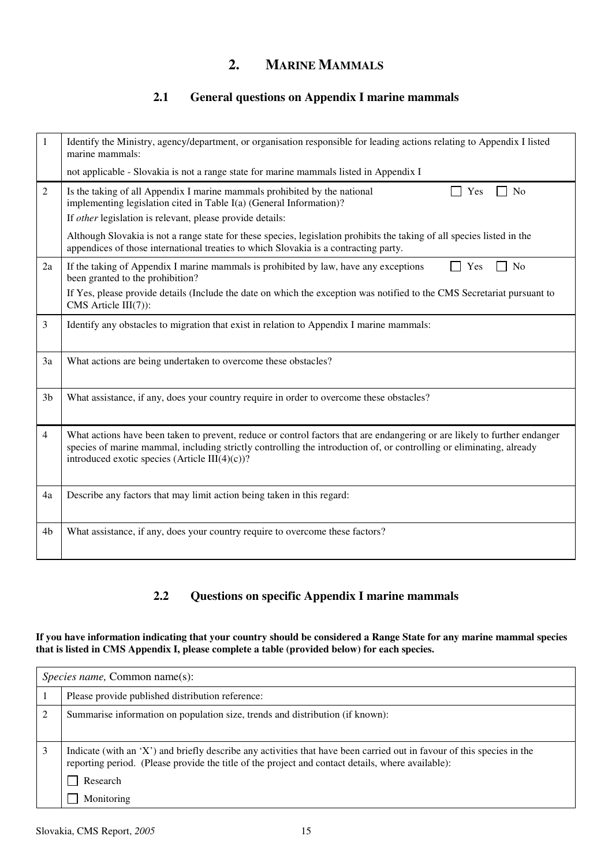### **2. MARINE MAMMALS**

### **2.1 General questions on Appendix I marine mammals**

|                | Identify the Ministry, agency/department, or organisation responsible for leading actions relating to Appendix I listed<br>marine mammals:                                                                                                                                                          |
|----------------|-----------------------------------------------------------------------------------------------------------------------------------------------------------------------------------------------------------------------------------------------------------------------------------------------------|
|                | not applicable - Slovakia is not a range state for marine mammals listed in Appendix I                                                                                                                                                                                                              |
| 2              | Is the taking of all Appendix I marine mammals prohibited by the national<br>N <sub>0</sub><br>Yes<br>implementing legislation cited in Table I(a) (General Information)?<br>If other legislation is relevant, please provide details:                                                              |
|                | Although Slovakia is not a range state for these species, legislation prohibits the taking of all species listed in the<br>appendices of those international treaties to which Slovakia is a contracting party.                                                                                     |
| 2a             | If the taking of Appendix I marine mammals is prohibited by law, have any exceptions<br>N <sub>o</sub><br>Yes<br>been granted to the prohibition?                                                                                                                                                   |
|                | If Yes, please provide details (Include the date on which the exception was notified to the CMS Secretariat pursuant to<br>CMS Article III(7)):                                                                                                                                                     |
| 3              | Identify any obstacles to migration that exist in relation to Appendix I marine mammals:                                                                                                                                                                                                            |
| 3a             | What actions are being undertaken to overcome these obstacles?                                                                                                                                                                                                                                      |
| 3 <sub>b</sub> | What assistance, if any, does your country require in order to overcome these obstacles?                                                                                                                                                                                                            |
| 4              | What actions have been taken to prevent, reduce or control factors that are endangering or are likely to further endanger<br>species of marine mammal, including strictly controlling the introduction of, or controlling or eliminating, already<br>introduced exotic species (Article III(4)(c))? |
| 4a             | Describe any factors that may limit action being taken in this regard:                                                                                                                                                                                                                              |
| 4b             | What assistance, if any, does your country require to overcome these factors?                                                                                                                                                                                                                       |

### **2.2 Questions on specific Appendix I marine mammals**

#### **If you have information indicating that your country should be considered a Range State for any marine mammal species that is listed in CMS Appendix I, please complete a table (provided below) for each species.**

| <i>Species name, Common name(s):</i>                                                                                                                                                                                        |  |
|-----------------------------------------------------------------------------------------------------------------------------------------------------------------------------------------------------------------------------|--|
| Please provide published distribution reference:                                                                                                                                                                            |  |
| Summarise information on population size, trends and distribution (if known):                                                                                                                                               |  |
| Indicate (with an 'X') and briefly describe any activities that have been carried out in favour of this species in the<br>reporting period. (Please provide the title of the project and contact details, where available): |  |
| Research                                                                                                                                                                                                                    |  |
| Monitoring                                                                                                                                                                                                                  |  |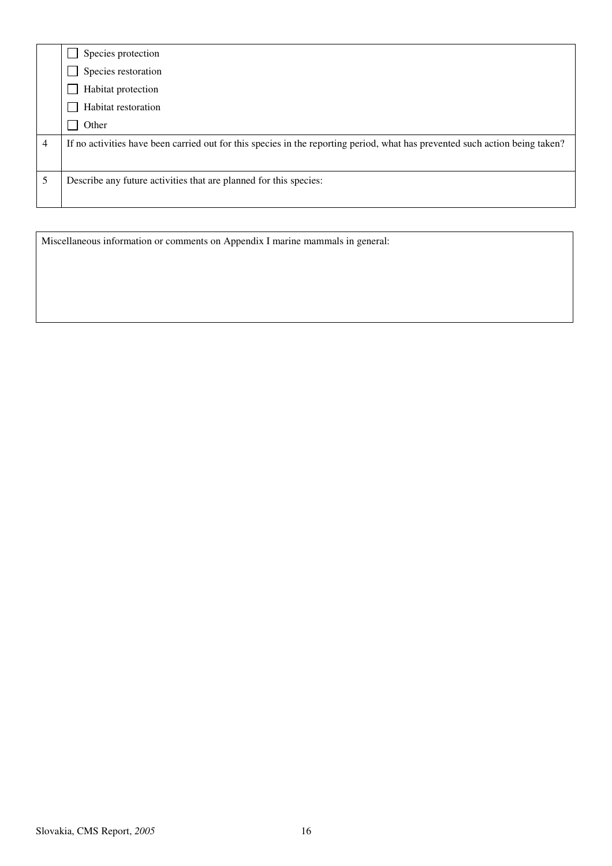|                | Species protection                                                                                                           |
|----------------|------------------------------------------------------------------------------------------------------------------------------|
|                | Species restoration                                                                                                          |
|                | Habitat protection                                                                                                           |
|                | Habitat restoration                                                                                                          |
|                | Other                                                                                                                        |
| $\overline{4}$ | If no activities have been carried out for this species in the reporting period, what has prevented such action being taken? |
| 5              | Describe any future activities that are planned for this species:                                                            |
|                |                                                                                                                              |

Miscellaneous information or comments on Appendix I marine mammals in general: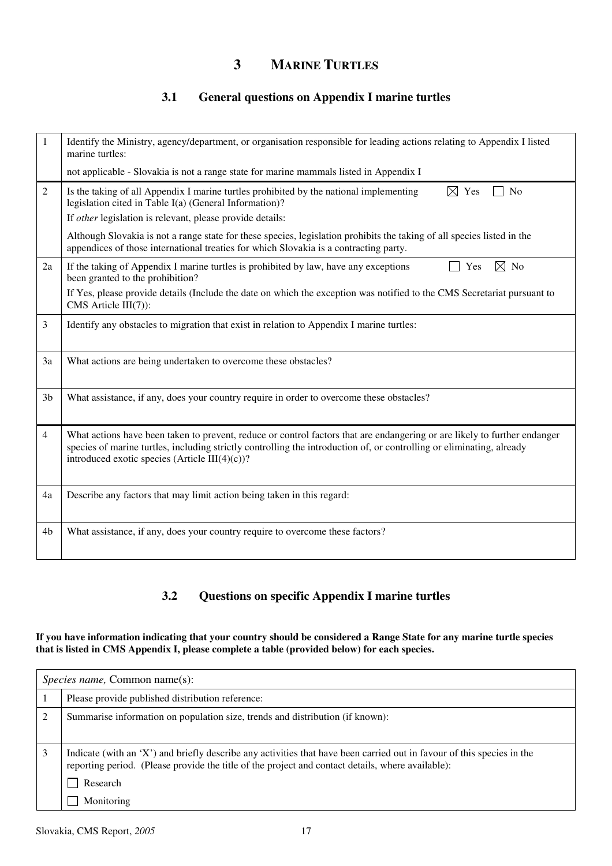### **3 MARINE TURTLES**

### **3.1 General questions on Appendix I marine turtles**

| 1              | Identify the Ministry, agency/department, or organisation responsible for leading actions relating to Appendix I listed<br>marine turtles:                                                                                                                                                               |
|----------------|----------------------------------------------------------------------------------------------------------------------------------------------------------------------------------------------------------------------------------------------------------------------------------------------------------|
|                | not applicable - Slovakia is not a range state for marine mammals listed in Appendix I                                                                                                                                                                                                                   |
| 2              | $\boxtimes$ Yes<br>Is the taking of all Appendix I marine turtles prohibited by the national implementing<br>N <sub>0</sub><br>legislation cited in Table I(a) (General Information)?<br>If other legislation is relevant, please provide details:                                                       |
|                | Although Slovakia is not a range state for these species, legislation prohibits the taking of all species listed in the<br>appendices of those international treaties for which Slovakia is a contracting party.                                                                                         |
| 2a             | If the taking of Appendix I marine turtles is prohibited by law, have any exceptions<br>$\boxtimes$ No<br>Yes<br>been granted to the prohibition?                                                                                                                                                        |
|                | If Yes, please provide details (Include the date on which the exception was notified to the CMS Secretariat pursuant to<br>CMS Article III(7)):                                                                                                                                                          |
| 3              | Identify any obstacles to migration that exist in relation to Appendix I marine turtles:                                                                                                                                                                                                                 |
| 3a             | What actions are being undertaken to overcome these obstacles?                                                                                                                                                                                                                                           |
| 3 <sub>b</sub> | What assistance, if any, does your country require in order to overcome these obstacles?                                                                                                                                                                                                                 |
| $\overline{4}$ | What actions have been taken to prevent, reduce or control factors that are endangering or are likely to further endanger<br>species of marine turtles, including strictly controlling the introduction of, or controlling or eliminating, already<br>introduced exotic species (Article III $(4)(c)$ )? |
| 4a             | Describe any factors that may limit action being taken in this regard:                                                                                                                                                                                                                                   |
| 4 <sub>b</sub> | What assistance, if any, does your country require to overcome these factors?                                                                                                                                                                                                                            |

#### **3.2 Questions on specific Appendix I marine turtles**

#### **If you have information indicating that your country should be considered a Range State for any marine turtle species that is listed in CMS Appendix I, please complete a table (provided below) for each species.**

| <i>Species name, Common name(s):</i>                                                                                                                                                                                        |  |
|-----------------------------------------------------------------------------------------------------------------------------------------------------------------------------------------------------------------------------|--|
| Please provide published distribution reference:                                                                                                                                                                            |  |
| Summarise information on population size, trends and distribution (if known):                                                                                                                                               |  |
| Indicate (with an 'X') and briefly describe any activities that have been carried out in favour of this species in the<br>reporting period. (Please provide the title of the project and contact details, where available): |  |
| Research                                                                                                                                                                                                                    |  |
| Monitoring                                                                                                                                                                                                                  |  |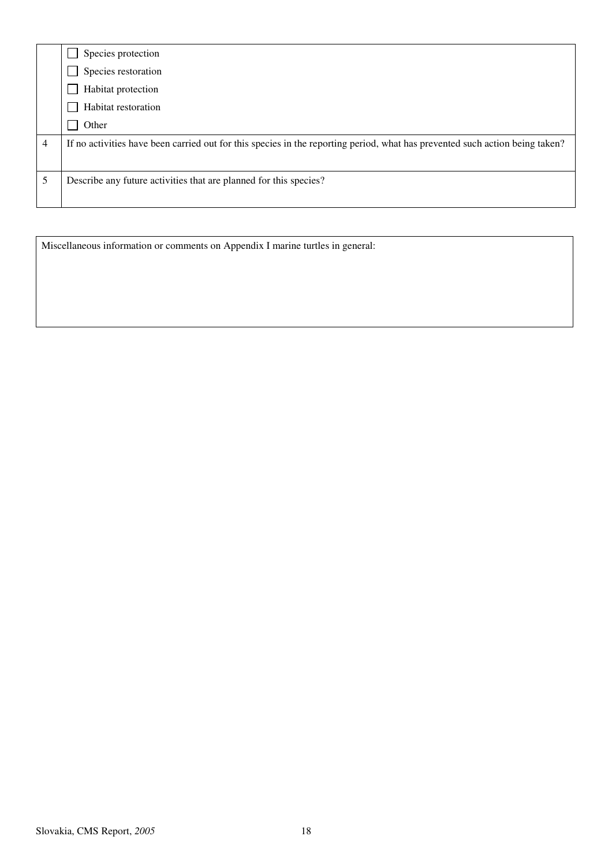|   | Species protection                                                                                                           |
|---|------------------------------------------------------------------------------------------------------------------------------|
|   | Species restoration                                                                                                          |
|   | Habitat protection                                                                                                           |
|   | Habitat restoration                                                                                                          |
|   | Other                                                                                                                        |
| 4 | If no activities have been carried out for this species in the reporting period, what has prevented such action being taken? |
|   | Describe any future activities that are planned for this species?                                                            |
|   |                                                                                                                              |

Miscellaneous information or comments on Appendix I marine turtles in general: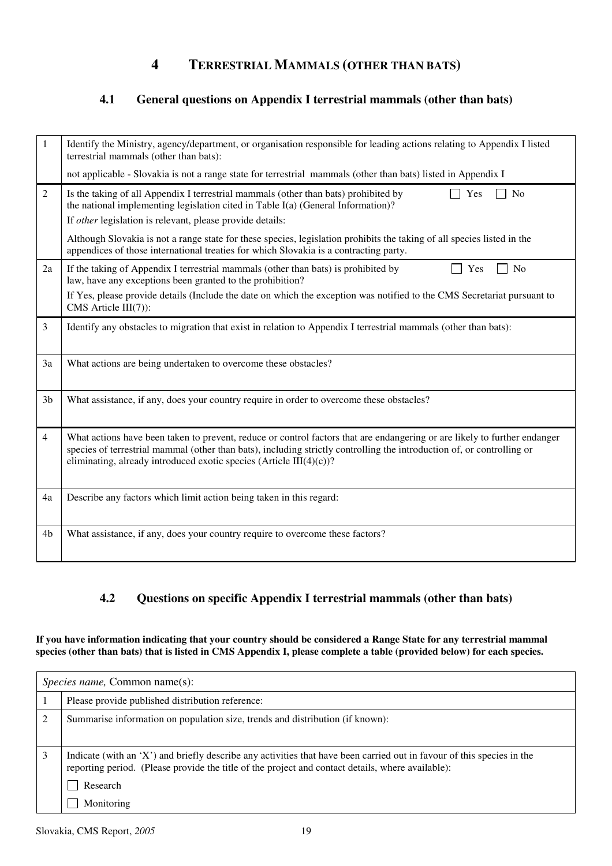### **4 TERRESTRIAL MAMMALS (OTHER THAN BATS)**

#### **4.1 General questions on Appendix I terrestrial mammals (other than bats)**

| 1              | Identify the Ministry, agency/department, or organisation responsible for leading actions relating to Appendix I listed<br>terrestrial mammals (other than bats):                                                                                                                                                          |
|----------------|----------------------------------------------------------------------------------------------------------------------------------------------------------------------------------------------------------------------------------------------------------------------------------------------------------------------------|
|                | not applicable - Slovakia is not a range state for terrestrial mammals (other than bats) listed in Appendix I                                                                                                                                                                                                              |
| 2              | Is the taking of all Appendix I terrestrial mammals (other than bats) prohibited by<br>No<br>Yes<br>the national implementing legislation cited in Table I(a) (General Information)?<br>If other legislation is relevant, please provide details:                                                                          |
|                | Although Slovakia is not a range state for these species, legislation prohibits the taking of all species listed in the<br>appendices of those international treaties for which Slovakia is a contracting party.                                                                                                           |
| 2a             | If the taking of Appendix I terrestrial mammals (other than bats) is prohibited by<br>Yes<br>No<br>law, have any exceptions been granted to the prohibition?                                                                                                                                                               |
|                | If Yes, please provide details (Include the date on which the exception was notified to the CMS Secretariat pursuant to<br>CMS Article $III(7)$ :                                                                                                                                                                          |
| 3              | Identify any obstacles to migration that exist in relation to Appendix I terrestrial mammals (other than bats):                                                                                                                                                                                                            |
| 3a             | What actions are being undertaken to overcome these obstacles?                                                                                                                                                                                                                                                             |
| 3 <sub>b</sub> | What assistance, if any, does your country require in order to overcome these obstacles?                                                                                                                                                                                                                                   |
| 4              | What actions have been taken to prevent, reduce or control factors that are endangering or are likely to further endanger<br>species of terrestrial mammal (other than bats), including strictly controlling the introduction of, or controlling or<br>eliminating, already introduced exotic species (Article III(4)(c))? |
| 4a             | Describe any factors which limit action being taken in this regard:                                                                                                                                                                                                                                                        |
| 4b             | What assistance, if any, does your country require to overcome these factors?                                                                                                                                                                                                                                              |

#### **4.2 Questions on specific Appendix I terrestrial mammals (other than bats)**

**If you have information indicating that your country should be considered a Range State for any terrestrial mammal**  species (other than bats) that is listed in CMS Appendix I, please complete a table (provided below) for each species.

| <i>Species name, Common name(s):</i>                                                                                                                                                                                        |  |
|-----------------------------------------------------------------------------------------------------------------------------------------------------------------------------------------------------------------------------|--|
| Please provide published distribution reference:                                                                                                                                                                            |  |
| Summarise information on population size, trends and distribution (if known):                                                                                                                                               |  |
| Indicate (with an 'X') and briefly describe any activities that have been carried out in favour of this species in the<br>reporting period. (Please provide the title of the project and contact details, where available): |  |
| Research                                                                                                                                                                                                                    |  |
| Monitoring                                                                                                                                                                                                                  |  |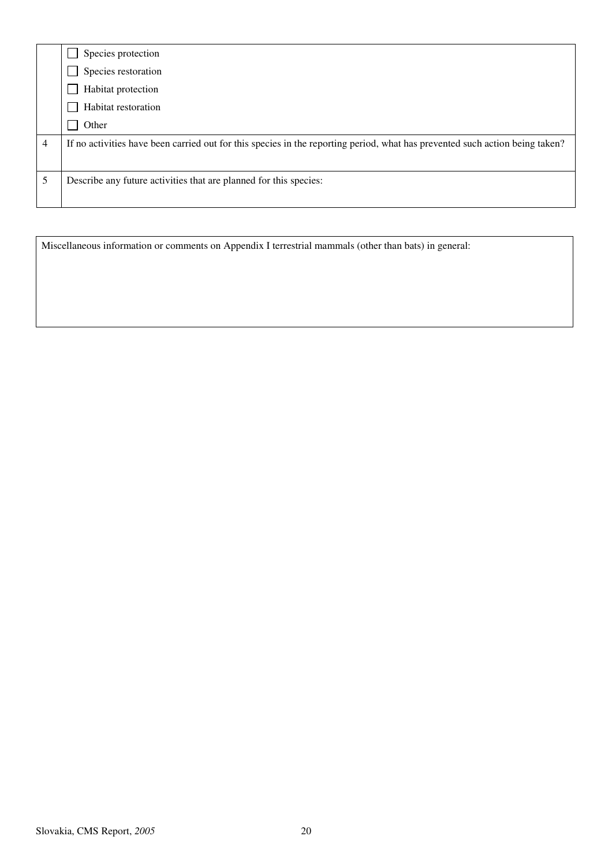|   | Species protection                                                                                                           |
|---|------------------------------------------------------------------------------------------------------------------------------|
|   | Species restoration                                                                                                          |
|   | Habitat protection                                                                                                           |
|   | Habitat restoration                                                                                                          |
|   | Other                                                                                                                        |
| 4 | If no activities have been carried out for this species in the reporting period, what has prevented such action being taken? |
|   | Describe any future activities that are planned for this species:                                                            |

Miscellaneous information or comments on Appendix I terrestrial mammals (other than bats) in general: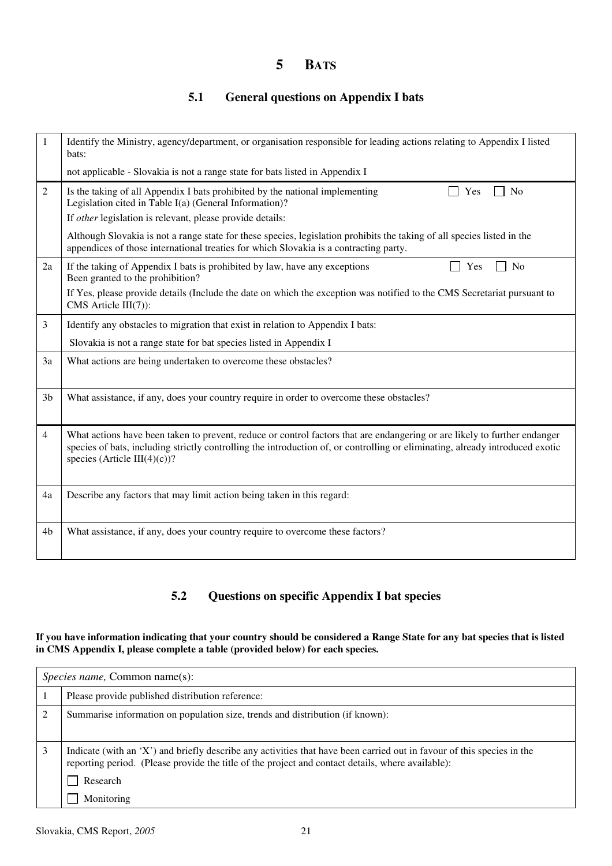### **5 BATS**

### **5.1 General questions on Appendix I bats**

| 1              | Identify the Ministry, agency/department, or organisation responsible for leading actions relating to Appendix I listed<br>bats:                                                                                                                                                           |
|----------------|--------------------------------------------------------------------------------------------------------------------------------------------------------------------------------------------------------------------------------------------------------------------------------------------|
|                | not applicable - Slovakia is not a range state for bats listed in Appendix I                                                                                                                                                                                                               |
| 2              | Is the taking of all Appendix I bats prohibited by the national implementing<br>N <sub>o</sub><br>Yes<br>Legislation cited in Table I(a) (General Information)?                                                                                                                            |
|                | If other legislation is relevant, please provide details:                                                                                                                                                                                                                                  |
|                | Although Slovakia is not a range state for these species, legislation prohibits the taking of all species listed in the<br>appendices of those international treaties for which Slovakia is a contracting party.                                                                           |
| 2a             | If the taking of Appendix I bats is prohibited by law, have any exceptions<br>No<br>Yes<br>Been granted to the prohibition?                                                                                                                                                                |
|                | If Yes, please provide details (Include the date on which the exception was notified to the CMS Secretariat pursuant to<br>CMS Article III(7)):                                                                                                                                            |
| 3              | Identify any obstacles to migration that exist in relation to Appendix I bats:                                                                                                                                                                                                             |
|                | Slovakia is not a range state for bat species listed in Appendix I                                                                                                                                                                                                                         |
| 3a             | What actions are being undertaken to overcome these obstacles?                                                                                                                                                                                                                             |
| 3 <sub>b</sub> | What assistance, if any, does your country require in order to overcome these obstacles?                                                                                                                                                                                                   |
| $\overline{4}$ | What actions have been taken to prevent, reduce or control factors that are endangering or are likely to further endanger<br>species of bats, including strictly controlling the introduction of, or controlling or eliminating, already introduced exotic<br>species (Article III(4)(c))? |
| 4a             | Describe any factors that may limit action being taken in this regard:                                                                                                                                                                                                                     |
| 4 <sub>b</sub> | What assistance, if any, does your country require to overcome these factors?                                                                                                                                                                                                              |

#### **5.2 Questions on specific Appendix I bat species**

#### **If you have information indicating that your country should be considered a Range State for any bat species that is listed in CMS Appendix I, please complete a table (provided below) for each species.**

| <i>Species name, Common name(s):</i>                                                                                                                                                                                        |  |
|-----------------------------------------------------------------------------------------------------------------------------------------------------------------------------------------------------------------------------|--|
| Please provide published distribution reference:                                                                                                                                                                            |  |
| Summarise information on population size, trends and distribution (if known):                                                                                                                                               |  |
| Indicate (with an 'X') and briefly describe any activities that have been carried out in favour of this species in the<br>reporting period. (Please provide the title of the project and contact details, where available): |  |
| Research                                                                                                                                                                                                                    |  |
| Monitoring                                                                                                                                                                                                                  |  |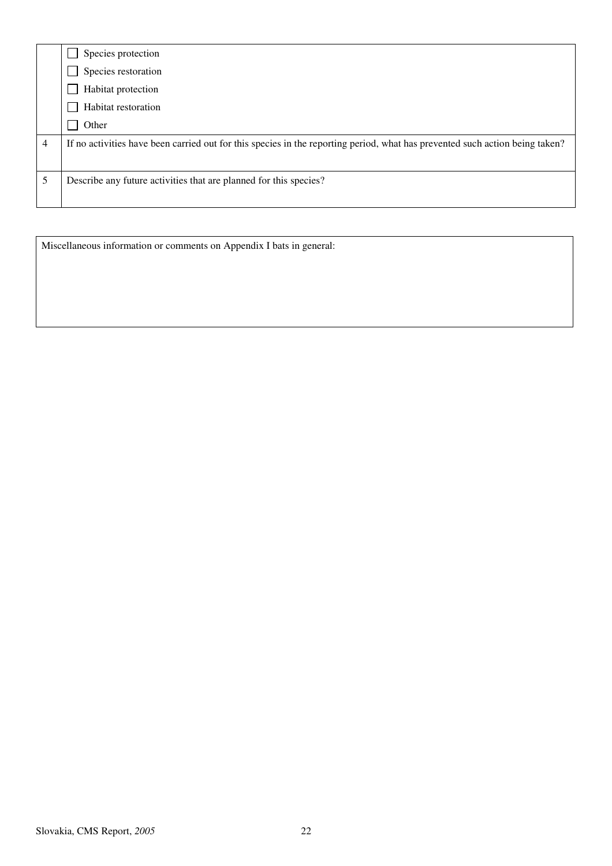|   | Species protection                                                                                                           |
|---|------------------------------------------------------------------------------------------------------------------------------|
|   | Species restoration                                                                                                          |
|   | Habitat protection                                                                                                           |
|   | Habitat restoration                                                                                                          |
|   | Other                                                                                                                        |
| 4 | If no activities have been carried out for this species in the reporting period, what has prevented such action being taken? |
|   | Describe any future activities that are planned for this species?                                                            |
|   |                                                                                                                              |

Miscellaneous information or comments on Appendix I bats in general: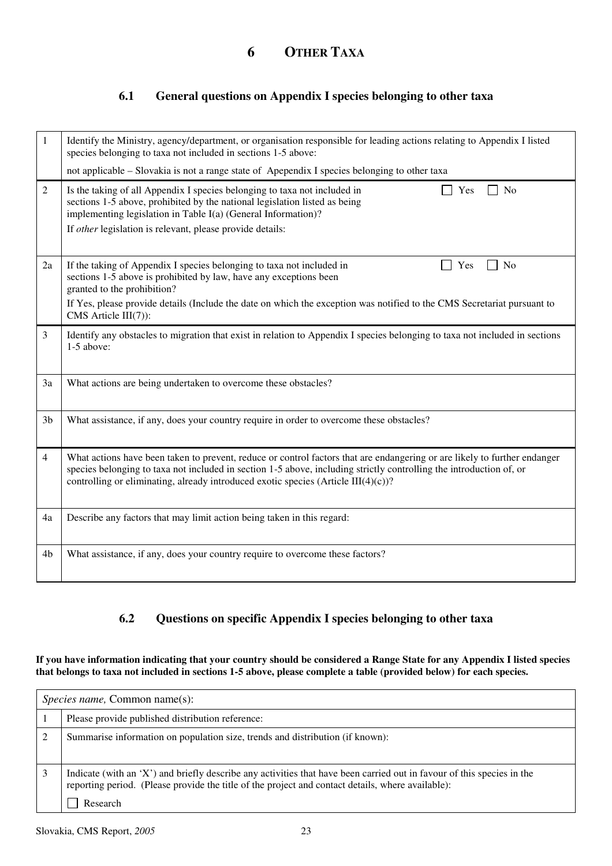#### **6.1 General questions on Appendix I species belonging to other taxa**

| 1              | Identify the Ministry, agency/department, or organisation responsible for leading actions relating to Appendix I listed<br>species belonging to taxa not included in sections 1-5 above:<br>not applicable – Slovakia is not a range state of Apependix I species belonging to other taxa                                                               |
|----------------|---------------------------------------------------------------------------------------------------------------------------------------------------------------------------------------------------------------------------------------------------------------------------------------------------------------------------------------------------------|
| $\overline{2}$ | Is the taking of all Appendix I species belonging to taxa not included in<br>Yes<br>N <sub>o</sub><br>sections 1-5 above, prohibited by the national legislation listed as being<br>implementing legislation in Table I(a) (General Information)?<br>If other legislation is relevant, please provide details:                                          |
| 2a             | If the taking of Appendix I species belonging to taxa not included in<br>N <sub>0</sub><br>Yes<br>sections 1-5 above is prohibited by law, have any exceptions been<br>granted to the prohibition?<br>If Yes, please provide details (Include the date on which the exception was notified to the CMS Secretariat pursuant to<br>CMS Article $III(7)$ : |
| 3              | Identify any obstacles to migration that exist in relation to Appendix I species belonging to taxa not included in sections<br>1-5 above:                                                                                                                                                                                                               |
| 3a             | What actions are being undertaken to overcome these obstacles?                                                                                                                                                                                                                                                                                          |
| 3 <sub>b</sub> | What assistance, if any, does your country require in order to overcome these obstacles?                                                                                                                                                                                                                                                                |
| 4              | What actions have been taken to prevent, reduce or control factors that are endangering or are likely to further endanger<br>species belonging to taxa not included in section 1-5 above, including strictly controlling the introduction of, or<br>controlling or eliminating, already introduced exotic species (Article III $(4)(c)$ )?              |
| 4a             | Describe any factors that may limit action being taken in this regard:                                                                                                                                                                                                                                                                                  |
| 4 <sub>b</sub> | What assistance, if any, does your country require to overcome these factors?                                                                                                                                                                                                                                                                           |

### **6.2 Questions on specific Appendix I species belonging to other taxa**

**If you have information indicating that your country should be considered a Range State for any Appendix I listed species that belongs to taxa not included in sections 1-5 above, please complete a table (provided below) for each species.** 

| <i>Species name, Common name(s):</i>                                                                                                                                                                                                    |  |
|-----------------------------------------------------------------------------------------------------------------------------------------------------------------------------------------------------------------------------------------|--|
| Please provide published distribution reference:                                                                                                                                                                                        |  |
| Summarise information on population size, trends and distribution (if known):                                                                                                                                                           |  |
| Indicate (with an 'X') and briefly describe any activities that have been carried out in favour of this species in the<br>reporting period. (Please provide the title of the project and contact details, where available):<br>Research |  |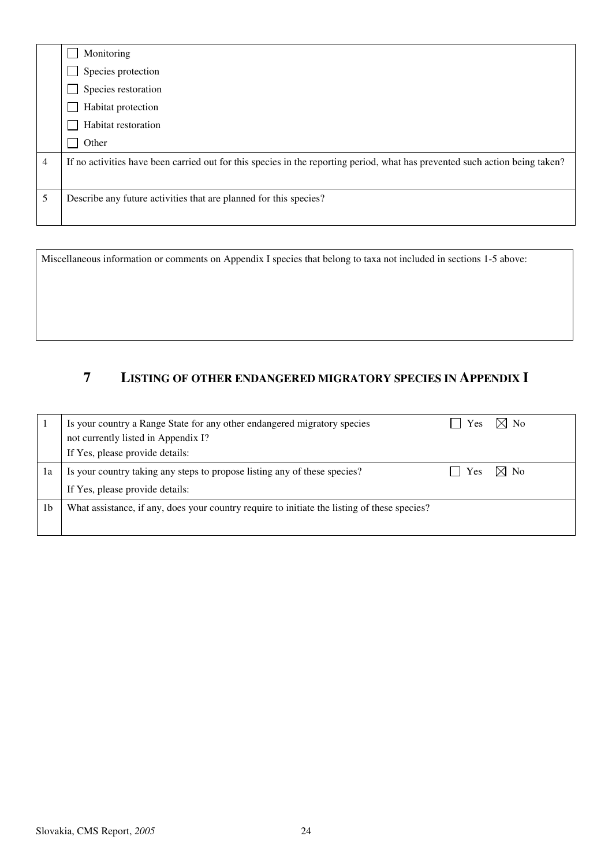|   | Monitoring                                                                                                                   |
|---|------------------------------------------------------------------------------------------------------------------------------|
|   | Species protection                                                                                                           |
|   | Species restoration                                                                                                          |
|   | Habitat protection                                                                                                           |
|   | Habitat restoration                                                                                                          |
|   | Other                                                                                                                        |
| 4 | If no activities have been carried out for this species in the reporting period, what has prevented such action being taken? |
|   |                                                                                                                              |
| 5 | Describe any future activities that are planned for this species?                                                            |
|   |                                                                                                                              |

Miscellaneous information or comments on Appendix I species that belong to taxa not included in sections 1-5 above:

#### **7 LISTING OF OTHER ENDANGERED MIGRATORY SPECIES IN APPENDIX I**

|                | Is your country a Range State for any other endangered migratory species                     | Yes | $\boxtimes$ No |
|----------------|----------------------------------------------------------------------------------------------|-----|----------------|
|                | not currently listed in Appendix I?                                                          |     |                |
|                | If Yes, please provide details:                                                              |     |                |
| 1a             | Is your country taking any steps to propose listing any of these species?                    | Yes | $\boxtimes$ No |
|                | If Yes, please provide details:                                                              |     |                |
| 1 <sub>b</sub> | What assistance, if any, does your country require to initiate the listing of these species? |     |                |
|                |                                                                                              |     |                |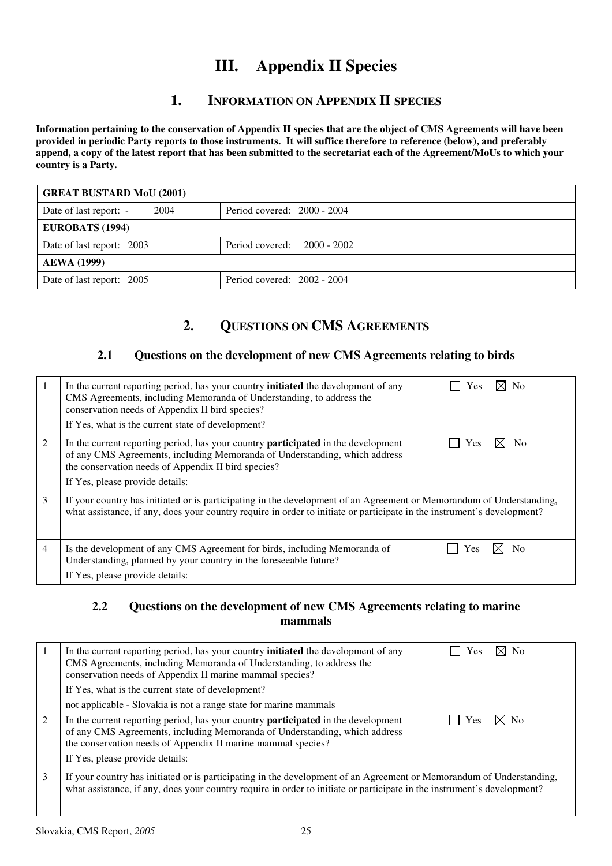## **III. Appendix II Species**

### **1. INFORMATION ON APPENDIX II SPECIES**

**Information pertaining to the conservation of Appendix II species that are the object of CMS Agreements will have been provided in periodic Party reports to those instruments. It will suffice therefore to reference (below), and preferably append, a copy of the latest report that has been submitted to the secretariat each of the Agreement/MoUs to which your country is a Party.** 

| <b>GREAT BUSTARD MoU (2001)</b> |                               |
|---------------------------------|-------------------------------|
| 2004<br>Date of last report: -  | Period covered: $2000 - 2004$ |
| <b>EUROBATS (1994)</b>          |                               |
| Date of last report: 2003       | Period covered: $2000 - 2002$ |
| <b>AEWA</b> (1999)              |                               |
| Date of last report: 2005       | Period covered: $2002 - 2004$ |

### **2. QUESTIONS ON CMS AGREEMENTS**

#### **2.1 Questions on the development of new CMS Agreements relating to birds**

| 1 | $\times$ No<br>In the current reporting period, has your country <b>initiated</b> the development of any<br>Yes<br>CMS Agreements, including Memoranda of Understanding, to address the<br>conservation needs of Appendix II bird species?<br>If Yes, what is the current state of development? |
|---|-------------------------------------------------------------------------------------------------------------------------------------------------------------------------------------------------------------------------------------------------------------------------------------------------|
| 2 | In the current reporting period, has your country <b>participated</b> in the development<br>N <sub>0</sub><br>Yes<br>of any CMS Agreements, including Memoranda of Understanding, which address<br>the conservation needs of Appendix II bird species?<br>If Yes, please provide details:       |
| 3 | If your country has initiated or is participating in the development of an Agreement or Memorandum of Understanding,<br>what assistance, if any, does your country require in order to initiate or participate in the instrument's development?                                                 |
| 4 | Is the development of any CMS Agreement for birds, including Memoranda of<br>N٥<br>Y es<br>Understanding, planned by your country in the foreseeable future?<br>If Yes, please provide details:                                                                                                 |

#### **2.2 Questions on the development of new CMS Agreements relating to marine mammals**

|   | In the current reporting period, has your country <b>initiated</b> the development of any<br>⊠ No<br>Yes<br>CMS Agreements, including Memoranda of Understanding, to address the<br>conservation needs of Appendix II marine mammal species?<br>If Yes, what is the current state of development?<br>not applicable - Slovakia is not a range state for marine mammals |
|---|------------------------------------------------------------------------------------------------------------------------------------------------------------------------------------------------------------------------------------------------------------------------------------------------------------------------------------------------------------------------|
| 2 | In the current reporting period, has your country <b>participated</b> in the development<br>Yes<br>N <sub>0</sub><br>of any CMS Agreements, including Memoranda of Understanding, which address<br>the conservation needs of Appendix II marine mammal species?<br>If Yes, please provide details:                                                                     |
| 3 | If your country has initiated or is participating in the development of an Agreement or Memorandum of Understanding,<br>what assistance, if any, does your country require in order to initiate or participate in the instrument's development?                                                                                                                        |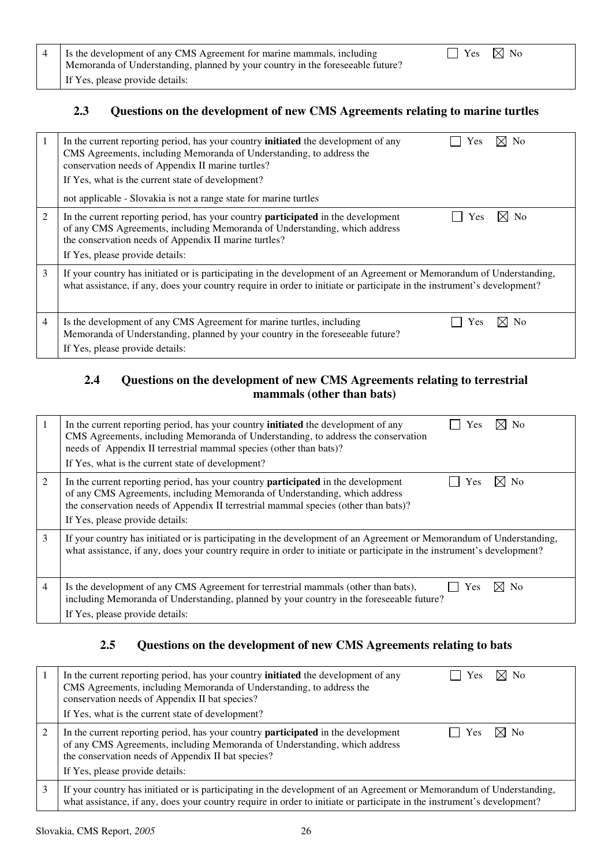| 4 S Is the development of any CMS Agreement for marine mammals, including<br>Memoranda of Understanding, planned by your country in the foreseeable future? | $\Box$ Yes $\boxtimes$ No |  |
|-------------------------------------------------------------------------------------------------------------------------------------------------------------|---------------------------|--|
| If Yes, please provide details:                                                                                                                             |                           |  |

#### **2.3 Questions on the development of new CMS Agreements relating to marine turtles**

| 1 | $\boxtimes$ No<br>In the current reporting period, has your country <b>initiated</b> the development of any<br>Yes<br>CMS Agreements, including Memoranda of Understanding, to address the<br>conservation needs of Appendix II marine turtles?<br>If Yes, what is the current state of development?<br>not applicable - Slovakia is not a range state for marine turtles |
|---|---------------------------------------------------------------------------------------------------------------------------------------------------------------------------------------------------------------------------------------------------------------------------------------------------------------------------------------------------------------------------|
| 2 | ⊠ No<br>Yes<br>In the current reporting period, has your country <b>participated</b> in the development<br>of any CMS Agreements, including Memoranda of Understanding, which address<br>the conservation needs of Appendix II marine turtles?<br>If Yes, please provide details:                                                                                         |
| 3 | If your country has initiated or is participating in the development of an Agreement or Memorandum of Understanding,<br>what assistance, if any, does your country require in order to initiate or participate in the instrument's development?                                                                                                                           |
| 4 | Is the development of any CMS Agreement for marine turtles, including<br>N <sub>0</sub><br>Yes<br>Memoranda of Understanding, planned by your country in the foreseeable future?<br>If Yes, please provide details:                                                                                                                                                       |

#### **2.4 Questions on the development of new CMS Agreements relating to terrestrial mammals (other than bats)**

|                | $\times$ No<br>In the current reporting period, has your country <b>initiated</b> the development of any<br>Yes<br>CMS Agreements, including Memoranda of Understanding, to address the conservation<br>needs of Appendix II terrestrial mammal species (other than bats)?<br>If Yes, what is the current state of development? |
|----------------|---------------------------------------------------------------------------------------------------------------------------------------------------------------------------------------------------------------------------------------------------------------------------------------------------------------------------------|
| 2              | N <sub>0</sub><br>In the current reporting period, has your country <b>participated</b> in the development<br>Yes<br>of any CMS Agreements, including Memoranda of Understanding, which address<br>the conservation needs of Appendix II terrestrial mammal species (other than bats)?<br>If Yes, please provide details:       |
| 3              | If your country has initiated or is participating in the development of an Agreement or Memorandum of Understanding,<br>what assistance, if any, does your country require in order to initiate or participate in the instrument's development?                                                                                 |
| $\overline{4}$ | Is the development of any CMS Agreement for terrestrial mammals (other than bats),<br>Yes<br>N <sub>0</sub><br>including Memoranda of Understanding, planned by your country in the foreseeable future?<br>If Yes, please provide details:                                                                                      |

### **2.5 Questions on the development of new CMS Agreements relating to bats**

|   | ⊠ No<br>In the current reporting period, has your country <b>initiated</b> the development of any<br>Yes<br>CMS Agreements, including Memoranda of Understanding, to address the<br>conservation needs of Appendix II bat species?<br>If Yes, what is the current state of development?         |
|---|-------------------------------------------------------------------------------------------------------------------------------------------------------------------------------------------------------------------------------------------------------------------------------------------------|
|   | In the current reporting period, has your country <b>participated</b> in the development<br>$\boxtimes$ No<br><b>Yes</b><br>of any CMS Agreements, including Memoranda of Understanding, which address<br>the conservation needs of Appendix II bat species?<br>If Yes, please provide details: |
| 3 | If your country has initiated or is participating in the development of an Agreement or Memorandum of Understanding,<br>what assistance, if any, does your country require in order to initiate or participate in the instrument's development?                                                 |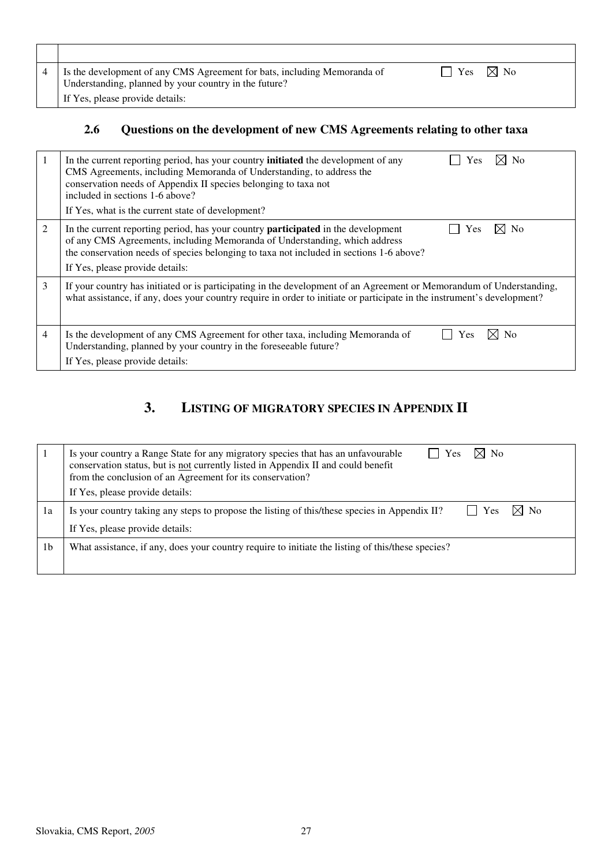| Is the development of any CMS Agreement for bats, including Memoranda of<br>Understanding, planned by your country in the future? | $\boxtimes$ No<br>Yes |  |
|-----------------------------------------------------------------------------------------------------------------------------------|-----------------------|--|
| If Yes, please provide details:                                                                                                   |                       |  |

## **2.6 Questions on the development of new CMS Agreements relating to other taxa**

|   | ⊠ No<br>In the current reporting period, has your country <b>initiated</b> the development of any<br>Yes<br>CMS Agreements, including Memoranda of Understanding, to address the<br>conservation needs of Appendix II species belonging to taxa not<br>included in sections 1-6 above?<br>If Yes, what is the current state of development? |
|---|---------------------------------------------------------------------------------------------------------------------------------------------------------------------------------------------------------------------------------------------------------------------------------------------------------------------------------------------|
| 2 | In the current reporting period, has your country <b>participated</b> in the development<br><b>No</b><br>Yes<br>of any CMS Agreements, including Memoranda of Understanding, which address<br>the conservation needs of species belonging to taxa not included in sections 1-6 above?<br>If Yes, please provide details:                    |
| 3 | If your country has initiated or is participating in the development of an Agreement or Memorandum of Understanding,<br>what assistance, if any, does your country require in order to initiate or participate in the instrument's development?                                                                                             |
| 4 | $\times$<br><b>No</b><br>Is the development of any CMS Agreement for other taxa, including Memoranda of<br>Yes<br>Understanding, planned by your country in the foreseeable future?<br>If Yes, please provide details:                                                                                                                      |

### **3. LISTING OF MIGRATORY SPECIES IN APPENDIX II**

|                | $\boxtimes$ No<br>Is your country a Range State for any migratory species that has an unfavourable<br><b>Yes</b><br>conservation status, but is not currently listed in Appendix II and could benefit<br>from the conclusion of an Agreement for its conservation?<br>If Yes, please provide details: |
|----------------|-------------------------------------------------------------------------------------------------------------------------------------------------------------------------------------------------------------------------------------------------------------------------------------------------------|
| 1a             | $\boxtimes$ No<br>Yes<br>Is your country taking any steps to propose the listing of this/these species in Appendix II?<br>$\Box$                                                                                                                                                                      |
|                | If Yes, please provide details:                                                                                                                                                                                                                                                                       |
| 1 <sub>b</sub> | What assistance, if any, does your country require to initiate the listing of this/these species?                                                                                                                                                                                                     |
|                |                                                                                                                                                                                                                                                                                                       |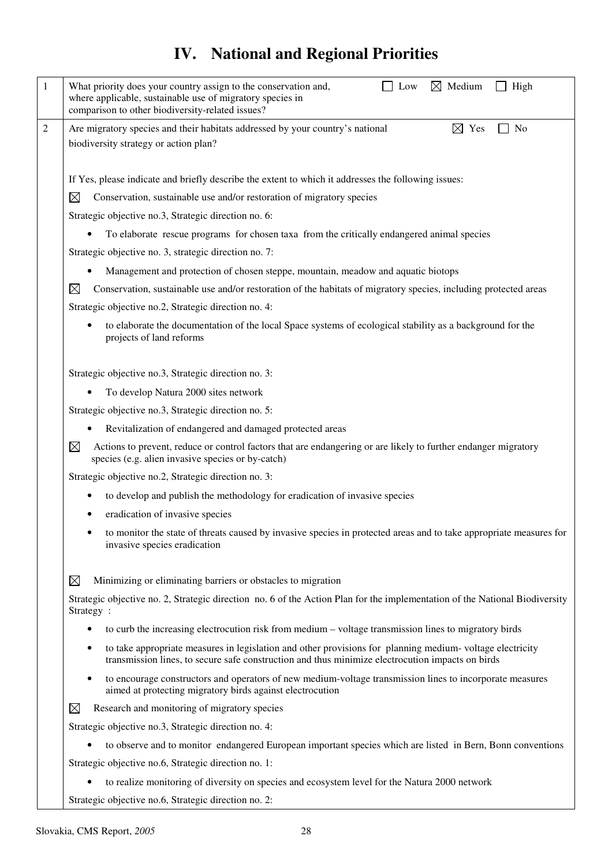# **IV. National and Regional Priorities**

| 1 | $\boxtimes$ Medium<br>What priority does your country assign to the conservation and,<br>Low<br>$\Box$ High<br>where applicable, sustainable use of migratory species in<br>comparison to other biodiversity-related issues? |  |  |  |  |  |  |  |  |
|---|------------------------------------------------------------------------------------------------------------------------------------------------------------------------------------------------------------------------------|--|--|--|--|--|--|--|--|
| 2 | $\boxtimes$ Yes<br>Are migratory species and their habitats addressed by your country's national<br>No<br>biodiversity strategy or action plan?                                                                              |  |  |  |  |  |  |  |  |
|   | If Yes, please indicate and briefly describe the extent to which it addresses the following issues:                                                                                                                          |  |  |  |  |  |  |  |  |
|   | $\boxtimes$<br>Conservation, sustainable use and/or restoration of migratory species                                                                                                                                         |  |  |  |  |  |  |  |  |
|   | Strategic objective no.3, Strategic direction no. 6:                                                                                                                                                                         |  |  |  |  |  |  |  |  |
|   | To elaborate rescue programs for chosen taxa from the critically endangered animal species                                                                                                                                   |  |  |  |  |  |  |  |  |
|   | Strategic objective no. 3, strategic direction no. 7:                                                                                                                                                                        |  |  |  |  |  |  |  |  |
|   | Management and protection of chosen steppe, mountain, meadow and aquatic biotops                                                                                                                                             |  |  |  |  |  |  |  |  |
|   | $\boxtimes$<br>Conservation, sustainable use and/or restoration of the habitats of migratory species, including protected areas                                                                                              |  |  |  |  |  |  |  |  |
|   | Strategic objective no.2, Strategic direction no. 4:                                                                                                                                                                         |  |  |  |  |  |  |  |  |
|   | to elaborate the documentation of the local Space systems of ecological stability as a background for the<br>projects of land reforms                                                                                        |  |  |  |  |  |  |  |  |
|   | Strategic objective no.3, Strategic direction no. 3:                                                                                                                                                                         |  |  |  |  |  |  |  |  |
|   | To develop Natura 2000 sites network                                                                                                                                                                                         |  |  |  |  |  |  |  |  |
|   | Strategic objective no.3, Strategic direction no. 5:                                                                                                                                                                         |  |  |  |  |  |  |  |  |
|   | Revitalization of endangered and damaged protected areas                                                                                                                                                                     |  |  |  |  |  |  |  |  |
|   | $\boxtimes$<br>Actions to prevent, reduce or control factors that are endangering or are likely to further endanger migratory<br>species (e.g. alien invasive species or by-catch)                                           |  |  |  |  |  |  |  |  |
|   | Strategic objective no.2, Strategic direction no. 3:                                                                                                                                                                         |  |  |  |  |  |  |  |  |
|   | to develop and publish the methodology for eradication of invasive species                                                                                                                                                   |  |  |  |  |  |  |  |  |
|   | eradication of invasive species                                                                                                                                                                                              |  |  |  |  |  |  |  |  |
|   | to monitor the state of threats caused by invasive species in protected areas and to take appropriate measures for<br>invasive species eradication                                                                           |  |  |  |  |  |  |  |  |
|   | $\boxtimes$<br>Minimizing or eliminating barriers or obstacles to migration                                                                                                                                                  |  |  |  |  |  |  |  |  |
|   | Strategic objective no. 2, Strategic direction no. 6 of the Action Plan for the implementation of the National Biodiversity<br>Strategy:                                                                                     |  |  |  |  |  |  |  |  |
|   | to curb the increasing electrocution risk from medium – voltage transmission lines to migratory birds<br>٠                                                                                                                   |  |  |  |  |  |  |  |  |
|   | to take appropriate measures in legislation and other provisions for planning medium-voltage electricity<br>$\bullet$<br>transmission lines, to secure safe construction and thus minimize electrocution impacts on birds    |  |  |  |  |  |  |  |  |
|   | to encourage constructors and operators of new medium-voltage transmission lines to incorporate measures<br>$\bullet$<br>aimed at protecting migratory birds against electrocution                                           |  |  |  |  |  |  |  |  |
|   | $\boxtimes$<br>Research and monitoring of migratory species                                                                                                                                                                  |  |  |  |  |  |  |  |  |
|   | Strategic objective no.3, Strategic direction no. 4:                                                                                                                                                                         |  |  |  |  |  |  |  |  |
|   | to observe and to monitor endangered European important species which are listed in Bern, Bonn conventions                                                                                                                   |  |  |  |  |  |  |  |  |
|   | Strategic objective no.6, Strategic direction no. 1:                                                                                                                                                                         |  |  |  |  |  |  |  |  |
|   | to realize monitoring of diversity on species and ecosystem level for the Natura 2000 network                                                                                                                                |  |  |  |  |  |  |  |  |
|   | Strategic objective no.6, Strategic direction no. 2:                                                                                                                                                                         |  |  |  |  |  |  |  |  |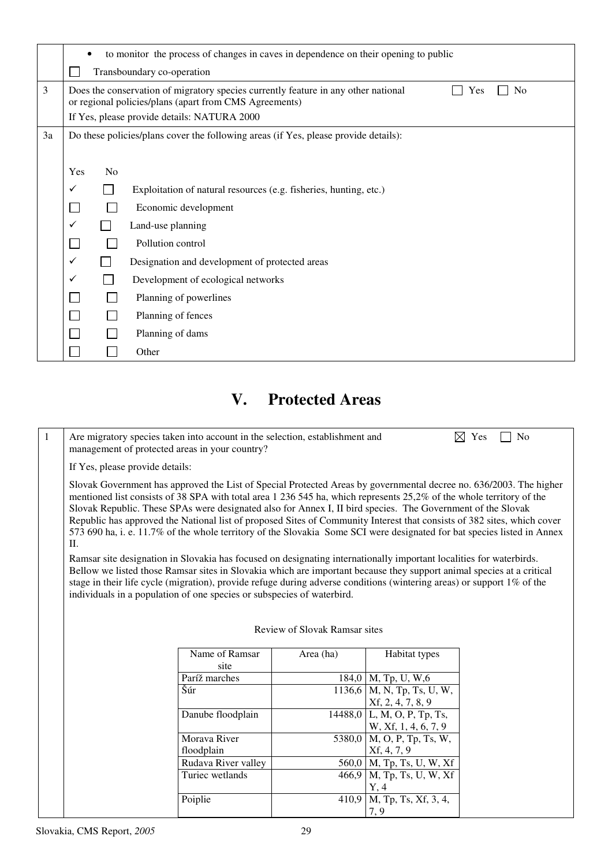|    | to monitor the process of changes in caves in dependence on their opening to public<br>$\bullet$ |                                                                                                                                                                       |                                                                                     |  |  |  |  |  |  |
|----|--------------------------------------------------------------------------------------------------|-----------------------------------------------------------------------------------------------------------------------------------------------------------------------|-------------------------------------------------------------------------------------|--|--|--|--|--|--|
|    |                                                                                                  | Transboundary co-operation                                                                                                                                            |                                                                                     |  |  |  |  |  |  |
| 3  |                                                                                                  | Does the conservation of migratory species currently feature in any other national<br>N <sub>0</sub><br>Yes<br>or regional policies/plans (apart from CMS Agreements) |                                                                                     |  |  |  |  |  |  |
|    |                                                                                                  |                                                                                                                                                                       | If Yes, please provide details: NATURA 2000                                         |  |  |  |  |  |  |
| 3a |                                                                                                  |                                                                                                                                                                       | Do these policies/plans cover the following areas (if Yes, please provide details): |  |  |  |  |  |  |
|    |                                                                                                  |                                                                                                                                                                       |                                                                                     |  |  |  |  |  |  |
|    | Yes                                                                                              | No                                                                                                                                                                    |                                                                                     |  |  |  |  |  |  |
|    | $\checkmark$                                                                                     |                                                                                                                                                                       | Exploitation of natural resources (e.g. fisheries, hunting, etc.)                   |  |  |  |  |  |  |
|    |                                                                                                  |                                                                                                                                                                       | Economic development                                                                |  |  |  |  |  |  |
|    | ✓<br>Land-use planning                                                                           |                                                                                                                                                                       |                                                                                     |  |  |  |  |  |  |
|    |                                                                                                  |                                                                                                                                                                       | Pollution control                                                                   |  |  |  |  |  |  |
|    | $\checkmark$                                                                                     |                                                                                                                                                                       | Designation and development of protected areas                                      |  |  |  |  |  |  |
|    | ✓                                                                                                |                                                                                                                                                                       | Development of ecological networks                                                  |  |  |  |  |  |  |
|    |                                                                                                  |                                                                                                                                                                       | Planning of powerlines                                                              |  |  |  |  |  |  |
|    |                                                                                                  |                                                                                                                                                                       | Planning of fences                                                                  |  |  |  |  |  |  |
|    |                                                                                                  |                                                                                                                                                                       | Planning of dams                                                                    |  |  |  |  |  |  |
|    |                                                                                                  |                                                                                                                                                                       | Other                                                                               |  |  |  |  |  |  |

## **V. Protected Areas**

| $\mathbf{1}$ | Are migratory species taken into account in the selection, establishment and<br>management of protected areas in your country?                                                                                                                                                                                                                                                                                                                                                                                                                                                                                             | $\boxtimes$ Yes<br>N <sub>0</sub> |                               |                                                   |  |  |  |  |  |
|--------------|----------------------------------------------------------------------------------------------------------------------------------------------------------------------------------------------------------------------------------------------------------------------------------------------------------------------------------------------------------------------------------------------------------------------------------------------------------------------------------------------------------------------------------------------------------------------------------------------------------------------------|-----------------------------------|-------------------------------|---------------------------------------------------|--|--|--|--|--|
|              | If Yes, please provide details:                                                                                                                                                                                                                                                                                                                                                                                                                                                                                                                                                                                            |                                   |                               |                                                   |  |  |  |  |  |
|              | Slovak Government has approved the List of Special Protected Areas by governmental decree no. 636/2003. The higher<br>mentioned list consists of 38 SPA with total area 1 236 545 ha, which represents 25,2% of the whole territory of the<br>Slovak Republic. These SPAs were designated also for Annex I, II bird species. The Government of the Slovak<br>Republic has approved the National list of proposed Sites of Community Interest that consists of 382 sites, which cover<br>573 690 ha, i. e. 11.7% of the whole territory of the Slovakia Some SCI were designated for bat species listed in Annex<br>$\Pi$ . |                                   |                               |                                                   |  |  |  |  |  |
|              | Ramsar site designation in Slovakia has focused on designating internationally important localities for waterbirds.<br>Bellow we listed those Ramsar sites in Slovakia which are important because they support animal species at a critical<br>stage in their life cycle (migration), provide refuge during adverse conditions (wintering areas) or support $1\%$ of the<br>individuals in a population of one species or subspecies of waterbird.                                                                                                                                                                        |                                   |                               |                                                   |  |  |  |  |  |
|              |                                                                                                                                                                                                                                                                                                                                                                                                                                                                                                                                                                                                                            |                                   | Review of Slovak Ramsar sites |                                                   |  |  |  |  |  |
|              |                                                                                                                                                                                                                                                                                                                                                                                                                                                                                                                                                                                                                            | Name of Ramsar<br>site            | Area (ha)                     | Habitat types                                     |  |  |  |  |  |
|              |                                                                                                                                                                                                                                                                                                                                                                                                                                                                                                                                                                                                                            | Paríž marches                     |                               | $184,0$   M, Tp, U, W, 6                          |  |  |  |  |  |
|              |                                                                                                                                                                                                                                                                                                                                                                                                                                                                                                                                                                                                                            | Šúr                               |                               | 1136,6   M, N, Tp, Ts, U, W,<br>Xf, 2, 4, 7, 8, 9 |  |  |  |  |  |
|              |                                                                                                                                                                                                                                                                                                                                                                                                                                                                                                                                                                                                                            | Danube floodplain                 | 14488,0                       | L, M, O, P, Tp, Ts,<br>W, Xf, 1, 4, 6, 7, 9       |  |  |  |  |  |
|              | Morava River<br>M, O, P, Tp, Ts, W,<br>5380,0<br>floodplain<br>Xf, 4, 7, 9                                                                                                                                                                                                                                                                                                                                                                                                                                                                                                                                                 |                                   |                               |                                                   |  |  |  |  |  |
|              |                                                                                                                                                                                                                                                                                                                                                                                                                                                                                                                                                                                                                            | Rudava River valley               | 560,0                         | M, Tp, Ts, U, W, Xf                               |  |  |  |  |  |
|              |                                                                                                                                                                                                                                                                                                                                                                                                                                                                                                                                                                                                                            | Turiec wetlands                   | 466,9                         | $M$ , Tp, Ts, U, W, Xf<br>Y, 4                    |  |  |  |  |  |
|              |                                                                                                                                                                                                                                                                                                                                                                                                                                                                                                                                                                                                                            | Poiplie                           | 410,9                         | M, Tp, Ts, Xf, 3, 4,<br>7, 9                      |  |  |  |  |  |
|              |                                                                                                                                                                                                                                                                                                                                                                                                                                                                                                                                                                                                                            |                                   |                               |                                                   |  |  |  |  |  |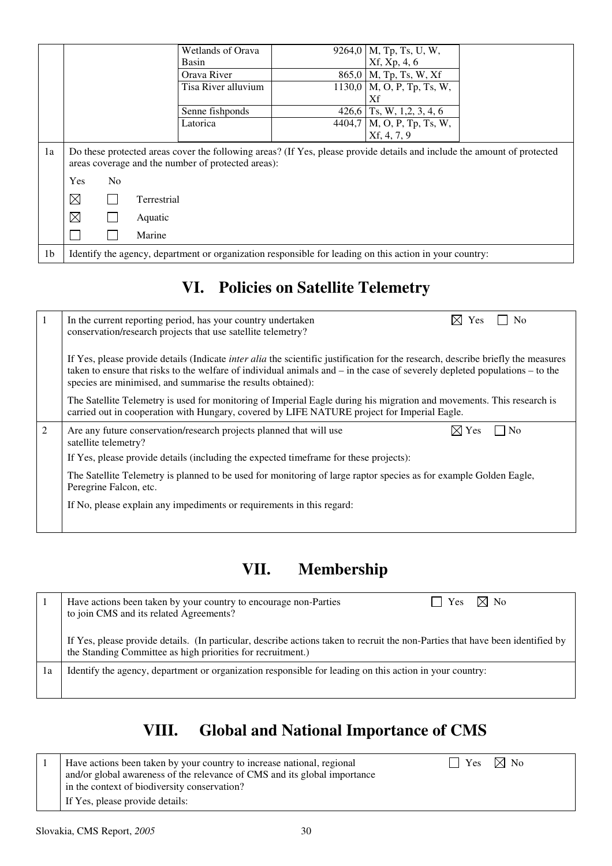|                |                                                                                                                                                                               |  | Wetlands of Orava   |                            | 9264,0   M, Tp, Ts, U, W,                   |  |
|----------------|-------------------------------------------------------------------------------------------------------------------------------------------------------------------------------|--|---------------------|----------------------------|---------------------------------------------|--|
|                |                                                                                                                                                                               |  | Basin               | Xf, Xp, 4, 6               |                                             |  |
|                |                                                                                                                                                                               |  | Orava River         | $865,0$   M, Tp, Ts, W, Xf |                                             |  |
|                |                                                                                                                                                                               |  | Tisa River alluvium |                            | $1130,0$   M, O, P, Tp, Ts, W,              |  |
|                |                                                                                                                                                                               |  |                     |                            | Xf                                          |  |
|                |                                                                                                                                                                               |  | Senne fishponds     |                            | 426,6 Ts, W, 1,2, 3, 4, 6                   |  |
|                |                                                                                                                                                                               |  | Latorica            |                            | $\overline{4404}$ , 7   M, O, P, Tp, Ts, W, |  |
|                |                                                                                                                                                                               |  |                     |                            | Xf, 4, 7, 9                                 |  |
| 1a             | Do these protected areas cover the following areas? (If Yes, please provide details and include the amount of protected<br>areas coverage and the number of protected areas): |  |                     |                            |                                             |  |
|                | Yes<br>N <sub>o</sub>                                                                                                                                                         |  |                     |                            |                                             |  |
|                | $\boxtimes$<br>Terrestrial                                                                                                                                                    |  |                     |                            |                                             |  |
|                | $\boxtimes$                                                                                                                                                                   |  | Aquatic             |                            |                                             |  |
|                |                                                                                                                                                                               |  | Marine              |                            |                                             |  |
| 1 <sub>b</sub> | Identify the agency, department or organization responsible for leading on this action in your country:                                                                       |  |                     |                            |                                             |  |

# **VI. Policies on Satellite Telemetry**

|                                                                                                                                                                                                                                                                                                                                           | $\boxtimes$ Yes<br>N <sub>0</sub><br>In the current reporting period, has your country undertaken<br>conservation/research projects that use satellite telemetry?                                                    |  |  |  |  |  |  |
|-------------------------------------------------------------------------------------------------------------------------------------------------------------------------------------------------------------------------------------------------------------------------------------------------------------------------------------------|----------------------------------------------------------------------------------------------------------------------------------------------------------------------------------------------------------------------|--|--|--|--|--|--|
| If Yes, please provide details (Indicate <i>inter alia</i> the scientific justification for the research, describe briefly the measures<br>taken to ensure that risks to the welfare of individual animals and $-$ in the case of severely depleted populations $-$ to the<br>species are minimised, and summarise the results obtained): |                                                                                                                                                                                                                      |  |  |  |  |  |  |
|                                                                                                                                                                                                                                                                                                                                           | The Satellite Telemetry is used for monitoring of Imperial Eagle during his migration and movements. This research is<br>carried out in cooperation with Hungary, covered by LIFE NATURE project for Imperial Eagle. |  |  |  |  |  |  |
| $\overline{2}$                                                                                                                                                                                                                                                                                                                            | $\times$ Yes<br>N <sub>0</sub><br>Are any future conservation/research projects planned that will use<br>satellite telemetry?                                                                                        |  |  |  |  |  |  |
|                                                                                                                                                                                                                                                                                                                                           | If Yes, please provide details (including the expected timeframe for these projects):                                                                                                                                |  |  |  |  |  |  |
|                                                                                                                                                                                                                                                                                                                                           | The Satellite Telemetry is planned to be used for monitoring of large raptor species as for example Golden Eagle,<br>Peregrine Falcon, etc.                                                                          |  |  |  |  |  |  |
|                                                                                                                                                                                                                                                                                                                                           | If No, please explain any impediments or requirements in this regard:                                                                                                                                                |  |  |  |  |  |  |
|                                                                                                                                                                                                                                                                                                                                           |                                                                                                                                                                                                                      |  |  |  |  |  |  |

## **VII. Membership**

|    | Yes $\boxtimes$ No<br>Have actions been taken by your country to encourage non-Parties<br>to join CMS and its related Agreements?                                                             |
|----|-----------------------------------------------------------------------------------------------------------------------------------------------------------------------------------------------|
|    | If Yes, please provide details. (In particular, describe actions taken to recruit the non-Parties that have been identified by<br>the Standing Committee as high priorities for recruitment.) |
| 1a | Identify the agency, department or organization responsible for leading on this action in your country:                                                                                       |
|    |                                                                                                                                                                                               |

# **VIII. Global and National Importance of CMS**

| Have actions been taken by your country to increase national, regional<br>and/or global awareness of the relevance of CMS and its global importance<br>in the context of biodiversity conservation?<br>If Yes, please provide details: | $\vert$   Yes $\vert$ $\rtimes$ No |  |
|----------------------------------------------------------------------------------------------------------------------------------------------------------------------------------------------------------------------------------------|------------------------------------|--|
|                                                                                                                                                                                                                                        |                                    |  |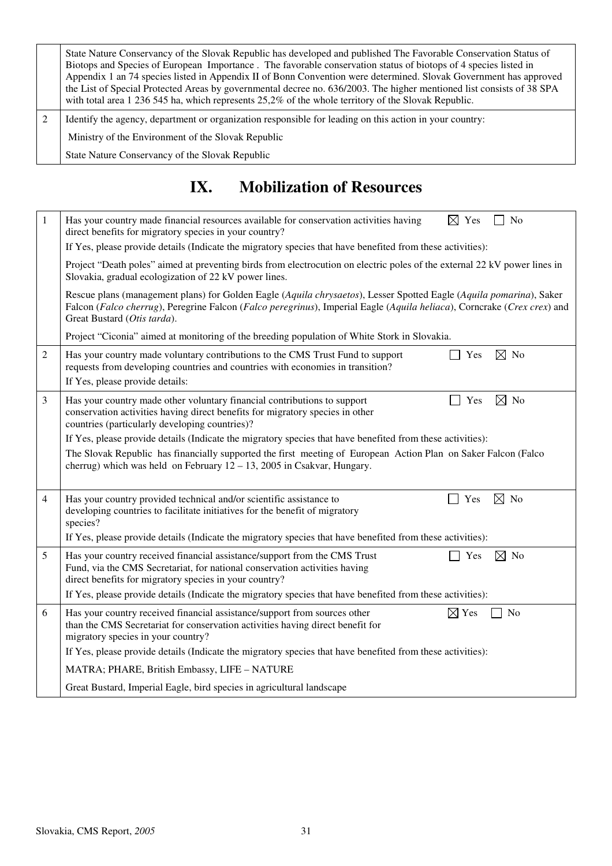| State Nature Conservancy of the Slovak Republic has developed and published The Favorable Conservation Status of<br>Biotops and Species of European Importance. The favorable conservation status of biotops of 4 species listed in<br>Appendix 1 an 74 species listed in Appendix II of Bonn Convention were determined. Slovak Government has approved<br>the List of Special Protected Areas by governmental decree no. 636/2003. The higher mentioned list consists of 38 SPA<br>with total area 1 236 545 ha, which represents $25,2\%$ of the whole territory of the Slovak Republic. |
|---------------------------------------------------------------------------------------------------------------------------------------------------------------------------------------------------------------------------------------------------------------------------------------------------------------------------------------------------------------------------------------------------------------------------------------------------------------------------------------------------------------------------------------------------------------------------------------------|
| Identify the agency, department or organization responsible for leading on this action in your country:                                                                                                                                                                                                                                                                                                                                                                                                                                                                                     |
| Ministry of the Environment of the Slovak Republic                                                                                                                                                                                                                                                                                                                                                                                                                                                                                                                                          |
| State Nature Conservancy of the Slovak Republic                                                                                                                                                                                                                                                                                                                                                                                                                                                                                                                                             |

## **IX. Mobilization of Resources**

| $\mathbf{1}$ | $\boxtimes$ Yes<br>No<br>Has your country made financial resources available for conservation activities having<br>direct benefits for migratory species in your country?                                                                                                     |  |  |  |  |  |  |
|--------------|-------------------------------------------------------------------------------------------------------------------------------------------------------------------------------------------------------------------------------------------------------------------------------|--|--|--|--|--|--|
|              | If Yes, please provide details (Indicate the migratory species that have benefited from these activities):                                                                                                                                                                    |  |  |  |  |  |  |
|              | Project "Death poles" aimed at preventing birds from electrocution on electric poles of the external 22 kV power lines in<br>Slovakia, gradual ecologization of 22 kV power lines.                                                                                            |  |  |  |  |  |  |
|              | Rescue plans (management plans) for Golden Eagle (Aquila chrysaetos), Lesser Spotted Eagle (Aquila pomarina), Saker<br>Falcon (Falco cherrug), Peregrine Falcon (Falco peregrinus), Imperial Eagle (Aquila heliaca), Corncrake (Crex crex) and<br>Great Bustard (Otis tarda). |  |  |  |  |  |  |
|              | Project "Ciconia" aimed at monitoring of the breeding population of White Stork in Slovakia.                                                                                                                                                                                  |  |  |  |  |  |  |
| 2            | $\boxtimes$ No<br>Has your country made voluntary contributions to the CMS Trust Fund to support<br>Yes<br>requests from developing countries and countries with economies in transition?<br>If Yes, please provide details:                                                  |  |  |  |  |  |  |
| 3            | $\boxtimes$ No<br>Has your country made other voluntary financial contributions to support<br>Yes<br>conservation activities having direct benefits for migratory species in other<br>countries (particularly developing countries)?                                          |  |  |  |  |  |  |
|              | If Yes, please provide details (Indicate the migratory species that have benefited from these activities):                                                                                                                                                                    |  |  |  |  |  |  |
|              | The Slovak Republic has financially supported the first meeting of European Action Plan on Saker Falcon (Falco<br>cherrug) which was held on February $12 - 13$ , 2005 in Csakvar, Hungary.                                                                                   |  |  |  |  |  |  |
| 4            | $\boxtimes$ No<br>Has your country provided technical and/or scientific assistance to<br>Yes<br>developing countries to facilitate initiatives for the benefit of migratory<br>species?                                                                                       |  |  |  |  |  |  |
|              | If Yes, please provide details (Indicate the migratory species that have benefited from these activities):                                                                                                                                                                    |  |  |  |  |  |  |
| 5            | $\boxtimes$ No<br>Has your country received financial assistance/support from the CMS Trust<br>Yes<br>Fund, via the CMS Secretariat, for national conservation activities having<br>direct benefits for migratory species in your country?                                    |  |  |  |  |  |  |
|              | If Yes, please provide details (Indicate the migratory species that have benefited from these activities):                                                                                                                                                                    |  |  |  |  |  |  |
| 6            | $\boxtimes$ Yes<br>Has your country received financial assistance/support from sources other<br>No<br>than the CMS Secretariat for conservation activities having direct benefit for<br>migratory species in your country?                                                    |  |  |  |  |  |  |
|              | If Yes, please provide details (Indicate the migratory species that have benefited from these activities):                                                                                                                                                                    |  |  |  |  |  |  |
|              | MATRA; PHARE, British Embassy, LIFE - NATURE                                                                                                                                                                                                                                  |  |  |  |  |  |  |
|              | Great Bustard, Imperial Eagle, bird species in agricultural landscape                                                                                                                                                                                                         |  |  |  |  |  |  |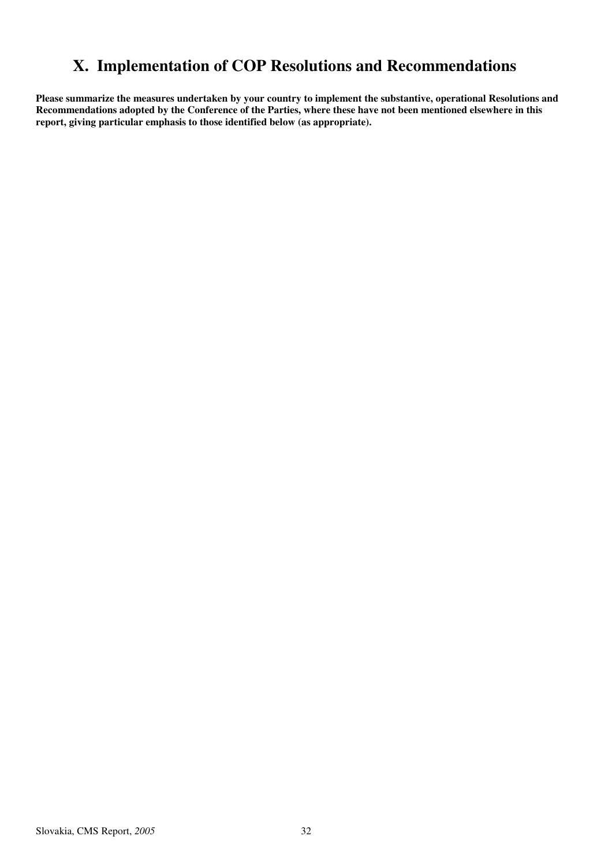## **X. Implementation of COP Resolutions and Recommendations**

**Please summarize the measures undertaken by your country to implement the substantive, operational Resolutions and Recommendations adopted by the Conference of the Parties, where these have not been mentioned elsewhere in this report, giving particular emphasis to those identified below (as appropriate).**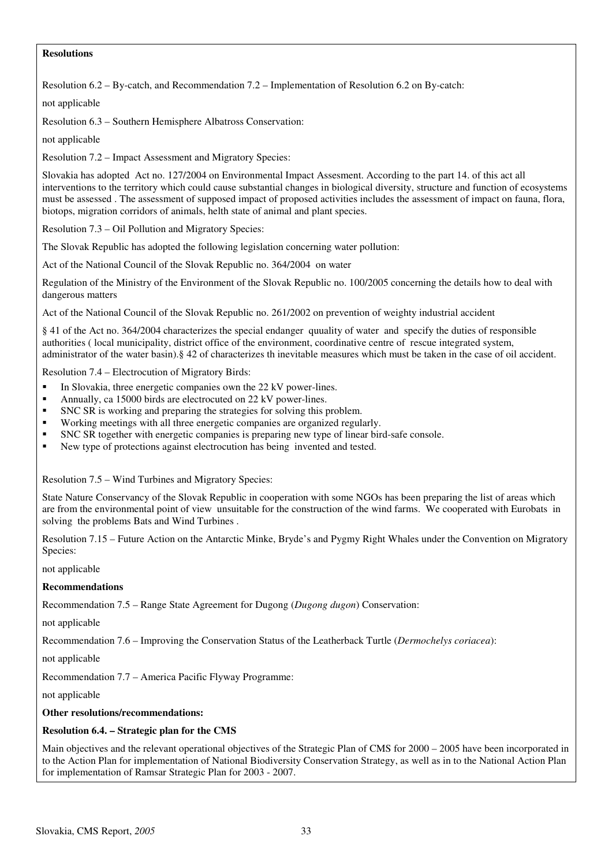#### **Resolutions**

Resolution 6.2 – By-catch, and Recommendation 7.2 – Implementation of Resolution 6.2 on By-catch:

not applicable

Resolution 6.3 – Southern Hemisphere Albatross Conservation:

not applicable

Resolution 7.2 – Impact Assessment and Migratory Species:

Slovakia has adopted Act no. 127/2004 on Environmental Impact Assesment. According to the part 14. of this act all interventions to the territory which could cause substantial changes in biological diversity, structure and function of ecosystems must be assessed . The assessment of supposed impact of proposed activities includes the assessment of impact on fauna, flora, biotops, migration corridors of animals, helth state of animal and plant species.

Resolution 7.3 – Oil Pollution and Migratory Species:

The Slovak Republic has adopted the following legislation concerning water pollution:

Act of the National Council of the Slovak Republic no. 364/2004 on water

Regulation of the Ministry of the Environment of the Slovak Republic no. 100/2005 concerning the details how to deal with dangerous matters

Act of the National Council of the Slovak Republic no. 261/2002 on prevention of weighty industrial accident

§ 41 of the Act no. 364/2004 characterizes the special endanger quuality of water and specify the duties of responsible authorities ( local municipality, district office of the environment, coordinative centre of rescue integrated system, administrator of the water basin).§ 42 of characterizes th inevitable measures which must be taken in the case of oil accident.

Resolution 7.4 – Electrocution of Migratory Birds:

- -In Slovakia, three energetic companies own the 22 kV power-lines.
- -Annually, ca 15000 birds are electrocuted on 22 kV power-lines.
- -SNC SR is working and preparing the strategies for solving this problem.
- -Working meetings with all three energetic companies are organized regularly.
- -SNC SR together with energetic companies is preparing new type of linear bird-safe console.
- -New type of protections against electrocution has being invented and tested.

Resolution 7.5 – Wind Turbines and Migratory Species:

State Nature Conservancy of the Slovak Republic in cooperation with some NGOs has been preparing the list of areas which are from the environmental point of view unsuitable for the construction of the wind farms. We cooperated with Eurobats in solving the problems Bats and Wind Turbines .

Resolution 7.15 – Future Action on the Antarctic Minke, Bryde's and Pygmy Right Whales under the Convention on Migratory Species:

not applicable

#### **Recommendations**

Recommendation 7.5 – Range State Agreement for Dugong (*Dugong dugon*) Conservation:

not applicable

Recommendation 7.6 – Improving the Conservation Status of the Leatherback Turtle (*Dermochelys coriacea*):

not applicable

Recommendation 7.7 – America Pacific Flyway Programme:

not applicable

#### **Other resolutions/recommendations:**

#### **Resolution 6.4. – Strategic plan for the CMS**

Main objectives and the relevant operational objectives of the Strategic Plan of CMS for 2000 – 2005 have been incorporated in to the Action Plan for implementation of National Biodiversity Conservation Strategy, as well as in to the National Action Plan for implementation of Ramsar Strategic Plan for 2003 - 2007.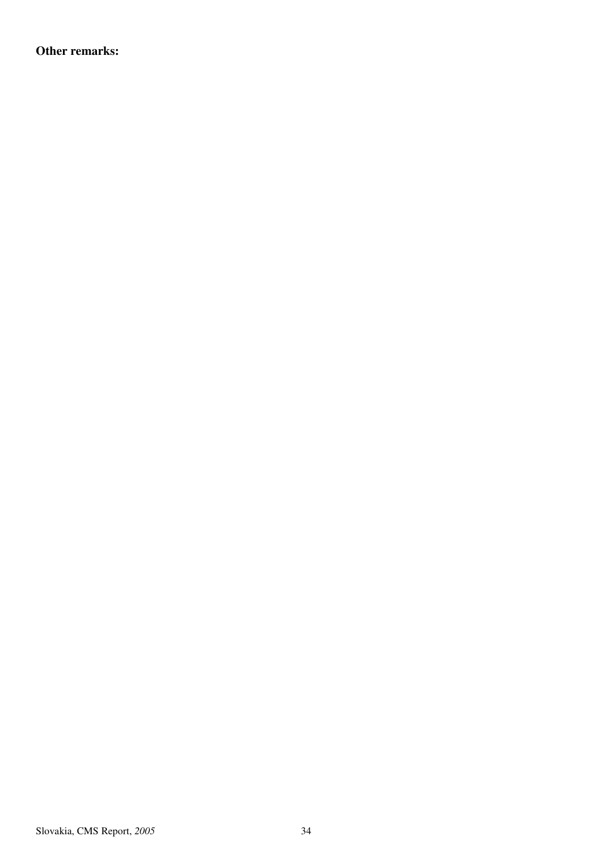**Other remarks:**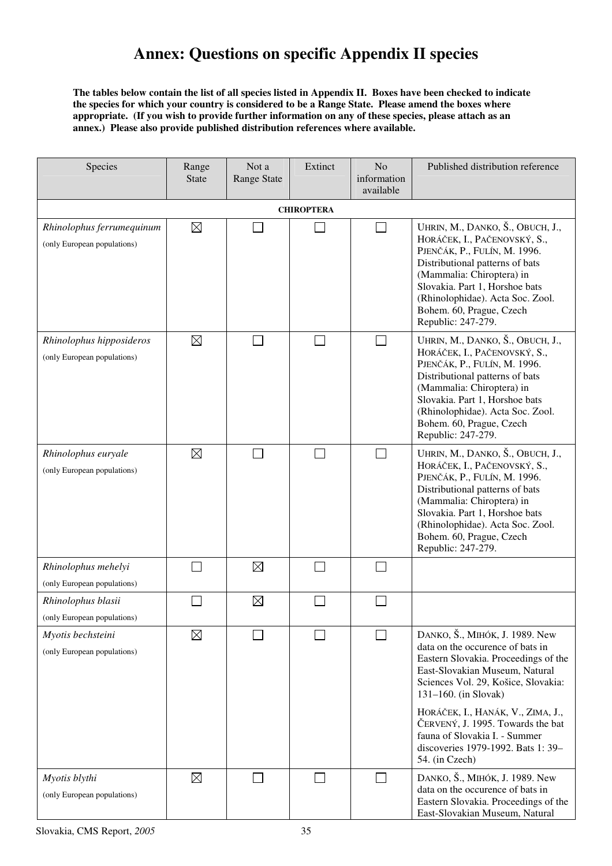## **Annex: Questions on specific Appendix II species**

**The tables below contain the list of all species listed in Appendix II. Boxes have been checked to indicate the species for which your country is considered to be a Range State. Please amend the boxes where appropriate. (If you wish to provide further information on any of these species, please attach as an annex.) Please also provide published distribution references where available.** 

| Species                                                  | Range<br><b>State</b> | Not a<br><b>Range State</b> | Extinct | N <sub>o</sub><br>information<br>available | Published distribution reference                                                                                                                                                                                                                                                                                                                                                  |  |  |  |
|----------------------------------------------------------|-----------------------|-----------------------------|---------|--------------------------------------------|-----------------------------------------------------------------------------------------------------------------------------------------------------------------------------------------------------------------------------------------------------------------------------------------------------------------------------------------------------------------------------------|--|--|--|
| <b>CHIROPTERA</b>                                        |                       |                             |         |                                            |                                                                                                                                                                                                                                                                                                                                                                                   |  |  |  |
| Rhinolophus ferrumequinum<br>(only European populations) | $\boxtimes$           |                             |         |                                            | UHRIN, M., DANKO, Š., OBUCH, J.,<br>HORÁČEK, I., PAČENOVSKÝ, S.,<br>PJENČÁK, P., FULÍN, M. 1996.<br>Distributional patterns of bats<br>(Mammalia: Chiroptera) in<br>Slovakia. Part 1, Horshoe bats<br>(Rhinolophidae). Acta Soc. Zool.<br>Bohem. 60, Prague, Czech<br>Republic: 247-279.                                                                                          |  |  |  |
| Rhinolophus hipposideros<br>(only European populations)  | $\boxtimes$           |                             |         | ┓                                          | UHRIN, M., DANKO, Š., OBUCH, J.,<br>HORÁČEK, I., PAČENOVSKÝ, S.,<br>PJENČÁK, P., FULÍN, M. 1996.<br>Distributional patterns of bats<br>(Mammalia: Chiroptera) in<br>Slovakia. Part 1, Horshoe bats<br>(Rhinolophidae). Acta Soc. Zool.<br>Bohem. 60, Prague, Czech<br>Republic: 247-279.                                                                                          |  |  |  |
| Rhinolophus euryale<br>(only European populations)       | $\boxtimes$           |                             |         | $\overline{\phantom{a}}$                   | UHRIN, M., DANKO, Š., OBUCH, J.,<br>HORÁČEK, I., PAČENOVSKÝ, S.,<br>PJENČÁK, P., FULÍN, M. 1996.<br>Distributional patterns of bats<br>(Mammalia: Chiroptera) in<br>Slovakia. Part 1, Horshoe bats<br>(Rhinolophidae). Acta Soc. Zool.<br>Bohem. 60, Prague, Czech<br>Republic: 247-279.                                                                                          |  |  |  |
| Rhinolophus mehelyi<br>(only European populations)       |                       | $\boxtimes$                 |         |                                            |                                                                                                                                                                                                                                                                                                                                                                                   |  |  |  |
| Rhinolophus blasii<br>(only European populations)        |                       | $\boxtimes$                 |         |                                            |                                                                                                                                                                                                                                                                                                                                                                                   |  |  |  |
| Myotis bechsteini<br>(only European populations)         | $\boxtimes$           |                             |         |                                            | DANKO, Š., MIHÓK, J. 1989. New<br>data on the occurence of bats in<br>Eastern Slovakia. Proceedings of the<br>East-Slovakian Museum, Natural<br>Sciences Vol. 29, Košice, Slovakia:<br>$131-160$ . (in Slovak)<br>HORÁČEK, I., HANÁK, V., ZIMA, J.,<br>ČERVENÝ, J. 1995. Towards the bat<br>fauna of Slovakia I. - Summer<br>discoveries 1979-1992. Bats 1: 39-<br>54. (in Czech) |  |  |  |
| Myotis blythi<br>(only European populations)             | $\boxtimes$           |                             |         |                                            | DANKO, Š., MIHÓK, J. 1989. New<br>data on the occurence of bats in<br>Eastern Slovakia. Proceedings of the<br>East-Slovakian Museum, Natural                                                                                                                                                                                                                                      |  |  |  |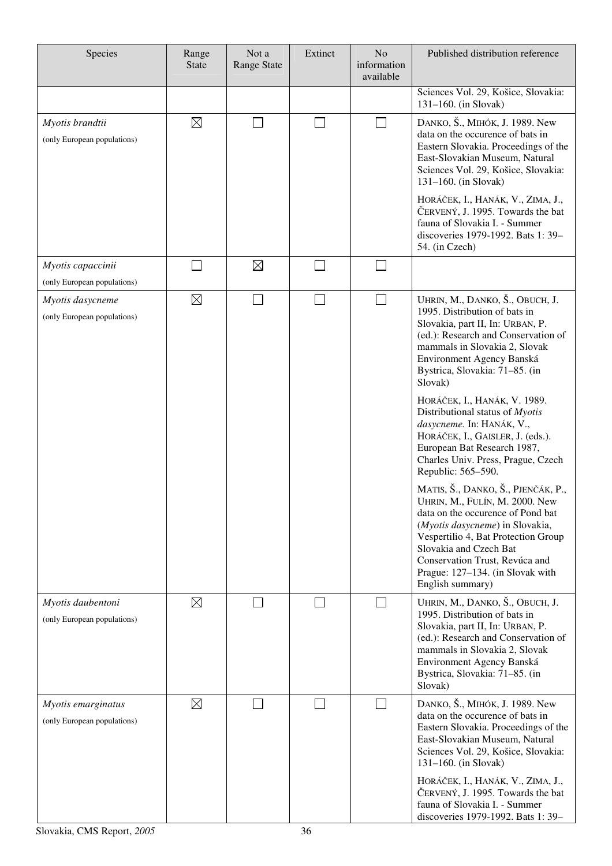| Species                                           | Range<br><b>State</b> | Not a<br><b>Range State</b> | Extinct | N <sub>o</sub><br>information<br>available | Published distribution reference                                                                                                                                                                                                                                                                        |
|---------------------------------------------------|-----------------------|-----------------------------|---------|--------------------------------------------|---------------------------------------------------------------------------------------------------------------------------------------------------------------------------------------------------------------------------------------------------------------------------------------------------------|
|                                                   |                       |                             |         |                                            | Sciences Vol. 29, Košice, Slovakia:<br>$131 - 160$ . (in Slovak)                                                                                                                                                                                                                                        |
| Myotis brandtii<br>(only European populations)    | $\boxtimes$           |                             | ┓       | $\Box$                                     | DANKO, Š., MIHÓK, J. 1989. New<br>data on the occurence of bats in<br>Eastern Slovakia. Proceedings of the<br>East-Slovakian Museum, Natural<br>Sciences Vol. 29, Košice, Slovakia:<br>131-160. (in Slovak)                                                                                             |
|                                                   |                       |                             |         |                                            | HORÁČEK, I., HANÁK, V., ZIMA, J.,<br>ČERVENÝ, J. 1995. Towards the bat<br>fauna of Slovakia I. - Summer<br>discoveries 1979-1992. Bats 1: 39-<br>54. (in Czech)                                                                                                                                         |
| Myotis capaccinii<br>(only European populations)  |                       | $\boxtimes$                 |         |                                            |                                                                                                                                                                                                                                                                                                         |
| Myotis dasycneme<br>(only European populations)   | $\boxtimes$           |                             |         | П                                          | UHRIN, M., DANKO, Š., OBUCH, J.<br>1995. Distribution of bats in<br>Slovakia, part II, In: URBAN, P.<br>(ed.): Research and Conservation of<br>mammals in Slovakia 2, Slovak<br>Environment Agency Banská<br>Bystrica, Slovakia: 71-85. (in<br>Slovak)                                                  |
|                                                   |                       |                             |         |                                            | HORÁČEK, I., HANÁK, V. 1989.<br>Distributional status of Myotis<br>dasycneme. In: HANÁK, V.,<br>HORÁČEK, I., GAISLER, J. (eds.).<br>European Bat Research 1987,<br>Charles Univ. Press, Prague, Czech<br>Republic: 565-590.                                                                             |
|                                                   |                       |                             |         |                                            | MATIS, Š., DANKO, Š., PJENČÁK, P.,<br>UHRIN, M., FULÍN, M. 2000. New<br>data on the occurence of Pond bat<br>(Myotis dasycneme) in Slovakia,<br>Vespertilio 4, Bat Protection Group<br>Slovakia and Czech Bat<br>Conservation Trust, Revúca and<br>Prague: 127-134. (in Slovak with<br>English summary) |
| Myotis daubentoni<br>(only European populations)  | $\boxtimes$           |                             |         |                                            | UHRIN, M., DANKO, Š., OBUCH, J.<br>1995. Distribution of bats in<br>Slovakia, part II, In: URBAN, P.<br>(ed.): Research and Conservation of<br>mammals in Slovakia 2, Slovak<br>Environment Agency Banská<br>Bystrica, Slovakia: 71-85. (in<br>Slovak)                                                  |
| Myotis emarginatus<br>(only European populations) | $\boxtimes$           |                             |         | $\blacksquare$                             | DANKO, Š., MIHÓK, J. 1989. New<br>data on the occurence of bats in<br>Eastern Slovakia. Proceedings of the<br>East-Slovakian Museum, Natural<br>Sciences Vol. 29, Košice, Slovakia:<br>$131 - 160$ . (in Slovak)                                                                                        |
|                                                   |                       |                             |         |                                            | HORÁČEK, I., HANÁK, V., ZIMA, J.,<br>ČERVENÝ, J. 1995. Towards the bat<br>fauna of Slovakia I. - Summer<br>discoveries 1979-1992. Bats 1: 39-                                                                                                                                                           |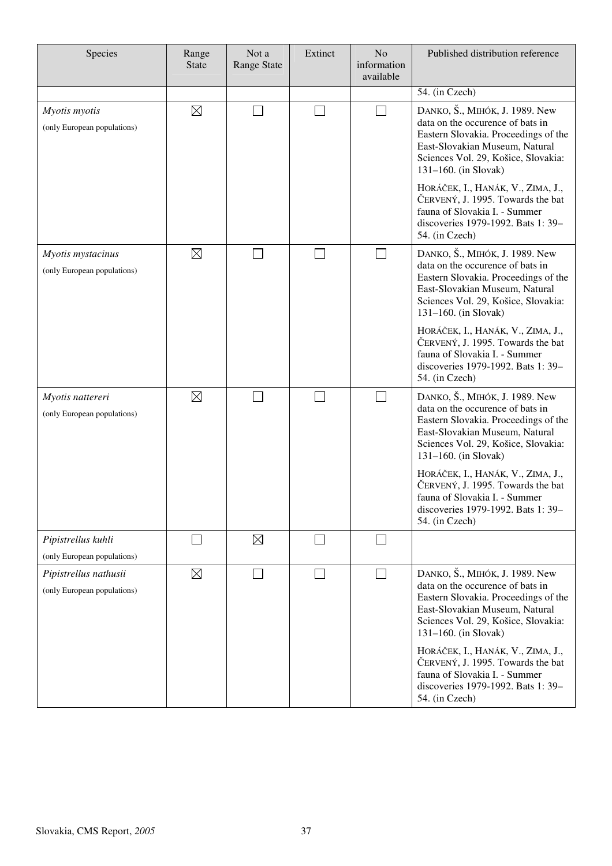| Species                                              | Range<br><b>State</b> | Not a<br><b>Range State</b> | Extinct                  | No<br>information<br>available | Published distribution reference                                                                                                                                                                               |
|------------------------------------------------------|-----------------------|-----------------------------|--------------------------|--------------------------------|----------------------------------------------------------------------------------------------------------------------------------------------------------------------------------------------------------------|
|                                                      |                       |                             |                          |                                | 54. (in Czech)                                                                                                                                                                                                 |
| Myotis myotis<br>(only European populations)         | $\boxtimes$           |                             | $\blacksquare$           | П                              | DANKO, Š., MIHÓK, J. 1989. New<br>data on the occurence of bats in<br>Eastern Slovakia. Proceedings of the<br>East-Slovakian Museum, Natural<br>Sciences Vol. 29, Košice, Slovakia:<br>$131-160$ . (in Slovak) |
|                                                      |                       |                             |                          |                                | HORÁČEK, I., HANÁK, V., ZIMA, J.,<br>ČERVENÝ, J. 1995. Towards the bat<br>fauna of Slovakia I. - Summer<br>discoveries 1979-1992. Bats 1: 39-<br>54. (in Czech)                                                |
| Myotis mystacinus<br>(only European populations)     | $\boxtimes$           |                             |                          | $\vert \ \ \vert$              | DANKO, Š., MIHÓK, J. 1989. New<br>data on the occurence of bats in<br>Eastern Slovakia. Proceedings of the<br>East-Slovakian Museum, Natural<br>Sciences Vol. 29, Košice, Slovakia:<br>$131-160$ . (in Slovak) |
|                                                      |                       |                             |                          |                                | HORÁČEK, I., HANÁK, V., ZIMA, J.,<br>ČERVENÝ, J. 1995. Towards the bat<br>fauna of Slovakia I. - Summer<br>discoveries 1979-1992. Bats 1: 39-<br>54. (in Czech)                                                |
| Myotis nattereri<br>(only European populations)      | $\boxtimes$           |                             | $\overline{\phantom{a}}$ | $\Box$                         | DANKO, Š., MIHÓK, J. 1989. New<br>data on the occurence of bats in<br>Eastern Slovakia. Proceedings of the<br>East-Slovakian Museum, Natural<br>Sciences Vol. 29, Košice, Slovakia:<br>$131-160$ . (in Slovak) |
|                                                      |                       |                             |                          |                                | HORÁČEK, I., HANÁK, V., ZIMA, J.,<br>ČERVENÝ, J. 1995. Towards the bat<br>fauna of Slovakia I. - Summer<br>discoveries 1979-1992. Bats 1: 39-<br>54. (in Czech)                                                |
| Pipistrellus kuhli<br>(only European populations)    |                       | $\boxtimes$                 |                          | $\sim$                         |                                                                                                                                                                                                                |
| Pipistrellus nathusii<br>(only European populations) | $\boxtimes$           |                             |                          | П                              | DANKO, Š., MIHÓK, J. 1989. New<br>data on the occurence of bats in<br>Eastern Slovakia. Proceedings of the<br>East-Slovakian Museum, Natural<br>Sciences Vol. 29, Košice, Slovakia:<br>$131-160$ . (in Slovak) |
|                                                      |                       |                             |                          |                                | HORÁČEK, I., HANÁK, V., ZIMA, J.,<br>ČERVENÝ, J. 1995. Towards the bat<br>fauna of Slovakia I. - Summer<br>discoveries 1979-1992. Bats 1: 39-<br>54. (in Czech)                                                |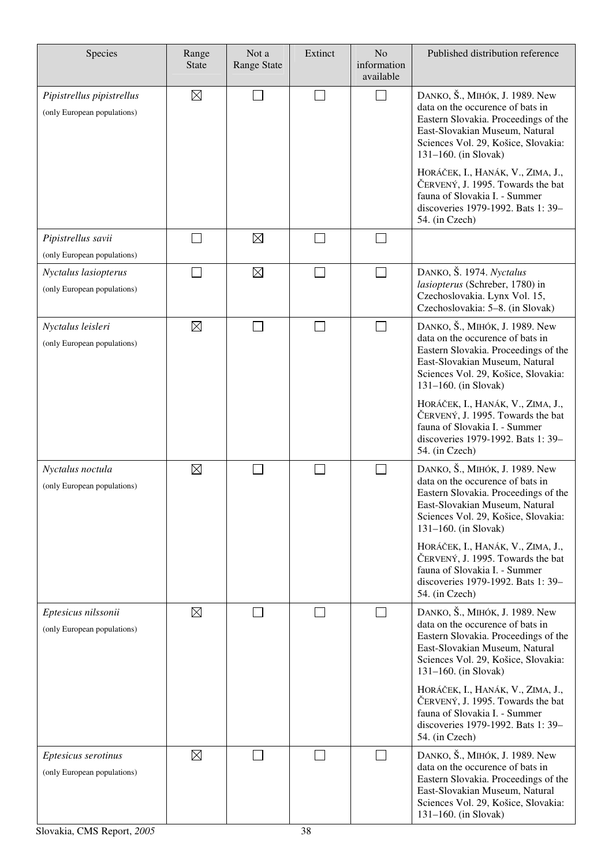| Species                                                  | Range<br><b>State</b> | Not a<br><b>Range State</b> | Extinct | No<br>information<br>available | Published distribution reference                                                                                                                                                                                 |
|----------------------------------------------------------|-----------------------|-----------------------------|---------|--------------------------------|------------------------------------------------------------------------------------------------------------------------------------------------------------------------------------------------------------------|
| Pipistrellus pipistrellus<br>(only European populations) | $\boxtimes$           |                             | $\sim$  | $\sim$                         | DANKO, Š., MIHÓK, J. 1989. New<br>data on the occurence of bats in<br>Eastern Slovakia. Proceedings of the<br>East-Slovakian Museum, Natural<br>Sciences Vol. 29, Košice, Slovakia:<br>$131 - 160$ . (in Slovak) |
|                                                          |                       |                             |         |                                | HORÁČEK, I., HANÁK, V., ZIMA, J.,<br>ČERVENÝ, J. 1995. Towards the bat<br>fauna of Slovakia I. - Summer<br>discoveries 1979-1992. Bats 1: 39-<br>54. (in Czech)                                                  |
| Pipistrellus savii<br>(only European populations)        |                       | $\boxtimes$                 |         |                                |                                                                                                                                                                                                                  |
| Nyctalus lasiopterus<br>(only European populations)      |                       | $\boxtimes$                 |         | $\Box$                         | DANKO, Š. 1974. Nyctalus<br>lasiopterus (Schreber, 1780) in<br>Czechoslovakia. Lynx Vol. 15,<br>Czechoslovakia: 5-8. (in Slovak)                                                                                 |
| Nyctalus leisleri<br>(only European populations)         | $\boxtimes$           |                             |         | $\overline{\phantom{0}}$       | DANKO, Š., MIHÓK, J. 1989. New<br>data on the occurence of bats in<br>Eastern Slovakia. Proceedings of the<br>East-Slovakian Museum, Natural<br>Sciences Vol. 29, Košice, Slovakia:<br>$131-160$ . (in Slovak)   |
|                                                          |                       |                             |         |                                | HORÁČEK, I., HANÁK, V., ZIMA, J.,<br>ČERVENÝ, J. 1995. Towards the bat<br>fauna of Slovakia I. - Summer<br>discoveries 1979-1992. Bats 1: 39-<br>54. (in Czech)                                                  |
| Nyctalus noctula<br>(only European populations)          | $\boxtimes$           |                             |         |                                | DANKO, Š., MIHÓK, J. 1989. New<br>data on the occurence of bats in<br>Eastern Slovakia. Proceedings of the<br>East-Slovakian Museum, Natural<br>Sciences Vol. 29, Košice, Slovakia:<br>$131 - 160$ . (in Slovak) |
|                                                          |                       |                             |         |                                | HORÁČEK, I., HANÁK, V., ZIMA, J.,<br>ČERVENÝ, J. 1995. Towards the bat<br>fauna of Slovakia I. - Summer<br>discoveries 1979-1992. Bats 1: 39-<br>54. (in Czech)                                                  |
| Eptesicus nilssonii<br>(only European populations)       | $\boxtimes$           |                             |         |                                | DANKO, Š., MIHÓK, J. 1989. New<br>data on the occurence of bats in<br>Eastern Slovakia. Proceedings of the<br>East-Slovakian Museum, Natural<br>Sciences Vol. 29, Košice, Slovakia:<br>$131 - 160$ . (in Slovak) |
|                                                          |                       |                             |         |                                | HORÁČEK, I., HANÁK, V., ZIMA, J.,<br>ČERVENÝ, J. 1995. Towards the bat<br>fauna of Slovakia I. - Summer<br>discoveries 1979-1992. Bats 1: 39-<br>54. (in Czech)                                                  |
| Eptesicus serotinus<br>(only European populations)       | $\boxtimes$           |                             |         | $\sim$                         | DANKO, Š., MIHÓK, J. 1989. New<br>data on the occurence of bats in<br>Eastern Slovakia. Proceedings of the<br>East-Slovakian Museum, Natural<br>Sciences Vol. 29, Košice, Slovakia:<br>$131-160$ . (in Slovak)   |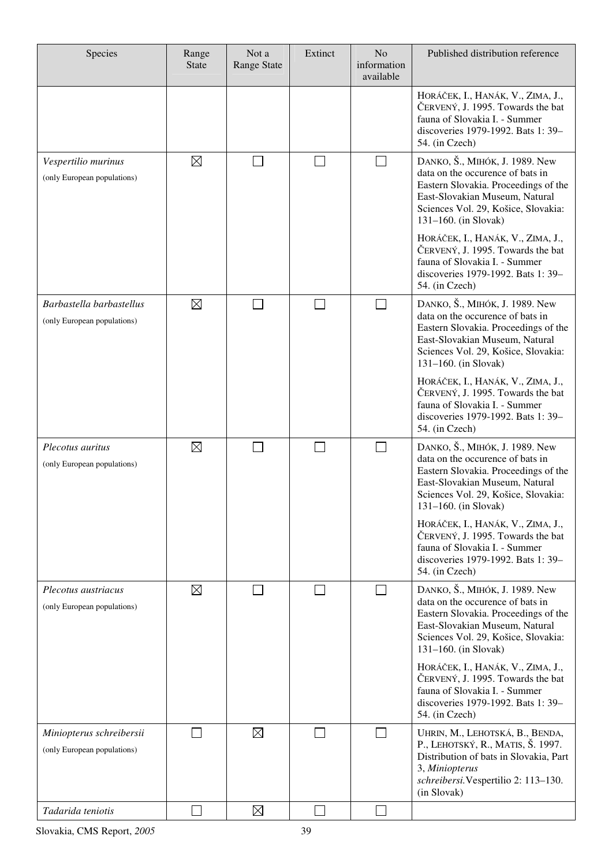| Species                                                 | Range<br><b>State</b> | Not a<br><b>Range State</b> | Extinct | N <sub>o</sub><br>information<br>available | Published distribution reference                                                                                                                                                                                  |
|---------------------------------------------------------|-----------------------|-----------------------------|---------|--------------------------------------------|-------------------------------------------------------------------------------------------------------------------------------------------------------------------------------------------------------------------|
|                                                         |                       |                             |         |                                            | HORÁČEK, I., HANÁK, V., ZIMA, J.,<br>ČERVENÝ, J. 1995. Towards the bat<br>fauna of Slovakia I. - Summer<br>discoveries 1979-1992. Bats 1: 39-<br>54. (in Czech)                                                   |
| Vespertilio murinus<br>(only European populations)      | $\boxtimes$           |                             |         |                                            | DANKO, Š., MIHÓK, J. 1989. New<br>data on the occurence of bats in<br>Eastern Slovakia. Proceedings of the<br>East-Slovakian Museum, Natural<br>Sciences Vol. 29, Košice, Slovakia:<br>$131-160$ . (in Slovak)    |
|                                                         |                       |                             |         |                                            | HORÁČEK, I., HANÁK, V., ZIMA, J.,<br>ČERVENÝ, J. 1995. Towards the bat<br>fauna of Slovakia I. - Summer<br>discoveries 1979-1992. Bats 1: 39-<br>54. (in Czech)                                                   |
| Barbastella barbastellus<br>(only European populations) | $\boxtimes$           | L                           |         | $\mathcal{L}_{\mathcal{A}}$                | DANKO, Š., MIHÓK, J. 1989. New<br>data on the occurence of bats in<br>Eastern Slovakia. Proceedings of the<br>East-Slovakian Museum, Natural<br>Sciences Vol. 29, Košice, Slovakia:<br>$131 - 160$ . (in Slovak)  |
|                                                         |                       |                             |         |                                            | HORÁČEK, I., HANÁK, V., ZIMA, J.,<br>ČERVENÝ, J. 1995. Towards the bat<br>fauna of Slovakia I. - Summer<br>discoveries 1979-1992. Bats 1: 39-<br>54. (in Czech)                                                   |
| Plecotus auritus<br>(only European populations)         | $\boxtimes$           |                             |         | $\sim$                                     | DANKO, Š., MIHÓK, J. 1989. New<br>data on the occurence of bats in<br>Eastern Slovakia. Proceedings of the<br>East-Slovakian Museum, Natural<br>Sciences Vol. 29, Košice, Slovakia:<br>$131 - 160$ . (in Slovak)  |
|                                                         |                       |                             |         |                                            | HORÁČEK, I., HANÁK, V., ZIMA, J.,<br>ČERVENÝ, J. 1995. Towards the bat<br>fauna of Slovakia I. - Summer<br>discoveries 1979-1992. Bats 1: 39-<br>54. (in Czech)                                                   |
| Plecotus austriacus<br>(only European populations)      | $\boxtimes$           |                             |         | $\sim$                                     | DANKO, Š., МІНО́К, J. 1989. New<br>data on the occurence of bats in<br>Eastern Slovakia. Proceedings of the<br>East-Slovakian Museum, Natural<br>Sciences Vol. 29, Košice, Slovakia:<br>$131 - 160$ . (in Slovak) |
|                                                         |                       |                             |         |                                            | HORÁČEK, I., HANÁK, V., ZIMA, J.,<br>ČERVENÝ, J. 1995. Towards the bat<br>fauna of Slovakia I. - Summer<br>discoveries 1979-1992. Bats 1: 39-<br>54. (in Czech)                                                   |
| Miniopterus schreibersii<br>(only European populations) |                       | $\boxtimes$                 |         |                                            | UHRIN, M., LEHOTSKÁ, B., BENDA,<br>P., LEHOTSKÝ, R., MATIS, Š. 1997.<br>Distribution of bats in Slovakia, Part<br>3, Miniopterus<br>schreibersi. Vespertilio 2: 113-130.<br>(in Slovak)                           |
| Tadarida teniotis                                       |                       | $\boxtimes$                 |         |                                            |                                                                                                                                                                                                                   |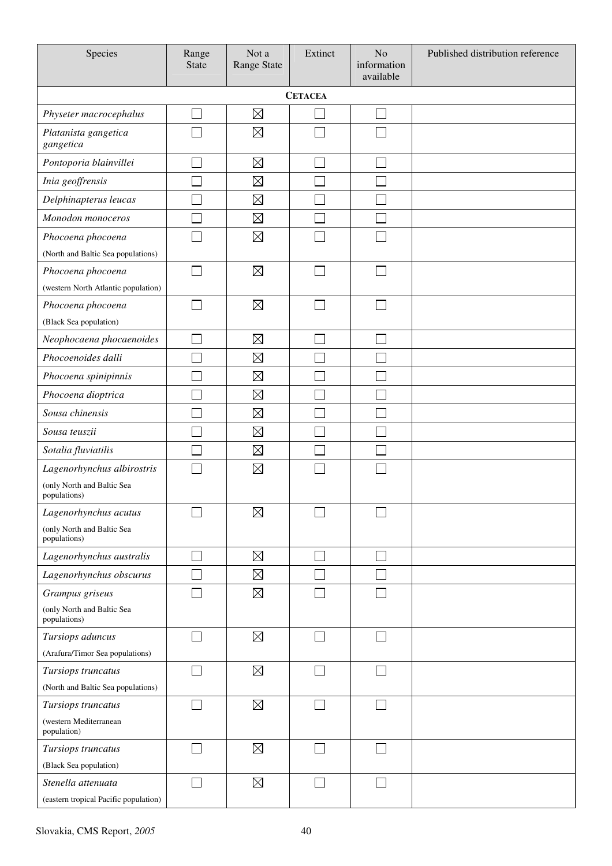| Species                                      | Range<br><b>State</b> | Not a<br><b>Range State</b> | Extinct | N <sub>o</sub><br>information<br>available | Published distribution reference |  |  |  |  |  |
|----------------------------------------------|-----------------------|-----------------------------|---------|--------------------------------------------|----------------------------------|--|--|--|--|--|
| <b>CETACEA</b>                               |                       |                             |         |                                            |                                  |  |  |  |  |  |
| Physeter macrocephalus                       |                       | $\boxtimes$                 |         | J.                                         |                                  |  |  |  |  |  |
| Platanista gangetica<br>gangetica            |                       | $\boxtimes$                 |         |                                            |                                  |  |  |  |  |  |
| Pontoporia blainvillei                       |                       | $\boxtimes$                 |         |                                            |                                  |  |  |  |  |  |
| Inia geoffrensis                             |                       | $\boxtimes$                 |         |                                            |                                  |  |  |  |  |  |
| Delphinapterus leucas                        |                       | $\boxtimes$                 |         |                                            |                                  |  |  |  |  |  |
| Monodon monoceros                            |                       | $\boxtimes$                 |         |                                            |                                  |  |  |  |  |  |
| Phocoena phocoena                            |                       | $\boxtimes$                 |         |                                            |                                  |  |  |  |  |  |
| (North and Baltic Sea populations)           |                       |                             |         |                                            |                                  |  |  |  |  |  |
| Phocoena phocoena                            |                       | $\boxtimes$                 |         |                                            |                                  |  |  |  |  |  |
| (western North Atlantic population)          |                       |                             |         |                                            |                                  |  |  |  |  |  |
| Phocoena phocoena                            |                       | $\boxtimes$                 |         |                                            |                                  |  |  |  |  |  |
| (Black Sea population)                       |                       |                             |         |                                            |                                  |  |  |  |  |  |
| Neophocaena phocaenoides                     |                       | $\boxtimes$                 |         |                                            |                                  |  |  |  |  |  |
| Phocoenoides dalli                           |                       | $\boxtimes$                 |         |                                            |                                  |  |  |  |  |  |
| Phocoena spinipinnis                         |                       | $\boxtimes$                 |         |                                            |                                  |  |  |  |  |  |
| Phocoena dioptrica                           |                       | $\boxtimes$                 |         |                                            |                                  |  |  |  |  |  |
| Sousa chinensis                              |                       | $\boxtimes$                 |         |                                            |                                  |  |  |  |  |  |
| Sousa teuszii                                |                       | $\boxtimes$                 |         |                                            |                                  |  |  |  |  |  |
| Sotalia fluviatilis                          |                       | $\boxtimes$                 |         |                                            |                                  |  |  |  |  |  |
| Lagenorhynchus albirostris                   |                       | $\boxtimes$                 |         |                                            |                                  |  |  |  |  |  |
| (only North and Baltic Sea<br>populations)   |                       |                             |         |                                            |                                  |  |  |  |  |  |
| Lagenorhynchus acutus                        |                       | $\boxtimes$                 |         |                                            |                                  |  |  |  |  |  |
| (only North and Baltic Sea<br>populations)   |                       |                             |         |                                            |                                  |  |  |  |  |  |
| Lagenorhynchus australis                     |                       | $\boxtimes$                 |         |                                            |                                  |  |  |  |  |  |
| Lagenorhynchus obscurus                      |                       | $\boxtimes$                 |         |                                            |                                  |  |  |  |  |  |
| Grampus griseus                              |                       | $\boxtimes$                 |         |                                            |                                  |  |  |  |  |  |
| (only North and Baltic Sea<br>populations)   |                       |                             |         |                                            |                                  |  |  |  |  |  |
| Tursiops aduncus                             |                       | $\boxtimes$                 |         |                                            |                                  |  |  |  |  |  |
| (Arafura/Timor Sea populations)              |                       |                             |         |                                            |                                  |  |  |  |  |  |
| Tursiops truncatus                           |                       | $\boxtimes$                 |         |                                            |                                  |  |  |  |  |  |
| (North and Baltic Sea populations)           |                       |                             |         |                                            |                                  |  |  |  |  |  |
| Tursiops truncatus                           |                       | $\boxtimes$                 |         |                                            |                                  |  |  |  |  |  |
| (western Mediterranean<br>population)        |                       |                             |         |                                            |                                  |  |  |  |  |  |
| Tursiops truncatus                           |                       | $\boxtimes$                 |         |                                            |                                  |  |  |  |  |  |
| (Black Sea population)<br>Stenella attenuata |                       | $\boxtimes$                 |         |                                            |                                  |  |  |  |  |  |
| (eastern tropical Pacific population)        |                       |                             |         |                                            |                                  |  |  |  |  |  |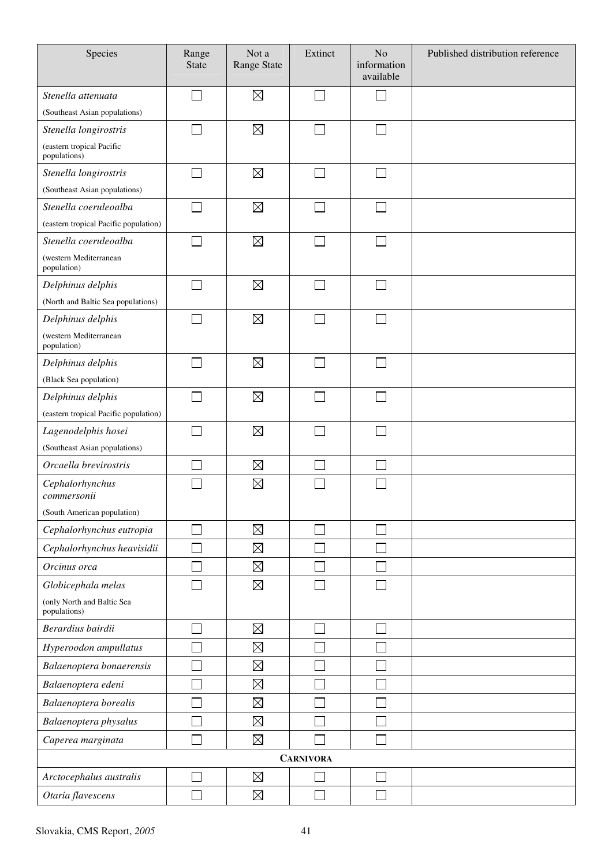| Species                                    | Range<br><b>State</b>       | Not a<br>Range State | Extinct          | N <sub>o</sub><br>information<br>available | Published distribution reference |
|--------------------------------------------|-----------------------------|----------------------|------------------|--------------------------------------------|----------------------------------|
| Stenella attenuata                         |                             | $\boxtimes$          |                  |                                            |                                  |
| (Southeast Asian populations)              |                             |                      |                  |                                            |                                  |
| Stenella longirostris                      |                             | $\boxtimes$          |                  |                                            |                                  |
| (eastern tropical Pacific<br>populations)  |                             |                      |                  |                                            |                                  |
| Stenella longirostris                      |                             | $\boxtimes$          |                  |                                            |                                  |
| (Southeast Asian populations)              |                             |                      |                  |                                            |                                  |
| Stenella coeruleoalba                      |                             | $\boxtimes$          |                  |                                            |                                  |
| (eastern tropical Pacific population)      |                             |                      |                  |                                            |                                  |
| Stenella coeruleoalba                      |                             | $\boxtimes$          |                  |                                            |                                  |
| (western Mediterranean<br>population)      |                             |                      |                  |                                            |                                  |
| Delphinus delphis                          |                             | $\boxtimes$          |                  |                                            |                                  |
| (North and Baltic Sea populations)         |                             |                      |                  |                                            |                                  |
| Delphinus delphis                          | $\mathcal{L}_{\mathcal{A}}$ | $\boxtimes$          | $\sim$           | $\Box$                                     |                                  |
| (western Mediterranean<br>population)      |                             |                      |                  |                                            |                                  |
| Delphinus delphis                          |                             | $\boxtimes$          |                  |                                            |                                  |
| (Black Sea population)                     |                             |                      |                  |                                            |                                  |
| Delphinus delphis                          |                             | $\boxtimes$          |                  |                                            |                                  |
| (eastern tropical Pacific population)      |                             |                      |                  |                                            |                                  |
| Lagenodelphis hosei                        |                             | $\boxtimes$          |                  |                                            |                                  |
| (Southeast Asian populations)              |                             |                      |                  |                                            |                                  |
| Orcaella brevirostris                      |                             | $\boxtimes$          |                  |                                            |                                  |
| Cephalorhynchus<br>commersonii             |                             | $\boxtimes$          |                  |                                            |                                  |
| (South American population)                |                             |                      |                  |                                            |                                  |
| Cephalorhynchus eutropia                   |                             | $\boxtimes$          |                  |                                            |                                  |
| Cephalorhynchus heavisidii                 |                             | $\boxtimes$          |                  |                                            |                                  |
| Orcinus orca                               |                             | $\boxtimes$          |                  |                                            |                                  |
| Globicephala melas                         |                             | $\boxtimes$          |                  |                                            |                                  |
| (only North and Baltic Sea<br>populations) |                             |                      |                  |                                            |                                  |
| Berardius bairdii                          |                             | $\boxtimes$          |                  |                                            |                                  |
| Hyperoodon ampullatus                      |                             | $\boxtimes$          |                  |                                            |                                  |
| Balaenoptera bonaerensis                   |                             | $\boxtimes$          |                  |                                            |                                  |
| Balaenoptera edeni                         |                             | $\boxtimes$          |                  |                                            |                                  |
| Balaenoptera borealis                      |                             | $\boxtimes$          |                  |                                            |                                  |
| Balaenoptera physalus                      |                             | $\boxtimes$          |                  |                                            |                                  |
| Caperea marginata                          |                             | $\boxtimes$          |                  |                                            |                                  |
|                                            |                             |                      | <b>CARNIVORA</b> |                                            |                                  |
| Arctocephalus australis                    |                             | $\boxtimes$          |                  |                                            |                                  |
| Otaria flavescens                          |                             | $\boxtimes$          |                  |                                            |                                  |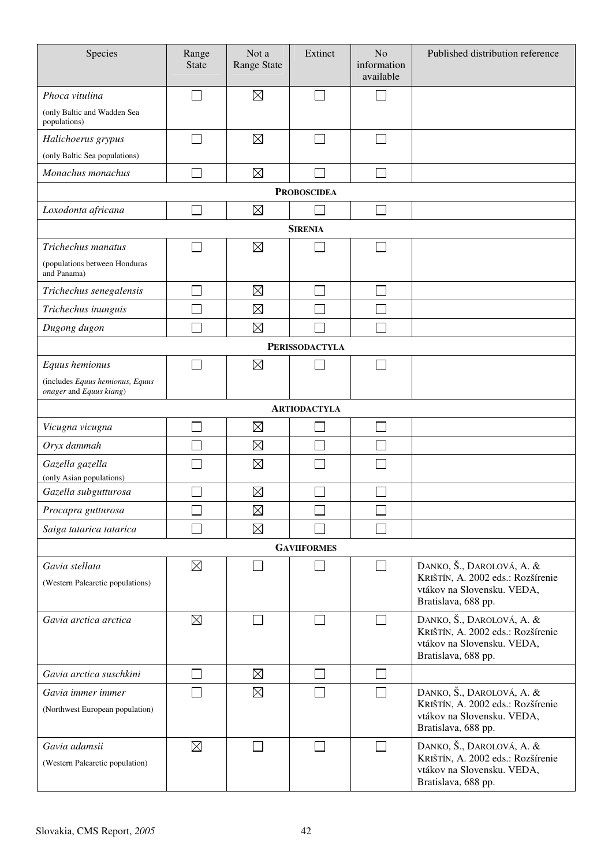| Species                                                    | Range<br><b>State</b> | Not a<br><b>Range State</b> | Extinct               | N <sub>o</sub><br>information<br>available | Published distribution reference                                                                                    |
|------------------------------------------------------------|-----------------------|-----------------------------|-----------------------|--------------------------------------------|---------------------------------------------------------------------------------------------------------------------|
| Phoca vitulina                                             |                       | $\boxtimes$                 |                       |                                            |                                                                                                                     |
| (only Baltic and Wadden Sea<br>populations)                |                       |                             |                       |                                            |                                                                                                                     |
| Halichoerus grypus                                         |                       | $\boxtimes$                 |                       |                                            |                                                                                                                     |
| (only Baltic Sea populations)                              |                       |                             |                       |                                            |                                                                                                                     |
| Monachus monachus                                          |                       | $\boxtimes$                 |                       |                                            |                                                                                                                     |
|                                                            |                       |                             | <b>PROBOSCIDEA</b>    |                                            |                                                                                                                     |
| Loxodonta africana                                         |                       | $\boxtimes$                 |                       |                                            |                                                                                                                     |
|                                                            |                       |                             | <b>SIRENIA</b>        |                                            |                                                                                                                     |
| Trichechus manatus                                         |                       | $\boxtimes$                 |                       |                                            |                                                                                                                     |
| (populations between Honduras<br>and Panama)               |                       |                             |                       |                                            |                                                                                                                     |
| Trichechus senegalensis                                    |                       | $\boxtimes$                 |                       | $\Box$                                     |                                                                                                                     |
| Trichechus inunguis                                        |                       | $\boxtimes$                 |                       |                                            |                                                                                                                     |
| Dugong dugon                                               |                       | $\boxtimes$                 |                       | Ξ                                          |                                                                                                                     |
|                                                            |                       |                             | <b>PERISSODACTYLA</b> |                                            |                                                                                                                     |
| Equus hemionus                                             |                       | $\boxtimes$                 |                       | $\Box$                                     |                                                                                                                     |
| (includes Equus hemionus, Equus<br>onager and Equus kiang) |                       |                             |                       |                                            |                                                                                                                     |
|                                                            |                       |                             | <b>ARTIODACTYLA</b>   |                                            |                                                                                                                     |
| Vicugna vicugna                                            |                       | $\boxtimes$                 |                       | I.                                         |                                                                                                                     |
| Oryx dammah                                                |                       | $\boxtimes$                 |                       |                                            |                                                                                                                     |
| Gazella gazella<br>(only Asian populations)                |                       | $\boxtimes$                 |                       |                                            |                                                                                                                     |
| Gazella subgutturosa                                       |                       | $\boxtimes$                 |                       |                                            |                                                                                                                     |
| Procapra gutturosa                                         |                       | $\boxtimes$                 |                       |                                            |                                                                                                                     |
| Saiga tatarica tatarica                                    |                       | $\boxtimes$                 |                       |                                            |                                                                                                                     |
|                                                            |                       |                             | <b>GAVIIFORMES</b>    |                                            |                                                                                                                     |
| Gavia stellata<br>(Western Palearctic populations)         | $\boxtimes$           |                             |                       | $\Box$                                     | DANKO, Š., DAROLOVÁ, A. &<br>KRIŠTÍN, A. 2002 eds.: Rozšírenie<br>vtákov na Slovensku. VEDA,<br>Bratislava, 688 pp. |
| Gavia arctica arctica                                      | $\boxtimes$           |                             | $\blacksquare$        | П                                          | DANKO, Š., DAROLOVÁ, A. &<br>KRIŠTÍN, A. 2002 eds.: Rozšírenie<br>vtákov na Slovensku. VEDA,<br>Bratislava, 688 pp. |
| Gavia arctica suschkini                                    |                       | $\boxtimes$                 |                       | $\overline{\phantom{0}}$                   |                                                                                                                     |
| Gavia immer immer<br>(Northwest European population)       |                       | $\boxtimes$                 |                       | $\Box$                                     | DANKO, Š., DAROLOVÁ, A. &<br>KRIŠTÍN, A. 2002 eds.: Rozšírenie<br>vtákov na Slovensku. VEDA,<br>Bratislava, 688 pp. |
| Gavia adamsii<br>(Western Palearctic population)           | $\boxtimes$           |                             |                       | $\Box$                                     | DANKO, Š., DAROLOVÁ, A. &<br>KRIŠTÍN, A. 2002 eds.: Rozšírenie<br>vtákov na Slovensku. VEDA,<br>Bratislava, 688 pp. |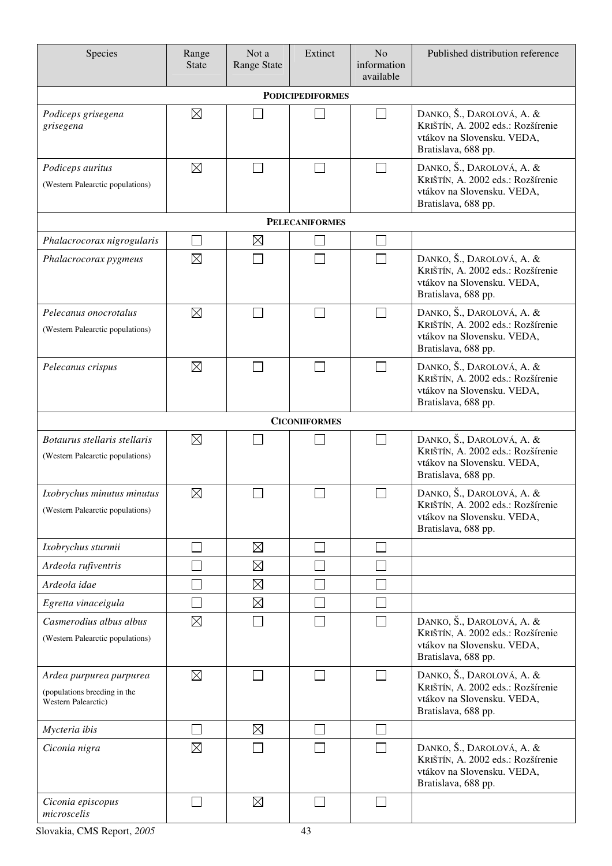| Species                                                                        | Range<br><b>State</b> | Not a<br><b>Range State</b> | Extinct               | N <sub>o</sub><br>information<br>available | Published distribution reference                                                                                    |  |  |  |  |  |
|--------------------------------------------------------------------------------|-----------------------|-----------------------------|-----------------------|--------------------------------------------|---------------------------------------------------------------------------------------------------------------------|--|--|--|--|--|
| <b>PODICIPEDIFORMES</b>                                                        |                       |                             |                       |                                            |                                                                                                                     |  |  |  |  |  |
| Podiceps grisegena<br>grisegena                                                | $\boxtimes$           |                             |                       | $\overline{\phantom{0}}$                   | DANKO, Š., DAROLOVÁ, A. &<br>KRIŠTÍN, A. 2002 eds.: Rozšírenie<br>vtákov na Slovensku. VEDA,<br>Bratislava, 688 pp. |  |  |  |  |  |
| Podiceps auritus<br>(Western Palearctic populations)                           | $\boxtimes$           |                             |                       | $\mathcal{L}$                              | DANKO, Š., DAROLOVÁ, A. &<br>KRIŠTÍN, A. 2002 eds.: Rozšírenie<br>vtákov na Slovensku. VEDA,<br>Bratislava, 688 pp. |  |  |  |  |  |
|                                                                                |                       |                             | <b>PELECANIFORMES</b> |                                            |                                                                                                                     |  |  |  |  |  |
| Phalacrocorax nigrogularis                                                     |                       | $\boxtimes$                 |                       |                                            |                                                                                                                     |  |  |  |  |  |
| Phalacrocorax pygmeus                                                          | $\boxtimes$           |                             |                       |                                            | DANKO, Š., DAROLOVÁ, A. &<br>KRIŠTÍN, A. 2002 eds.: Rozšírenie<br>vtákov na Slovensku. VEDA,<br>Bratislava, 688 pp. |  |  |  |  |  |
| Pelecanus onocrotalus<br>(Western Palearctic populations)                      | $\boxtimes$           |                             |                       |                                            | DANKO, Š., DAROLOVÁ, A. &<br>KRIŠTÍN, A. 2002 eds.: Rozšírenie<br>vtákov na Slovensku. VEDA,<br>Bratislava, 688 pp. |  |  |  |  |  |
| Pelecanus crispus                                                              | $\boxtimes$           |                             |                       | $\sim$                                     | DANKO, Š., DAROLOVÁ, A. &<br>KRIŠTÍN, A. 2002 eds.: Rozšírenie<br>vtákov na Slovensku. VEDA,<br>Bratislava, 688 pp. |  |  |  |  |  |
| <b>CICONIIFORMES</b>                                                           |                       |                             |                       |                                            |                                                                                                                     |  |  |  |  |  |
| Botaurus stellaris stellaris<br>(Western Palearctic populations)               | $\boxtimes$           |                             |                       |                                            | DANKO, Š., DAROLOVÁ, A. &<br>KRIŠTÍN, A. 2002 eds.: Rozšírenie<br>vtákov na Slovensku. VEDA,<br>Bratislava, 688 pp. |  |  |  |  |  |
| Ixobrychus minutus minutus<br>(Western Palearctic populations)                 | $\boxtimes$           |                             |                       |                                            | DANKO, Š., DAROLOVÁ, A. &<br>KRIŠTÍN, A. 2002 eds.: Rozšírenie<br>vtákov na Slovensku. VEDA,<br>Bratislava, 688 pp. |  |  |  |  |  |
| Ixobrychus sturmii                                                             |                       | $\boxtimes$                 |                       |                                            |                                                                                                                     |  |  |  |  |  |
| Ardeola rufiventris                                                            |                       | $\boxtimes$                 |                       |                                            |                                                                                                                     |  |  |  |  |  |
| Ardeola idae                                                                   |                       | $\boxtimes$                 |                       |                                            |                                                                                                                     |  |  |  |  |  |
| Egretta vinaceigula                                                            |                       | $\boxtimes$                 |                       |                                            |                                                                                                                     |  |  |  |  |  |
| Casmerodius albus albus<br>(Western Palearctic populations)                    | $\boxtimes$           |                             |                       |                                            | DANKO, Š., DAROLOVÁ, A. &<br>KRIŠTÍN, A. 2002 eds.: Rozšírenie<br>vtákov na Slovensku. VEDA,<br>Bratislava, 688 pp. |  |  |  |  |  |
| Ardea purpurea purpurea<br>(populations breeding in the<br>Western Palearctic) | $\boxtimes$           |                             |                       | $\sim$                                     | DANKO, Š., DAROLOVÁ, A. &<br>KRIŠTÍN, A. 2002 eds.: Rozšírenie<br>vtákov na Slovensku. VEDA,<br>Bratislava, 688 pp. |  |  |  |  |  |
| Mycteria ibis                                                                  |                       | $\boxtimes$                 |                       |                                            |                                                                                                                     |  |  |  |  |  |
| Ciconia nigra                                                                  | $\boxtimes$           |                             |                       |                                            | DANKO, Š., DAROLOVÁ, A. &<br>KRIŠTÍN, A. 2002 eds.: Rozšírenie<br>vtákov na Slovensku. VEDA,<br>Bratislava, 688 pp. |  |  |  |  |  |
| Ciconia episcopus<br>microscelis                                               |                       | $\boxtimes$                 |                       | $\sim$                                     |                                                                                                                     |  |  |  |  |  |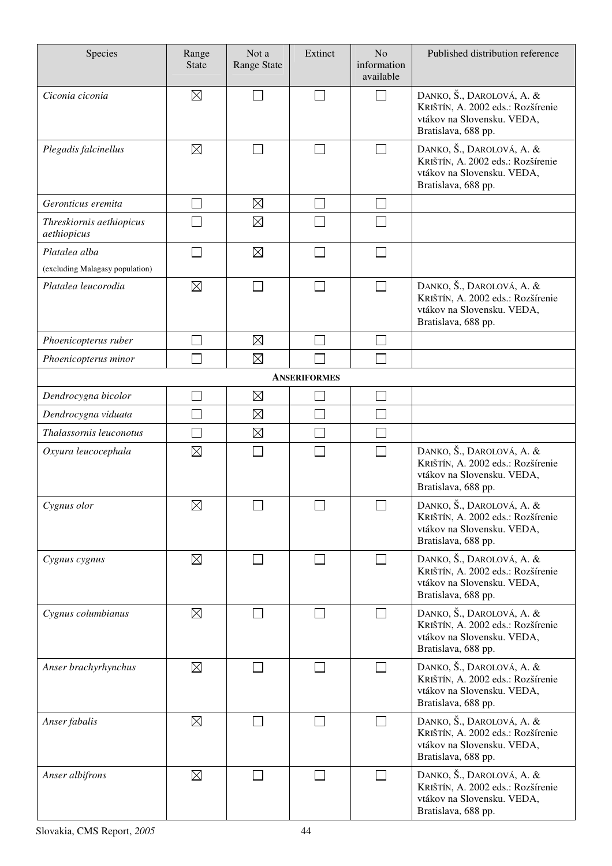| Species                                 | Range<br><b>State</b> | Not a<br>Range State | Extinct | N <sub>o</sub><br>information<br>available | Published distribution reference                                                                                    |  |  |  |  |  |
|-----------------------------------------|-----------------------|----------------------|---------|--------------------------------------------|---------------------------------------------------------------------------------------------------------------------|--|--|--|--|--|
| Ciconia ciconia                         | $\boxtimes$           |                      |         | J.                                         | DANKO, Š., DAROLOVÁ, A. &<br>KRIŠTÍN, A. 2002 eds.: Rozšírenie<br>vtákov na Slovensku. VEDA,<br>Bratislava, 688 pp. |  |  |  |  |  |
| Plegadis falcinellus                    | $\boxtimes$           | $\mathbb{R}^n$       | $\sim$  |                                            | DANKO, Š., DAROLOVÁ, A. &<br>KRIŠTÍN, A. 2002 eds.: Rozšírenie<br>vtákov na Slovensku. VEDA,<br>Bratislava, 688 pp. |  |  |  |  |  |
| Geronticus eremita                      |                       | $\boxtimes$          |         | $\mathcal{L}$                              |                                                                                                                     |  |  |  |  |  |
| Threskiornis aethiopicus<br>aethiopicus |                       | $\boxtimes$          |         |                                            |                                                                                                                     |  |  |  |  |  |
| Platalea alba                           |                       | $\boxtimes$          |         |                                            |                                                                                                                     |  |  |  |  |  |
| (excluding Malagasy population)         |                       |                      |         |                                            |                                                                                                                     |  |  |  |  |  |
| Platalea leucorodia                     | $\boxtimes$           |                      |         |                                            | DANKO, Š., DAROLOVÁ, A. &<br>KRIŠTÍN, A. 2002 eds.: Rozšírenie<br>vtákov na Slovensku. VEDA,<br>Bratislava, 688 pp. |  |  |  |  |  |
| Phoenicopterus ruber                    |                       | $\boxtimes$          |         |                                            |                                                                                                                     |  |  |  |  |  |
| Phoenicopterus minor                    |                       | $\boxtimes$          |         |                                            |                                                                                                                     |  |  |  |  |  |
|                                         | <b>ANSERIFORMES</b>   |                      |         |                                            |                                                                                                                     |  |  |  |  |  |
| Dendrocygna bicolor                     |                       | $\boxtimes$          |         |                                            |                                                                                                                     |  |  |  |  |  |
| Dendrocygna viduata                     |                       | $\boxtimes$          |         |                                            |                                                                                                                     |  |  |  |  |  |
| Thalassornis leuconotus                 |                       | $\boxtimes$          |         |                                            |                                                                                                                     |  |  |  |  |  |
| Oxyura leucocephala                     | $\boxtimes$           |                      |         |                                            | DANKO, Š., DAROLOVÁ, A. &<br>KRIŠTÍN, A. 2002 eds.: Rozšírenie<br>vtákov na Slovensku. VEDA,<br>Bratislava, 688 pp. |  |  |  |  |  |
| Cygnus olor                             | $\boxtimes$           | $\Box$               | $\Box$  | $\Box$                                     | DANKO, Š., DAROLOVÁ, A. &<br>KRIŠTÍN, A. 2002 eds.: Rozšírenie<br>vtákov na Slovensku. VEDA,<br>Bratislava, 688 pp. |  |  |  |  |  |
| Cygnus cygnus                           | $\boxtimes$           | $\mathbf{I}$         |         | $\overline{\phantom{a}}$                   | DANKO, Š., DAROLOVÁ, A. &<br>KRIŠTÍN, A. 2002 eds.: Rozšírenie<br>vtákov na Slovensku. VEDA,<br>Bratislava, 688 pp. |  |  |  |  |  |
| Cygnus columbianus                      | $\boxtimes$           |                      |         | $\sim$                                     | DANKO, Š., DAROLOVÁ, A. &<br>KRIŠTÍN, A. 2002 eds.: Rozšírenie<br>vtákov na Slovensku. VEDA,<br>Bratislava, 688 pp. |  |  |  |  |  |
| Anser brachyrhynchus                    | $\boxtimes$           | $\vert \ \ \vert$    |         | $\Box$                                     | DANKO, Š., DAROLOVÁ, A. &<br>KRIŠTÍN, A. 2002 eds.: Rozšírenie<br>vtákov na Slovensku. VEDA,<br>Bratislava, 688 pp. |  |  |  |  |  |
| Anser fabalis                           | $\boxtimes$           |                      |         |                                            | DANKO, Š., DAROLOVÁ, A. &<br>KRIŠTÍN, A. 2002 eds.: Rozšírenie<br>vtákov na Slovensku. VEDA,<br>Bratislava, 688 pp. |  |  |  |  |  |
| Anser albifrons                         | $\boxtimes$           |                      |         | $\overline{\phantom{a}}$                   | DANKO, Š., DAROLOVÁ, A. &<br>KRIŠTÍN, A. 2002 eds.: Rozšírenie<br>vtákov na Slovensku. VEDA,<br>Bratislava, 688 pp. |  |  |  |  |  |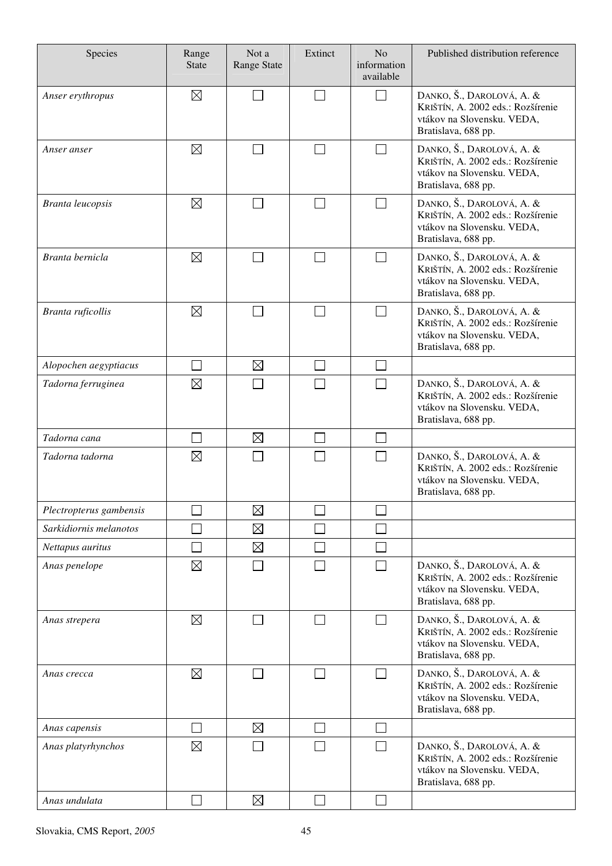| Species                 | Range<br><b>State</b> | Not a<br><b>Range State</b> | Extinct        | N <sub>o</sub><br>information<br>available | Published distribution reference                                                                                    |
|-------------------------|-----------------------|-----------------------------|----------------|--------------------------------------------|---------------------------------------------------------------------------------------------------------------------|
| Anser erythropus        | $\boxtimes$           |                             |                | $\Box$                                     | DANKO, Š., DAROLOVÁ, A. &<br>KRIŠTÍN, A. 2002 eds.: Rozšírenie<br>vtákov na Slovensku. VEDA,<br>Bratislava, 688 pp. |
| Anser anser             | $\boxtimes$           |                             | $\blacksquare$ |                                            | DANKO, Š., DAROLOVÁ, A. &<br>KRIŠTÍN, A. 2002 eds.: Rozšírenie<br>vtákov na Slovensku. VEDA,<br>Bratislava, 688 pp. |
| <b>Branta leucopsis</b> | $\boxtimes$           |                             |                |                                            | DANKO, Š., DAROLOVÁ, A. &<br>KRIŠTÍN, A. 2002 eds.: Rozšírenie<br>vtákov na Slovensku. VEDA,<br>Bratislava, 688 pp. |
| Branta bernicla         | $\boxtimes$           |                             | $\mathcal{L}$  | П                                          | DANKO, Š., DAROLOVÁ, A. &<br>KRIŠTÍN, A. 2002 eds.: Rozšírenie<br>vtákov na Slovensku. VEDA,<br>Bratislava, 688 pp. |
| Branta ruficollis       | $\boxtimes$           |                             |                |                                            | DANKO, Š., DAROLOVÁ, A. &<br>KRIŠTÍN, A. 2002 eds.: Rozšírenie<br>vtákov na Slovensku. VEDA,<br>Bratislava, 688 pp. |
| Alopochen aegyptiacus   |                       | $\boxtimes$                 |                |                                            |                                                                                                                     |
| Tadorna ferruginea      | $\boxtimes$           |                             |                |                                            | DANKO, Š., DAROLOVÁ, A. &<br>KRIŠTÍN, A. 2002 eds.: Rozšírenie<br>vtákov na Slovensku. VEDA,<br>Bratislava, 688 pp. |
| Tadorna cana            |                       | $\boxtimes$                 |                | $\mathcal{L}$                              |                                                                                                                     |
| Tadorna tadorna         | $\boxtimes$           |                             |                |                                            | DANKO, Š., DAROLOVÁ, A. &<br>KRIŠTÍN, A. 2002 eds.: Rozšírenie<br>vtákov na Slovensku. VEDA,<br>Bratislava, 688 pp. |
| Plectropterus gambensis |                       | $\boxtimes$                 |                |                                            |                                                                                                                     |
| Sarkidiornis melanotos  |                       | $\boxtimes$                 |                |                                            |                                                                                                                     |
| Nettapus auritus        |                       | $\boxtimes$                 | m.             | I.                                         |                                                                                                                     |
| Anas penelope           | $\boxtimes$           |                             |                | $\sim$                                     | DANKO, Š., DAROLOVÁ, A. &<br>KRIŠTÍN, A. 2002 eds.: Rozšírenie<br>vtákov na Slovensku. VEDA,<br>Bratislava, 688 pp. |
| Anas strepera           | $\boxtimes$           |                             | $\Box$         | $\vert \ \ \vert$                          | DANKO, Š., DAROLOVÁ, A. &<br>KRIŠTÍN, A. 2002 eds.: Rozšírenie<br>vtákov na Slovensku. VEDA,<br>Bratislava, 688 pp. |
| Anas crecca             | $\boxtimes$           |                             | $\blacksquare$ | $\Box$                                     | DANKO, Š., DAROLOVÁ, A. &<br>KRIŠTÍN, A. 2002 eds.: Rozšírenie<br>vtákov na Slovensku. VEDA,<br>Bratislava, 688 pp. |
| Anas capensis           | $\Box$                | $\boxtimes$                 | $\Box$         | $\mathcal{L}_{\mathcal{A}}$                |                                                                                                                     |
| Anas platyrhynchos      | $\boxtimes$           |                             |                | $\sim$                                     | DANKO, Š., DAROLOVÁ, A. &<br>KRIŠTÍN, A. 2002 eds.: Rozšírenie<br>vtákov na Slovensku. VEDA,<br>Bratislava, 688 pp. |
| Anas undulata           |                       | $\boxtimes$                 |                |                                            |                                                                                                                     |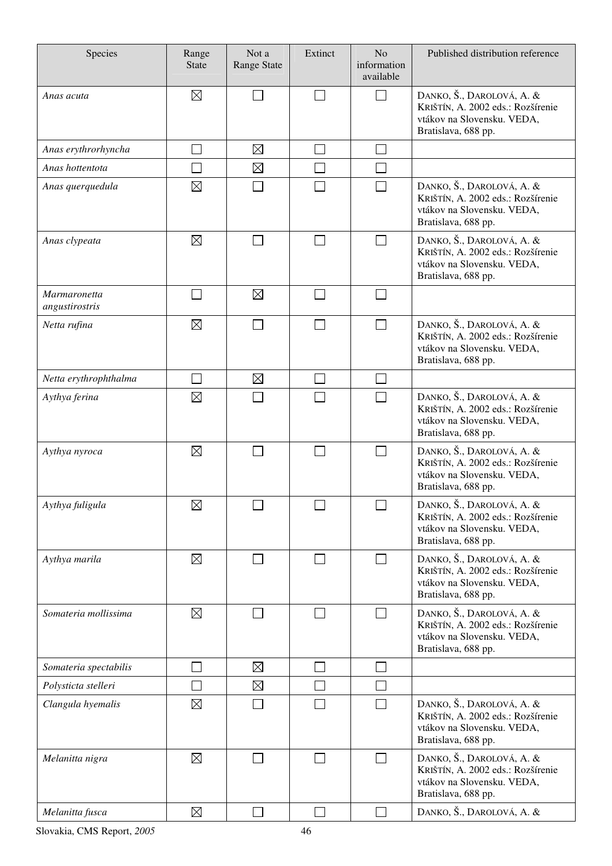| Species                               | Range<br><b>State</b> | Not a<br>Range State | Extinct | N <sub>o</sub><br>information<br>available | Published distribution reference                                                                                    |
|---------------------------------------|-----------------------|----------------------|---------|--------------------------------------------|---------------------------------------------------------------------------------------------------------------------|
| Anas acuta                            | $\boxtimes$           |                      | $\sim$  | $\Box$                                     | DANKO, Š., DAROLOVÁ, A. &<br>KRIŠTÍN, A. 2002 eds.: Rozšírenie<br>vtákov na Slovensku. VEDA,<br>Bratislava, 688 pp. |
| Anas erythrorhyncha                   |                       | $\boxtimes$          |         |                                            |                                                                                                                     |
| Anas hottentota                       |                       | $\boxtimes$          |         |                                            |                                                                                                                     |
| Anas querquedula                      | $\boxtimes$           |                      |         | $\sim$                                     | DANKO, Š., DAROLOVÁ, A. &<br>KRIŠTÍN, A. 2002 eds.: Rozšírenie<br>vtákov na Slovensku. VEDA,<br>Bratislava, 688 pp. |
| Anas clypeata                         | $\boxtimes$           |                      |         | П                                          | DANKO, Š., DAROLOVÁ, A. &<br>KRIŠTÍN, A. 2002 eds.: Rozšírenie<br>vtákov na Slovensku. VEDA,<br>Bratislava, 688 pp. |
| <b>Marmaronetta</b><br>angustirostris |                       | $\boxtimes$          | $\sim$  | $\mathbf{I}$                               |                                                                                                                     |
| Netta rufina                          | $\boxtimes$           |                      |         |                                            | DANKO, Š., DAROLOVÁ, A. &<br>KRIŠTÍN, A. 2002 eds.: Rozšírenie<br>vtákov na Slovensku. VEDA,<br>Bratislava, 688 pp. |
| Netta erythrophthalma                 |                       | $\boxtimes$          |         | $\mathcal{L}$                              |                                                                                                                     |
| Aythya ferina                         | $\boxtimes$           |                      |         |                                            | DANKO, Š., DAROLOVÁ, A. &<br>KRIŠTÍN, A. 2002 eds.: Rozšírenie<br>vtákov na Slovensku. VEDA,<br>Bratislava, 688 pp. |
| Aythya nyroca                         | $\boxtimes$           |                      |         | $\Box$                                     | DANKO, Š., DAROLOVÁ, A. &<br>KRIŠTÍN, A. 2002 eds.: Rozšírenie<br>vtákov na Slovensku. VEDA,<br>Bratislava, 688 pp. |
| Aythya fuligula                       | $\boxtimes$           | $\Box$               | $\Box$  | $\Box$                                     | DANKO, Š., DAROLOVÁ, A. &<br>KRIŠTÍN, A. 2002 eds.: Rozšírenie<br>vtákov na Slovensku. VEDA,<br>Bratislava, 688 pp. |
| Aythya marila                         | $\boxtimes$           |                      |         | $\mathsf{L}$                               | DANKO, Š., DAROLOVÁ, A. &<br>KRIŠTÍN, A. 2002 eds.: Rozšírenie<br>vtákov na Slovensku. VEDA,<br>Bratislava, 688 pp. |
| Somateria mollissima                  | $\boxtimes$           |                      |         | $\sim$                                     | DANKO, Š., DAROLOVÁ, A. &<br>KRIŠTÍN, A. 2002 eds.: Rozšírenie<br>vtákov na Slovensku. VEDA,<br>Bratislava, 688 pp. |
| Somateria spectabilis                 |                       | $\boxtimes$          |         |                                            |                                                                                                                     |
| Polysticta stelleri                   |                       | $\boxtimes$          |         |                                            |                                                                                                                     |
| Clangula hyemalis                     | $\boxtimes$           |                      |         |                                            | DANKO, Š., DAROLOVÁ, A. &<br>KRIŠTÍN, A. 2002 eds.: Rozšírenie<br>vtákov na Slovensku. VEDA,<br>Bratislava, 688 pp. |
| Melanitta nigra                       | $\boxtimes$           |                      |         | $\mathbf{I}$                               | DANKO, Š., DAROLOVÁ, A. &<br>KRIŠTÍN, A. 2002 eds.: Rozšírenie<br>vtákov na Slovensku. VEDA,<br>Bratislava, 688 pp. |
| Melanitta fusca                       | $\boxtimes$           |                      |         |                                            | DANKO, Š., DAROLOVÁ, A. &                                                                                           |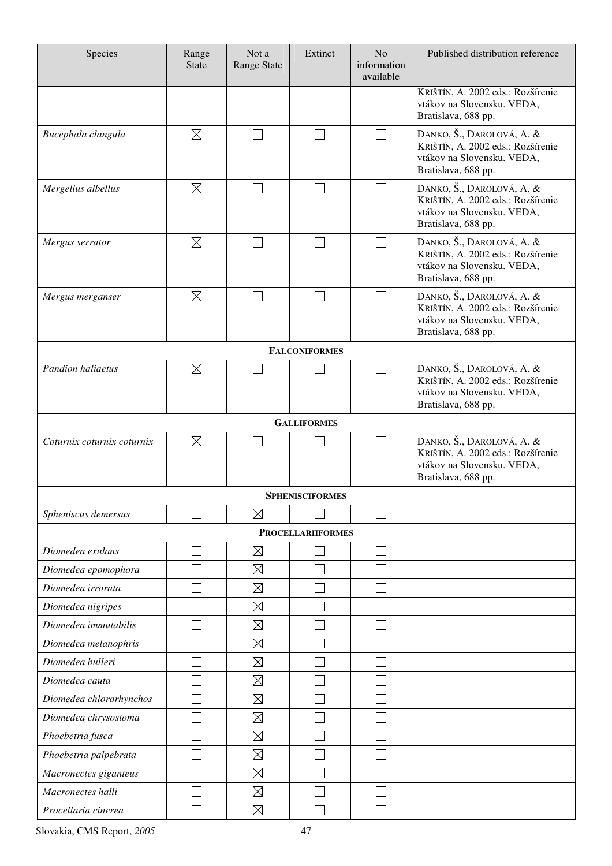| Species                    | Range<br><b>State</b> | Not a<br><b>Range State</b> | Extinct                  | N <sub>o</sub><br>information<br>available | Published distribution reference                                                                                    |
|----------------------------|-----------------------|-----------------------------|--------------------------|--------------------------------------------|---------------------------------------------------------------------------------------------------------------------|
|                            |                       |                             |                          |                                            | KRIŠTÍN, A. 2002 eds.: Rozšírenie<br>vtákov na Slovensku. VEDA,<br>Bratislava, 688 pp.                              |
| Bucephala clangula         | $\boxtimes$           |                             |                          | $\sim$                                     | DANKO, Š., DAROLOVÁ, A. &<br>KRIŠTÍN, A. 2002 eds.: Rozšírenie<br>vtákov na Slovensku. VEDA,<br>Bratislava, 688 pp. |
| Mergellus albellus         | $\boxtimes$           |                             |                          |                                            | DANKO, Š., DAROLOVÁ, A. &<br>KRIŠTÍN, A. 2002 eds.: Rozšírenie<br>vtákov na Slovensku. VEDA,<br>Bratislava, 688 pp. |
| Mergus serrator            | $\boxtimes$           |                             |                          | $\mathbf{I}$                               | DANKO, Š., DAROLOVÁ, A. &<br>KRIŠTÍN, A. 2002 eds.: Rozšírenie<br>vtákov na Slovensku. VEDA,<br>Bratislava, 688 pp. |
| Mergus merganser           | $\boxtimes$           |                             |                          |                                            | DANKO, Š., DAROLOVÁ, A. &<br>KRIŠTÍN, A. 2002 eds.: Rozšírenie<br>vtákov na Slovensku. VEDA,<br>Bratislava, 688 pp. |
|                            |                       |                             | <b>FALCONIFORMES</b>     |                                            |                                                                                                                     |
| <b>Pandion haliaetus</b>   | $\boxtimes$           |                             |                          |                                            | DANKO, Š., DAROLOVÁ, A. &<br>KRIŠTÍN, A. 2002 eds.: Rozšírenie<br>vtákov na Slovensku. VEDA,<br>Bratislava, 688 pp. |
|                            |                       |                             | <b>GALLIFORMES</b>       |                                            |                                                                                                                     |
| Coturnix coturnix coturnix | $\boxtimes$           |                             |                          | <b>The State</b>                           | DANKO, Š., DAROLOVÁ, A. &<br>KRIŠTÍN, A. 2002 eds.: Rozšírenie<br>vtákov na Slovensku. VEDA,<br>Bratislava, 688 pp. |
|                            |                       |                             | <b>SPHENISCIFORMES</b>   |                                            |                                                                                                                     |
| Spheniscus demersus        |                       | $\boxtimes$                 |                          |                                            |                                                                                                                     |
|                            |                       |                             | <b>PROCELLARIIFORMES</b> |                                            |                                                                                                                     |
| Diomedea exulans           |                       | $\boxtimes$                 |                          |                                            |                                                                                                                     |
| Diomedea epomophora        |                       | $\boxtimes$                 |                          |                                            |                                                                                                                     |
| Diomedea irrorata          |                       | $\boxtimes$                 |                          |                                            |                                                                                                                     |
| Diomedea nigripes          |                       | $\boxtimes$                 |                          |                                            |                                                                                                                     |
| Diomedea immutabilis       |                       | $\boxtimes$                 |                          |                                            |                                                                                                                     |
| Diomedea melanophris       |                       | $\boxtimes$                 |                          |                                            |                                                                                                                     |
| Diomedea bulleri           |                       | $\boxtimes$                 |                          |                                            |                                                                                                                     |
| Diomedea cauta             |                       | $\boxtimes$                 |                          |                                            |                                                                                                                     |
| Diomedea chlororhynchos    |                       | $\boxtimes$                 |                          |                                            |                                                                                                                     |
| Diomedea chrysostoma       |                       | $\boxtimes$                 |                          |                                            |                                                                                                                     |
| Phoebetria fusca           |                       | $\boxtimes$                 |                          |                                            |                                                                                                                     |
| Phoebetria palpebrata      |                       | $\boxtimes$                 |                          |                                            |                                                                                                                     |
| Macronectes giganteus      |                       | $\boxtimes$                 |                          |                                            |                                                                                                                     |
| Macronectes halli          |                       | $\boxtimes$                 |                          |                                            |                                                                                                                     |
| Procellaria cinerea        |                       | $\boxtimes$                 |                          |                                            |                                                                                                                     |

Slovakia, CMS Report, *2005* 47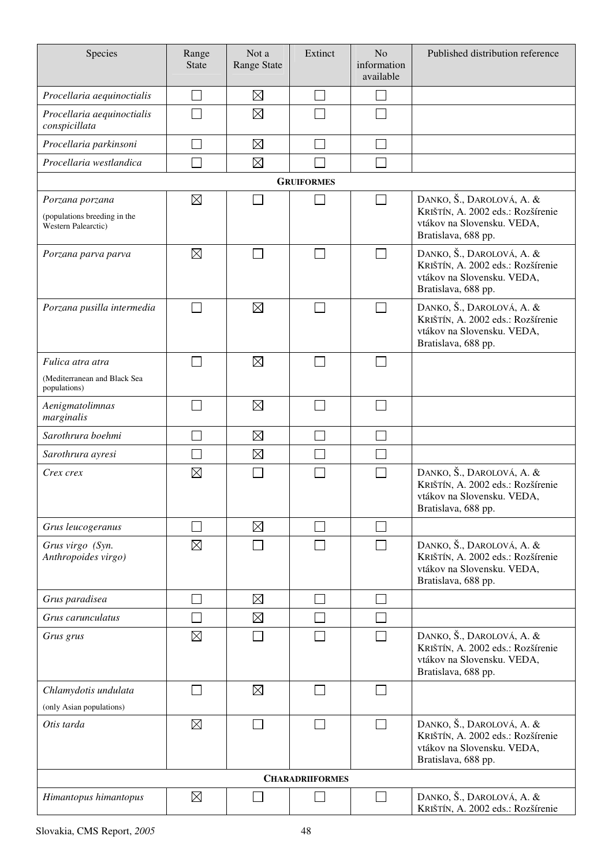| Species                                                                | Range<br><b>State</b> | Not a<br>Range State | Extinct                     | N <sub>o</sub><br>information<br>available | Published distribution reference                                                                                    |
|------------------------------------------------------------------------|-----------------------|----------------------|-----------------------------|--------------------------------------------|---------------------------------------------------------------------------------------------------------------------|
| Procellaria aequinoctialis                                             |                       | $\boxtimes$          | $\mathcal{L}_{\mathcal{A}}$ |                                            |                                                                                                                     |
| Procellaria aequinoctialis<br>conspicillata                            |                       | $\boxtimes$          |                             |                                            |                                                                                                                     |
| Procellaria parkinsoni                                                 |                       | $\boxtimes$          |                             |                                            |                                                                                                                     |
| Procellaria westlandica                                                |                       | $\boxtimes$          |                             |                                            |                                                                                                                     |
|                                                                        |                       |                      | <b>GRUIFORMES</b>           |                                            |                                                                                                                     |
| Porzana porzana<br>(populations breeding in the<br>Western Palearctic) | $\boxtimes$           |                      |                             |                                            | DANKO, Š., DAROLOVÁ, A. &<br>KRIŠTÍN, A. 2002 eds.: Rozšírenie<br>vtákov na Slovensku. VEDA,<br>Bratislava, 688 pp. |
| Porzana parva parva                                                    | $\boxtimes$           |                      |                             |                                            | DANKO, Š., DAROLOVÁ, A. &<br>KRIŠTÍN, A. 2002 eds.: Rozšírenie<br>vtákov na Slovensku. VEDA,<br>Bratislava, 688 pp. |
| Porzana pusilla intermedia                                             |                       | $\boxtimes$          |                             |                                            | DANKO, Š., DAROLOVÁ, A. &<br>KRIŠTÍN, A. 2002 eds.: Rozšírenie<br>vtákov na Slovensku. VEDA,<br>Bratislava, 688 pp. |
| Fulica atra atra                                                       |                       | $\boxtimes$          |                             |                                            |                                                                                                                     |
| (Mediterranean and Black Sea<br>populations)                           |                       |                      |                             |                                            |                                                                                                                     |
| Aenigmatolimnas<br>marginalis                                          |                       | $\boxtimes$          |                             |                                            |                                                                                                                     |
| Sarothrura boehmi                                                      |                       | $\boxtimes$          |                             |                                            |                                                                                                                     |
| Sarothrura ayresi                                                      |                       | $\boxtimes$          |                             |                                            |                                                                                                                     |
| Crex crex                                                              | $\boxtimes$           |                      |                             |                                            | DANKO, Š., DAROLOVÁ, A. &<br>KRIŠTÍN, A. 2002 eds.: Rozšírenie<br>vtákov na Slovensku. VEDA,<br>Bratislava, 688 pp. |
| Grus leucogeranus                                                      |                       | $\boxtimes$          |                             |                                            |                                                                                                                     |
| Grus virgo (Syn.<br>Anthropoides virgo)                                | $\boxtimes$           |                      |                             |                                            | DANKO, Š., DAROLOVÁ, A. &<br>KRIŠTÍN, A. 2002 eds.: Rozšírenie<br>vtákov na Slovensku. VEDA,<br>Bratislava, 688 pp. |
| Grus paradisea                                                         |                       | $\boxtimes$          |                             |                                            |                                                                                                                     |
| Grus carunculatus                                                      |                       | $\boxtimes$          |                             |                                            |                                                                                                                     |
| Grus grus                                                              | $\boxtimes$           |                      |                             |                                            | DANKO, Š., DAROLOVÁ, A. &<br>KRIŠTÍN, A. 2002 eds.: Rozšírenie<br>vtákov na Slovensku. VEDA,<br>Bratislava, 688 pp. |
| Chlamydotis undulata                                                   |                       | $\boxtimes$          |                             |                                            |                                                                                                                     |
| (only Asian populations)                                               |                       |                      |                             |                                            |                                                                                                                     |
| Otis tarda                                                             | $\boxtimes$           |                      |                             |                                            | DANKO, Š., DAROLOVÁ, A. &<br>KRIŠTÍN, A. 2002 eds.: Rozšírenie<br>vtákov na Slovensku. VEDA,<br>Bratislava, 688 pp. |
|                                                                        |                       |                      | <b>CHARADRIIFORMES</b>      |                                            |                                                                                                                     |
| Himantopus himantopus                                                  | $\boxtimes$           |                      |                             |                                            | DANKO, Š., DAROLOVÁ, A. &<br>KRIŠTÍN, A. 2002 eds.: Rozšírenie                                                      |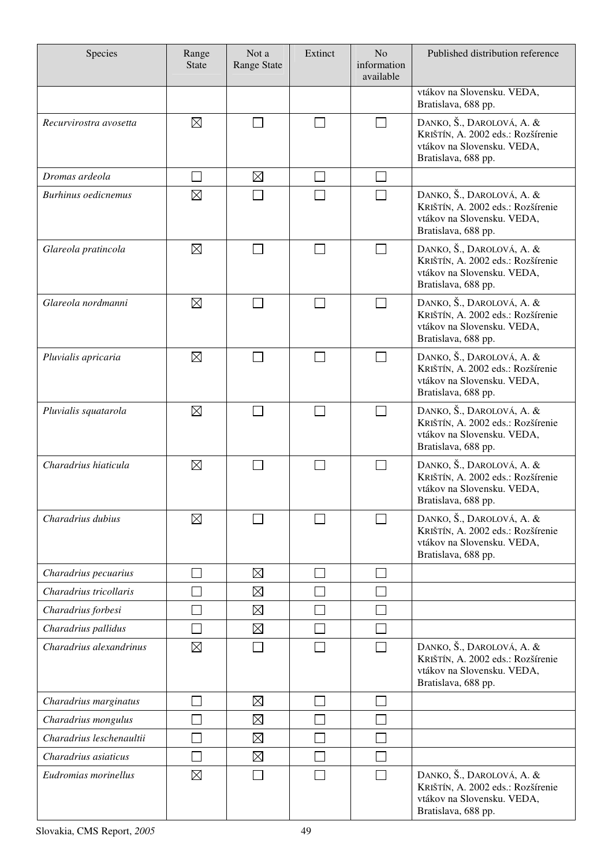| Species                    | Range<br><b>State</b>       | Not a<br><b>Range State</b> | Extinct | N <sub>o</sub><br>information<br>available | Published distribution reference                                                                                    |
|----------------------------|-----------------------------|-----------------------------|---------|--------------------------------------------|---------------------------------------------------------------------------------------------------------------------|
|                            |                             |                             |         |                                            | vtákov na Slovensku. VEDA,<br>Bratislava, 688 pp.                                                                   |
| Recurvirostra avosetta     | $\boxtimes$                 |                             |         | $\overline{\phantom{0}}$                   | DANKO, Š., DAROLOVÁ, A. &<br>KRIŠTÍN, A. 2002 eds.: Rozšírenie<br>vtákov na Slovensku. VEDA,<br>Bratislava, 688 pp. |
| Dromas ardeola             | $\mathcal{L}_{\mathcal{A}}$ | $\boxtimes$                 |         |                                            |                                                                                                                     |
| <b>Burhinus oedicnemus</b> | $\boxtimes$                 |                             |         |                                            | DANKO, Š., DAROLOVÁ, A. &<br>KRIŠTÍN, A. 2002 eds.: Rozšírenie<br>vtákov na Slovensku. VEDA,<br>Bratislava, 688 pp. |
| Glareola pratincola        | $\boxtimes$                 |                             |         |                                            | DANKO, Š., DAROLOVÁ, A. &<br>KRIŠTÍN, A. 2002 eds.: Rozšírenie<br>vtákov na Slovensku. VEDA,<br>Bratislava, 688 pp. |
| Glareola nordmanni         | $\boxtimes$                 |                             |         | ┓                                          | DANKO, Š., DAROLOVÁ, A. &<br>KRIŠTÍN, A. 2002 eds.: Rozšírenie<br>vtákov na Slovensku. VEDA,<br>Bratislava, 688 pp. |
| Pluvialis apricaria        | $\boxtimes$                 |                             |         |                                            | DANKO, Š., DAROLOVÁ, A. &<br>KRIŠTÍN, A. 2002 eds.: Rozšírenie<br>vtákov na Slovensku. VEDA,<br>Bratislava, 688 pp. |
| Pluvialis squatarola       | $\boxtimes$                 |                             |         |                                            | DANKO, Š., DAROLOVÁ, A. &<br>KRIŠTÍN, A. 2002 eds.: Rozšírenie<br>vtákov na Slovensku. VEDA,<br>Bratislava, 688 pp. |
| Charadrius hiaticula       | $\boxtimes$                 |                             |         |                                            | DANKO, Š., DAROLOVÁ, A. &<br>KRIŠTÍN, A. 2002 eds.: Rozšírenie<br>vtákov na Slovensku. VEDA,<br>Bratislava, 688 pp. |
| Charadrius dubius          | $\boxtimes$                 |                             |         |                                            | DANKO, Š., DAROLOVÁ, A. &<br>KRIŠTÍN, A. 2002 eds.: Rozšírenie<br>vtákov na Slovensku. VEDA,<br>Bratislava, 688 pp. |
| Charadrius pecuarius       |                             | $\boxtimes$                 |         |                                            |                                                                                                                     |
| Charadrius tricollaris     |                             | $\boxtimes$                 |         |                                            |                                                                                                                     |
| Charadrius forbesi         |                             | $\boxtimes$                 |         |                                            |                                                                                                                     |
| Charadrius pallidus        |                             | $\boxtimes$                 |         |                                            |                                                                                                                     |
| Charadrius alexandrinus    | $\boxtimes$                 |                             |         |                                            | DANKO, Š., DAROLOVÁ, A. &<br>KRIŠTÍN, A. 2002 eds.: Rozšírenie<br>vtákov na Slovensku. VEDA,<br>Bratislava, 688 pp. |
| Charadrius marginatus      |                             | $\boxtimes$                 |         |                                            |                                                                                                                     |
| Charadrius mongulus        |                             | $\boxtimes$                 |         |                                            |                                                                                                                     |
| Charadrius leschenaultii   |                             | $\boxtimes$                 |         |                                            |                                                                                                                     |
| Charadrius asiaticus       |                             | $\boxtimes$                 |         |                                            |                                                                                                                     |
| Eudromias morinellus       | $\boxtimes$                 |                             |         |                                            | DANKO, Š., DAROLOVÁ, A. &<br>KRIŠTÍN, A. 2002 eds.: Rozšírenie<br>vtákov na Slovensku. VEDA,<br>Bratislava, 688 pp. |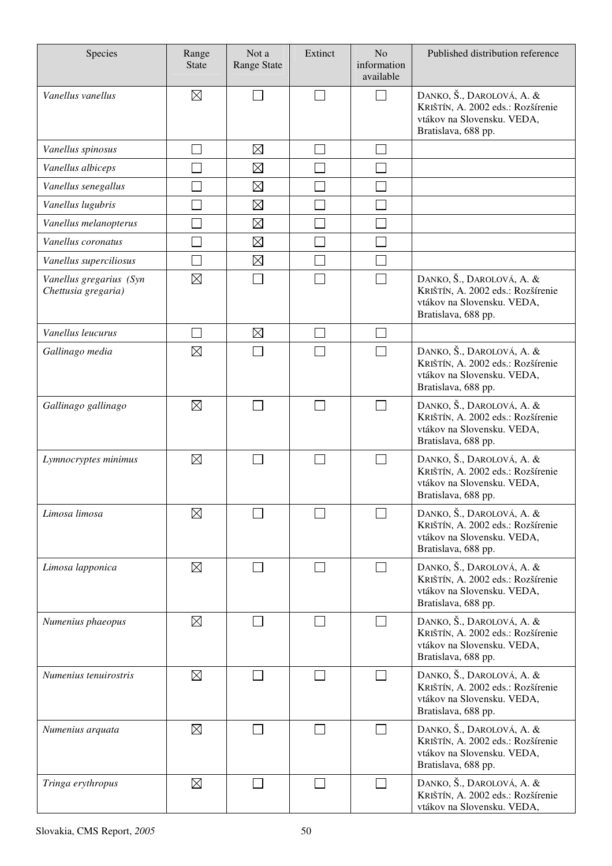| Species                                        | Range<br><b>State</b> | Not a<br><b>Range State</b> | Extinct | N <sub>o</sub><br>information<br>available | Published distribution reference                                                                                    |
|------------------------------------------------|-----------------------|-----------------------------|---------|--------------------------------------------|---------------------------------------------------------------------------------------------------------------------|
| Vanellus vanellus                              | $\boxtimes$           |                             |         | П                                          | DANKO, Š., DAROLOVÁ, A. &<br>KRIŠTÍN, A. 2002 eds.: Rozšírenie<br>vtákov na Slovensku. VEDA,<br>Bratislava, 688 pp. |
| Vanellus spinosus                              |                       | $\boxtimes$                 |         |                                            |                                                                                                                     |
| Vanellus albiceps                              |                       | $\boxtimes$                 |         |                                            |                                                                                                                     |
| Vanellus senegallus                            |                       | $\boxtimes$                 |         |                                            |                                                                                                                     |
| Vanellus lugubris                              |                       | $\boxtimes$                 |         |                                            |                                                                                                                     |
| Vanellus melanopterus                          |                       | $\boxtimes$                 |         |                                            |                                                                                                                     |
| Vanellus coronatus                             |                       | $\boxtimes$                 |         |                                            |                                                                                                                     |
| Vanellus superciliosus                         |                       | $\boxtimes$                 |         |                                            |                                                                                                                     |
| Vanellus gregarius (Syn<br>Chettusia gregaria) | $\boxtimes$           |                             |         | $\sim$                                     | DANKO, Š., DAROLOVÁ, A. &<br>KRIŠTÍN, A. 2002 eds.: Rozšírenie<br>vtákov na Slovensku. VEDA,<br>Bratislava, 688 pp. |
| Vanellus leucurus                              |                       | $\boxtimes$                 |         | $\mathbf{I}$                               |                                                                                                                     |
| Gallinago media                                | $\boxtimes$           |                             |         |                                            | DANKO, Š., DAROLOVÁ, A. &<br>KRIŠTÍN, A. 2002 eds.: Rozšírenie<br>vtákov na Slovensku. VEDA,<br>Bratislava, 688 pp. |
| Gallinago gallinago                            | $\boxtimes$           |                             |         | П                                          | DANKO, Š., DAROLOVÁ, A. &<br>KRIŠTÍN, A. 2002 eds.: Rozšírenie<br>vtákov na Slovensku. VEDA,<br>Bratislava, 688 pp. |
| Lymnocryptes minimus                           | $\boxtimes$           |                             |         | $\mathbf{I}$                               | DANKO, Š., DAROLOVÁ, A. &<br>KRIŠTÍN, A. 2002 eds.: Rozšírenie<br>vtákov na Slovensku. VEDA,<br>Bratislava, 688 pp. |
| Limosa limosa                                  | $\boxtimes$           |                             |         |                                            | DANKO, Š., DAROLOVÁ, A. &<br>KRIŠTÍN, A. 2002 eds.: Rozšírenie<br>vtákov na Slovensku. VEDA,<br>Bratislava, 688 pp. |
| Limosa lapponica                               | $\boxtimes$           |                             |         | П                                          | DANKO, Š., DAROLOVÁ, A. &<br>KRIŠTÍN, A. 2002 eds.: Rozšírenie<br>vtákov na Slovensku. VEDA,<br>Bratislava, 688 pp. |
| Numenius phaeopus                              | $\boxtimes$           |                             | $\sim$  | $\Box$                                     | DANKO, Š., DAROLOVÁ, A. &<br>KRIŠTÍN, A. 2002 eds.: Rozšírenie<br>vtákov na Slovensku. VEDA,<br>Bratislava, 688 pp. |
| Numenius tenuirostris                          | $\boxtimes$           |                             |         | $\Box$                                     | DANKO, Š., DAROLOVÁ, A. &<br>KRIŠTÍN, A. 2002 eds.: Rozšírenie<br>vtákov na Slovensku. VEDA,<br>Bratislava, 688 pp. |
| Numenius arquata                               | $\boxtimes$           |                             |         | $\Box$                                     | DANKO, Š., DAROLOVÁ, A. &<br>KRIŠTÍN, A. 2002 eds.: Rozšírenie<br>vtákov na Slovensku. VEDA,<br>Bratislava, 688 pp. |
| Tringa erythropus                              | $\boxtimes$           |                             |         | $\Box$                                     | DANKO, Š., DAROLOVÁ, A. &<br>KRIŠTÍN, A. 2002 eds.: Rozšírenie<br>vtákov na Slovensku. VEDA,                        |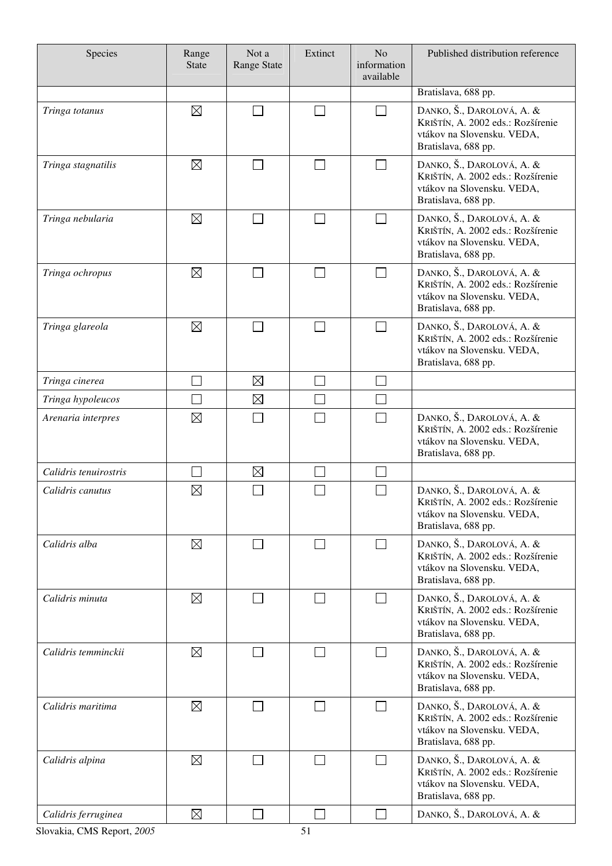| Species               | Range<br><b>State</b> | Not a<br><b>Range State</b> | Extinct | N <sub>o</sub><br>information<br>available | Published distribution reference                                                                                    |
|-----------------------|-----------------------|-----------------------------|---------|--------------------------------------------|---------------------------------------------------------------------------------------------------------------------|
|                       |                       |                             |         |                                            | Bratislava, 688 pp.                                                                                                 |
| Tringa totanus        | $\boxtimes$           |                             |         | П                                          | DANKO, Š., DAROLOVÁ, A. &<br>KRIŠTÍN, A. 2002 eds.: Rozšírenie<br>vtákov na Slovensku. VEDA,<br>Bratislava, 688 pp. |
| Tringa stagnatilis    | $\boxtimes$           |                             |         |                                            | DANKO, Š., DAROLOVÁ, A. &<br>KRIŠTÍN, A. 2002 eds.: Rozšírenie<br>vtákov na Slovensku. VEDA,<br>Bratislava, 688 pp. |
| Tringa nebularia      | $\boxtimes$           |                             | $\sim$  | $\Box$                                     | DANKO, Š., DAROLOVÁ, A. &<br>KRIŠTÍN, A. 2002 eds.: Rozšírenie<br>vtákov na Slovensku. VEDA,<br>Bratislava, 688 pp. |
| Tringa ochropus       | $\boxtimes$           |                             |         | П                                          | DANKO, Š., DAROLOVÁ, A. &<br>KRIŠTÍN, A. 2002 eds.: Rozšírenie<br>vtákov na Slovensku. VEDA,<br>Bratislava, 688 pp. |
| Tringa glareola       | $\boxtimes$           |                             |         | $\Box$                                     | DANKO, Š., DAROLOVÁ, A. &<br>KRIŠTÍN, A. 2002 eds.: Rozšírenie<br>vtákov na Slovensku. VEDA,<br>Bratislava, 688 pp. |
| Tringa cinerea        |                       | $\boxtimes$                 | $\sim$  | $\mathbf{I}$                               |                                                                                                                     |
| Tringa hypoleucos     |                       | $\boxtimes$                 | ×.      |                                            |                                                                                                                     |
| Arenaria interpres    | $\boxtimes$           |                             |         | $\mathbf{I}$                               | DANKO, Š., DAROLOVÁ, A. &<br>KRIŠTÍN, A. 2002 eds.: Rozšírenie<br>vtákov na Slovensku. VEDA,<br>Bratislava, 688 pp. |
| Calidris tenuirostris |                       | $\boxtimes$                 |         |                                            |                                                                                                                     |
| Calidris canutus      | $\boxtimes$           |                             |         |                                            | DANKO, Š., DAROLOVÁ, A. &<br>KRIŠTÍN, A. 2002 eds.: Rozšírenie<br>vtákov na Slovensku. VEDA,<br>Bratislava, 688 pp. |
| Calidris alba         | $\boxtimes$           |                             |         | $\Box$                                     | DANKO, Š., DAROLOVÁ, A. &<br>KRIŠTÍN, A. 2002 eds.: Rozšírenie<br>vtákov na Slovensku. VEDA,<br>Bratislava, 688 pp. |
| Calidris minuta       | $\boxtimes$           |                             | $\sim$  | П                                          | DANKO, Š., DAROLOVÁ, A. &<br>KRIŠTÍN, A. 2002 eds.: Rozšírenie<br>vtákov na Slovensku. VEDA,<br>Bratislava, 688 pp. |
| Calidris temminckii   | $\boxtimes$           |                             |         | $\Box$                                     | DANKO, Š., DAROLOVÁ, A. &<br>KRIŠTÍN, A. 2002 eds.: Rozšírenie<br>vtákov na Slovensku. VEDA,<br>Bratislava, 688 pp. |
| Calidris maritima     | $\boxtimes$           |                             | l a     | $\Box$                                     | DANKO, Š., DAROLOVÁ, A. &<br>KRIŠTÍN, A. 2002 eds.: Rozšírenie<br>vtákov na Slovensku. VEDA,<br>Bratislava, 688 pp. |
| Calidris alpina       | $\boxtimes$           |                             |         | П                                          | DANKO, Š., DAROLOVÁ, A. &<br>KRIŠTÍN, A. 2002 eds.: Rozšírenie<br>vtákov na Slovensku. VEDA,<br>Bratislava, 688 pp. |
| Calidris ferruginea   | $\boxtimes$           |                             |         | $\Box$                                     | DANKO, Š., DAROLOVÁ, A. &                                                                                           |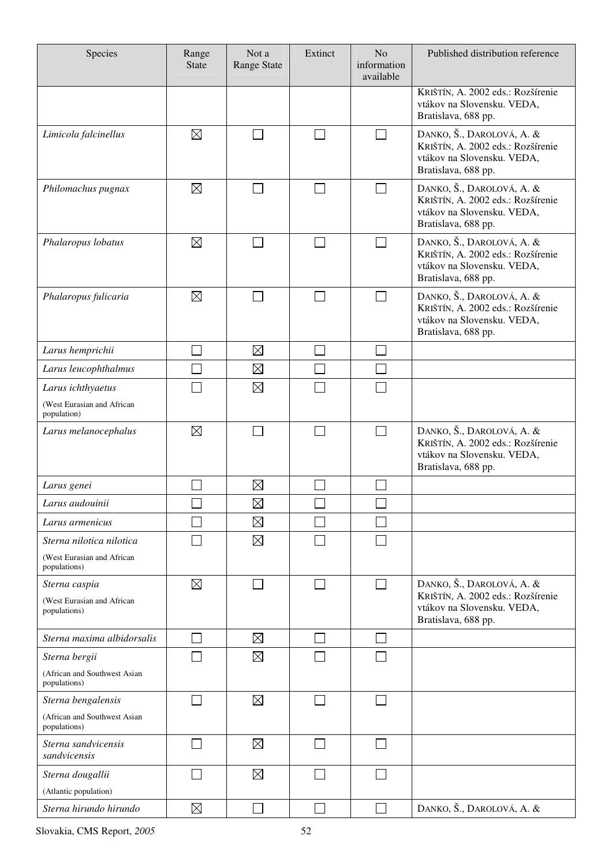| Species                                      | Range<br><b>State</b> | Not a<br>Range State | Extinct | N <sub>o</sub><br>information<br>available | Published distribution reference                                                                                    |
|----------------------------------------------|-----------------------|----------------------|---------|--------------------------------------------|---------------------------------------------------------------------------------------------------------------------|
|                                              |                       |                      |         |                                            | KRIŠTÍN, A. 2002 eds.: Rozšírenie<br>vtákov na Slovensku. VEDA,<br>Bratislava, 688 pp.                              |
| Limicola falcinellus                         | $\boxtimes$           |                      |         | $\sim$                                     | DANKO, Š., DAROLOVÁ, A. &<br>KRIŠTÍN, A. 2002 eds.: Rozšírenie<br>vtákov na Slovensku. VEDA,<br>Bratislava, 688 pp. |
| Philomachus pugnax                           | $\boxtimes$           |                      |         | $\sim$                                     | DANKO, Š., DAROLOVÁ, A. &<br>KRIŠTÍN, A. 2002 eds.: Rozšírenie<br>vtákov na Slovensku. VEDA,<br>Bratislava, 688 pp. |
| Phalaropus lobatus                           | $\boxtimes$           |                      |         | $\overline{\phantom{a}}$                   | DANKO, Š., DAROLOVÁ, A. &<br>KRIŠTÍN, A. 2002 eds.: Rozšírenie<br>vtákov na Slovensku. VEDA,<br>Bratislava, 688 pp. |
| Phalaropus fulicaria                         | $\boxtimes$           |                      |         |                                            | DANKO, Š., DAROLOVÁ, A. &<br>KRIŠTÍN, A. 2002 eds.: Rozšírenie<br>vtákov na Slovensku. VEDA,<br>Bratislava, 688 pp. |
| Larus hemprichii                             |                       | $\boxtimes$          |         |                                            |                                                                                                                     |
| Larus leucophthalmus                         |                       | $\boxtimes$          |         |                                            |                                                                                                                     |
| Larus ichthyaetus                            |                       | $\boxtimes$          |         |                                            |                                                                                                                     |
| (West Eurasian and African<br>population)    |                       |                      |         |                                            |                                                                                                                     |
| Larus melanocephalus                         | $\boxtimes$           |                      |         |                                            | DANKO, Š., DAROLOVÁ, A. &<br>KRIŠTÍN, A. 2002 eds.: Rozšírenie<br>vtákov na Slovensku. VEDA,<br>Bratislava, 688 pp. |
| Larus genei                                  |                       | $\boxtimes$          |         |                                            |                                                                                                                     |
| Larus audouinii                              | ى                     | $\boxtimes$          | $\Box$  | $\Box$                                     |                                                                                                                     |
| Larus armenicus                              |                       | $\boxtimes$          |         |                                            |                                                                                                                     |
| Sterna nilotica nilotica                     |                       | $\boxtimes$          |         |                                            |                                                                                                                     |
| (West Eurasian and African<br>populations)   |                       |                      |         |                                            |                                                                                                                     |
| Sterna caspia                                | $\boxtimes$           | $\sim$               | $\sim$  | $\Box$                                     | DANKO, Š., DAROLOVÁ, A. &                                                                                           |
| (West Eurasian and African<br>populations)   |                       |                      |         |                                            | KRIŠTÍN, A. 2002 eds.: Rozšírenie<br>vtákov na Slovensku. VEDA,<br>Bratislava, 688 pp.                              |
| Sterna maxima albidorsalis                   |                       | $\boxtimes$          |         |                                            |                                                                                                                     |
| Sterna bergii                                |                       | $\boxtimes$          |         |                                            |                                                                                                                     |
| (African and Southwest Asian<br>populations) |                       |                      |         |                                            |                                                                                                                     |
| Sterna bengalensis                           |                       | $\boxtimes$          |         |                                            |                                                                                                                     |
| (African and Southwest Asian<br>populations) |                       |                      |         |                                            |                                                                                                                     |
| Sterna sandvicensis<br>sandvicensis          |                       | $\boxtimes$          |         | $\mathbb{R}^n$                             |                                                                                                                     |
| Sterna dougallii                             |                       | $\boxtimes$          |         |                                            |                                                                                                                     |
| (Atlantic population)                        |                       |                      |         |                                            |                                                                                                                     |
| Sterna hirundo hirundo                       | $\boxtimes$           |                      |         |                                            | DANKO, Š., DAROLOVÁ, A. &                                                                                           |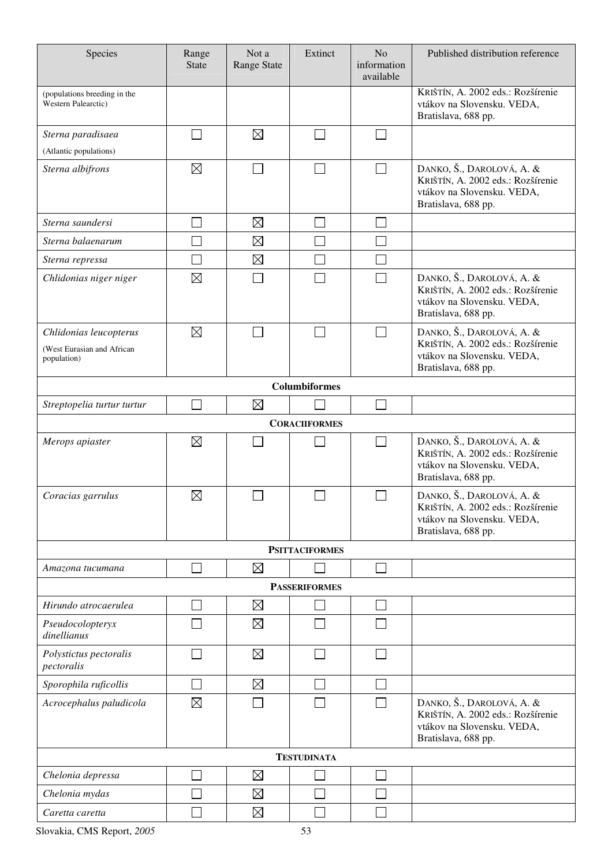| Species                                                             | Range<br><b>State</b> | Not a<br><b>Range State</b> | Extinct               | N <sub>o</sub><br>information<br>available | Published distribution reference                                                                                    |  |  |
|---------------------------------------------------------------------|-----------------------|-----------------------------|-----------------------|--------------------------------------------|---------------------------------------------------------------------------------------------------------------------|--|--|
| (populations breeding in the<br>Western Palearctic)                 |                       |                             |                       |                                            | KRIŠTÍN, A. 2002 eds.: Rozšírenie<br>vtákov na Slovensku. VEDA,<br>Bratislava, 688 pp.                              |  |  |
| Sterna paradisaea                                                   |                       | $\boxtimes$                 |                       |                                            |                                                                                                                     |  |  |
| (Atlantic populations)                                              |                       |                             |                       |                                            |                                                                                                                     |  |  |
| Sterna albifrons                                                    | $\boxtimes$           |                             | $\sim$                | $\sim$                                     | DANKO, Š., DAROLOVÁ, A. &<br>KRIŠTÍN, A. 2002 eds.: Rozšírenie<br>vtákov na Slovensku. VEDA,<br>Bratislava, 688 pp. |  |  |
| Sterna saundersi                                                    |                       | $\boxtimes$                 |                       |                                            |                                                                                                                     |  |  |
| Sterna balaenarum                                                   |                       | $\boxtimes$                 |                       |                                            |                                                                                                                     |  |  |
| Sterna repressa                                                     |                       | $\boxtimes$                 |                       |                                            |                                                                                                                     |  |  |
| Chlidonias niger niger                                              | $\boxtimes$           |                             |                       |                                            | DANKO, Š., DAROLOVÁ, A. &<br>KRIŠTÍN, A. 2002 eds.: Rozšírenie<br>vtákov na Slovensku. VEDA,<br>Bratislava, 688 pp. |  |  |
| Chlidonias leucopterus<br>(West Eurasian and African<br>population) | $\boxtimes$           |                             |                       |                                            | DANKO, Š., DAROLOVÁ, A. &<br>KRIŠTÍN, A. 2002 eds.: Rozšírenie<br>vtákov na Slovensku. VEDA,<br>Bratislava, 688 pp. |  |  |
| Columbiformes                                                       |                       |                             |                       |                                            |                                                                                                                     |  |  |
| Streptopelia turtur turtur                                          |                       | $\boxtimes$                 |                       |                                            |                                                                                                                     |  |  |
|                                                                     |                       |                             | <b>CORACIIFORMES</b>  |                                            |                                                                                                                     |  |  |
| Merops apiaster                                                     | $\boxtimes$           |                             |                       | $\sim$                                     | DANKO, Š., DAROLOVÁ, A. &<br>KRIŠTÍN, A. 2002 eds.: Rozšírenie<br>vtákov na Slovensku. VEDA,<br>Bratislava, 688 pp. |  |  |
| Coracias garrulus                                                   | $\boxtimes$           |                             |                       |                                            | DANKO, Š., DAROLOVÁ, A. &<br>KRIŠTÍN, A. 2002 eds.: Rozšírenie<br>vtákov na Slovensku. VEDA,<br>Bratislava, 688 pp. |  |  |
|                                                                     |                       |                             | <b>PSITTACIFORMES</b> |                                            |                                                                                                                     |  |  |
| Amazona tucumana                                                    |                       | $\boxtimes$                 |                       | $\sim$                                     |                                                                                                                     |  |  |
|                                                                     |                       |                             | <b>PASSERIFORMES</b>  |                                            |                                                                                                                     |  |  |
| Hirundo atrocaerulea                                                |                       | $\boxtimes$                 |                       |                                            |                                                                                                                     |  |  |
| Pseudocolopteryx<br>dinellianus                                     |                       | $\boxtimes$                 |                       |                                            |                                                                                                                     |  |  |
| Polystictus pectoralis<br>pectoralis                                |                       | $\boxtimes$                 |                       |                                            |                                                                                                                     |  |  |
| Sporophila ruficollis                                               |                       | $\boxtimes$                 |                       |                                            |                                                                                                                     |  |  |
| Acrocephalus paludicola                                             | $\boxtimes$           |                             |                       |                                            | DANKO, Š., DAROLOVÁ, A. &<br>KRIŠTÍN, A. 2002 eds.: Rozšírenie<br>vtákov na Slovensku. VEDA,<br>Bratislava, 688 pp. |  |  |
|                                                                     |                       |                             | <b>TESTUDINATA</b>    |                                            |                                                                                                                     |  |  |
| Chelonia depressa                                                   |                       | $\boxtimes$                 |                       |                                            |                                                                                                                     |  |  |
| Chelonia mydas                                                      |                       | $\boxtimes$                 |                       |                                            |                                                                                                                     |  |  |
| Caretta caretta                                                     |                       | $\boxtimes$                 |                       |                                            |                                                                                                                     |  |  |

Slovakia, CMS Report, *2005* 53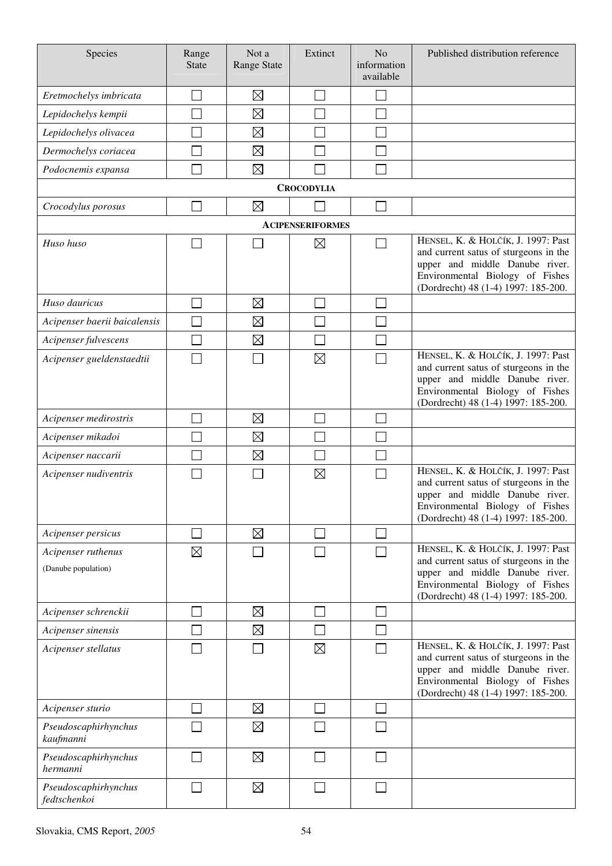| Species                                   | Range<br><b>State</b>       | Not a<br>Range State | Extinct                 | N <sub>o</sub><br>information<br>available | Published distribution reference                                                                                                                                                        |
|-------------------------------------------|-----------------------------|----------------------|-------------------------|--------------------------------------------|-----------------------------------------------------------------------------------------------------------------------------------------------------------------------------------------|
| Eretmochelys imbricata                    |                             | $\boxtimes$          |                         |                                            |                                                                                                                                                                                         |
| Lepidochelys kempii                       |                             | $\boxtimes$          |                         |                                            |                                                                                                                                                                                         |
| Lepidochelys olivacea                     |                             | $\boxtimes$          |                         |                                            |                                                                                                                                                                                         |
| Dermochelys coriacea                      |                             | $\boxtimes$          |                         |                                            |                                                                                                                                                                                         |
| Podocnemis expansa                        |                             | $\boxtimes$          |                         |                                            |                                                                                                                                                                                         |
|                                           |                             |                      | <b>CROCODYLIA</b>       |                                            |                                                                                                                                                                                         |
| Crocodylus porosus                        |                             | $\boxtimes$          |                         |                                            |                                                                                                                                                                                         |
|                                           |                             |                      | <b>ACIPENSERIFORMES</b> |                                            |                                                                                                                                                                                         |
| Huso huso                                 |                             |                      | $\boxtimes$             | $\sim$                                     | HENSEL, K. & HOLČÍK, J. 1997: Past<br>and current satus of sturgeons in the<br>upper and middle Danube river.<br>Environmental Biology of Fishes<br>(Dordrecht) 48 (1-4) 1997: 185-200. |
| Huso dauricus                             |                             | $\boxtimes$          |                         |                                            |                                                                                                                                                                                         |
| Acipenser baerii baicalensis              |                             | $\boxtimes$          |                         |                                            |                                                                                                                                                                                         |
| Acipenser fulvescens                      |                             | $\boxtimes$          |                         |                                            |                                                                                                                                                                                         |
| Acipenser gueldenstaedtii                 |                             |                      | $\boxtimes$             |                                            | HENSEL, K. & HOLČÍK, J. 1997: Past<br>and current satus of sturgeons in the<br>upper and middle Danube river.<br>Environmental Biology of Fishes<br>(Dordrecht) 48 (1-4) 1997: 185-200. |
| Acipenser medirostris                     |                             | $\boxtimes$          |                         |                                            |                                                                                                                                                                                         |
| Acipenser mikadoi                         |                             | $\boxtimes$          |                         |                                            |                                                                                                                                                                                         |
| Acipenser naccarii                        |                             | $\boxtimes$          |                         |                                            |                                                                                                                                                                                         |
| Acipenser nudiventris                     |                             |                      | $\boxtimes$             |                                            | HENSEL, K. & HOLČÍK, J. 1997: Past<br>and current satus of sturgeons in the<br>upper and middle Danube river.<br>Environmental Biology of Fishes<br>(Dordrecht) 48 (1-4) 1997: 185-200. |
| Acipenser persicus                        | $\mathcal{L}_{\mathcal{A}}$ | $\boxtimes$          |                         | $\mathcal{L}$                              |                                                                                                                                                                                         |
| Acipenser ruthenus<br>(Danube population) | $\boxtimes$                 |                      |                         |                                            | HENSEL, K. & HOLČÍK, J. 1997: Past<br>and current satus of sturgeons in the<br>upper and middle Danube river.<br>Environmental Biology of Fishes<br>(Dordrecht) 48 (1-4) 1997: 185-200. |
| Acipenser schrenckii                      |                             | $\boxtimes$          |                         |                                            |                                                                                                                                                                                         |
| Acipenser sinensis                        |                             | $\boxtimes$          |                         |                                            |                                                                                                                                                                                         |
| Acipenser stellatus                       |                             |                      | $\boxtimes$             |                                            | HENSEL, K. & HOLČÍK, J. 1997: Past<br>and current satus of sturgeons in the<br>upper and middle Danube river.<br>Environmental Biology of Fishes<br>(Dordrecht) 48 (1-4) 1997: 185-200. |
| Acipenser sturio                          |                             | $\boxtimes$          |                         |                                            |                                                                                                                                                                                         |
| Pseudoscaphirhynchus<br>kaufmanni         |                             | $\boxtimes$          |                         |                                            |                                                                                                                                                                                         |
| Pseudoscaphirhynchus<br>hermanni          |                             | $\boxtimes$          |                         |                                            |                                                                                                                                                                                         |
| Pseudoscaphirhynchus<br>fedtschenkoi      | $\Box$                      | $\boxtimes$          |                         |                                            |                                                                                                                                                                                         |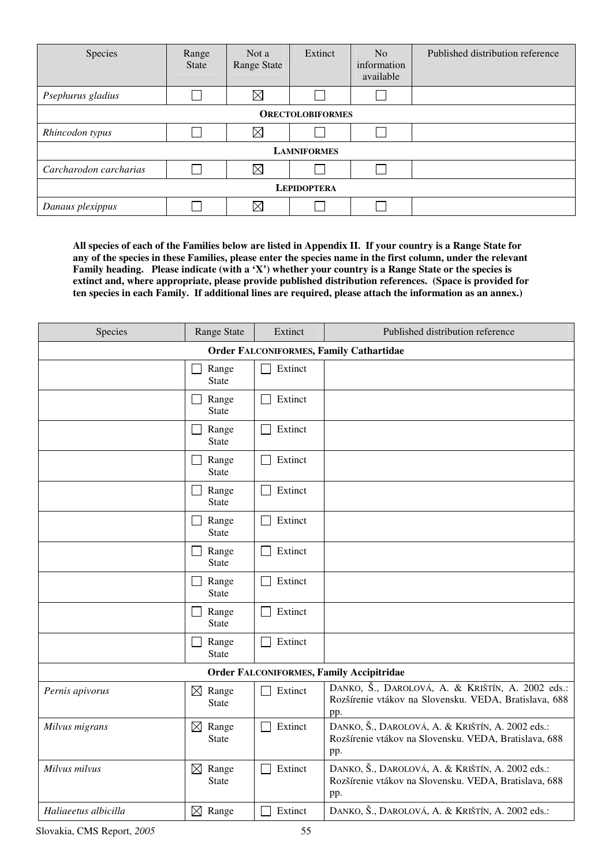| Species                 | Range<br><b>State</b> | Not a<br>Range State | Extinct | N <sub>o</sub><br>information<br>available | Published distribution reference |  |  |
|-------------------------|-----------------------|----------------------|---------|--------------------------------------------|----------------------------------|--|--|
| Psephurus gladius       |                       | $\boxtimes$          |         |                                            |                                  |  |  |
| <b>ORECTOLOBIFORMES</b> |                       |                      |         |                                            |                                  |  |  |
| Rhincodon typus         |                       | $\boxtimes$          |         |                                            |                                  |  |  |
| <b>LAMNIFORMES</b>      |                       |                      |         |                                            |                                  |  |  |
| Carcharodon carcharias  |                       | $\boxtimes$          |         |                                            |                                  |  |  |
| <b>LEPIDOPTERA</b>      |                       |                      |         |                                            |                                  |  |  |
| Danaus plexippus        |                       | $\boxtimes$          |         |                                            |                                  |  |  |

**All species of each of the Families below are listed in Appendix II. If your country is a Range State for any of the species in these Families, please enter the species name in the first column, under the relevant Family heading. Please indicate (with a 'X') whether your country is a Range State or the species is extinct and, where appropriate, please provide published distribution references. (Space is provided for ten species in each Family. If additional lines are required, please attach the information as an annex.)** 

| Species              | Range State                          | Extinct | Published distribution reference                                                                                 |
|----------------------|--------------------------------------|---------|------------------------------------------------------------------------------------------------------------------|
|                      |                                      |         | <b>Order FALCONIFORMES, Family Cathartidae</b>                                                                   |
|                      | Range<br><b>State</b>                | Extinct |                                                                                                                  |
|                      | Range<br><b>State</b>                | Extinct |                                                                                                                  |
|                      | Range<br><b>State</b>                | Extinct |                                                                                                                  |
|                      | Range<br><b>State</b>                | Extinct |                                                                                                                  |
|                      | Range<br><b>State</b>                | Extinct |                                                                                                                  |
|                      | Range<br><b>State</b>                | Extinct |                                                                                                                  |
|                      | Range<br><b>State</b>                | Extinct |                                                                                                                  |
|                      | Range<br><b>State</b>                | Extinct |                                                                                                                  |
|                      | Range<br><b>State</b>                | Extinct |                                                                                                                  |
|                      | Range<br><b>State</b>                | Extinct |                                                                                                                  |
|                      |                                      |         | <b>Order FALCONIFORMES, Family Accipitridae</b>                                                                  |
| Pernis apivorus      | $\boxtimes$<br>Range<br><b>State</b> | Extinct | DANKO, Š., DAROLOVÁ, A. & KRIŠTÍN, A. 2002 eds.:<br>Rozšírenie vtákov na Slovensku. VEDA, Bratislava, 688<br>pp. |
| Milvus migrans       | $\boxtimes$ Range<br><b>State</b>    | Extinct | DANKO, Š., DAROLOVÁ, A. & KRIŠTÍN, A. 2002 eds.:<br>Rozšírenie vtákov na Slovensku. VEDA, Bratislava, 688<br>pp. |
| Milvus milvus        | Range<br>$\boxtimes$<br><b>State</b> | Extinct | DANKO, Š., DAROLOVÁ, A. & KRIŠTÍN, A. 2002 eds.:<br>Rozšírenie vtákov na Slovensku. VEDA, Bratislava, 688<br>pp. |
| Haliaeetus albicilla | $\boxtimes$ Range                    | Extinct | DANKO, Š., DAROLOVÁ, A. & KRIŠTÍN, A. 2002 eds.:                                                                 |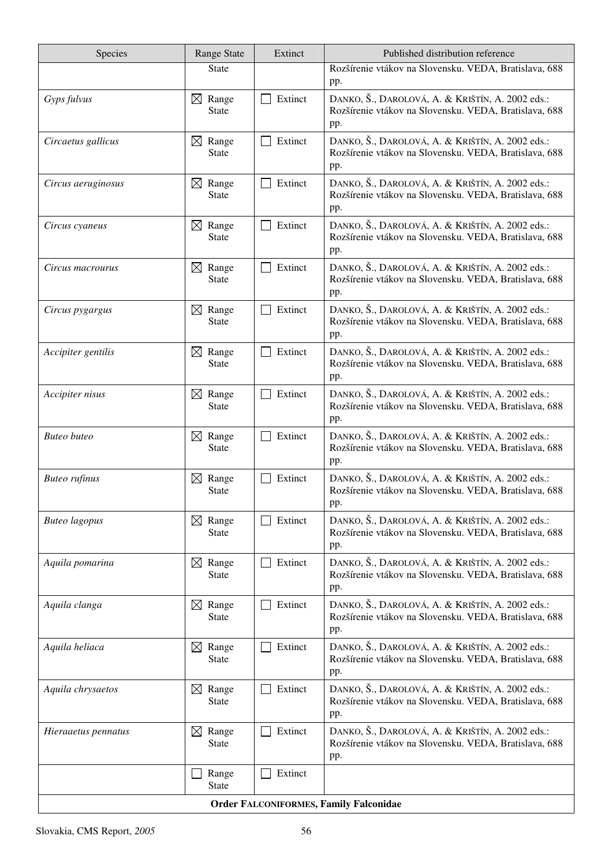| Species                                       | Range State                          | Extinct | Published distribution reference                                                                                 |  |  |
|-----------------------------------------------|--------------------------------------|---------|------------------------------------------------------------------------------------------------------------------|--|--|
|                                               | <b>State</b>                         |         | Rozšírenie vtákov na Slovensku. VEDA, Bratislava, 688<br>pp.                                                     |  |  |
| Gyps fulvus                                   | $\boxtimes$ Range<br><b>State</b>    | Extinct | DANKO, Š., DAROLOVÁ, A. & KRIŠTÍN, A. 2002 eds.:<br>Rozšírenie vtákov na Slovensku. VEDA, Bratislava, 688<br>pp. |  |  |
| Circaetus gallicus                            | $\boxtimes$ Range<br><b>State</b>    | Extinct | DANKO, Š., DAROLOVÁ, A. & KRIŠTÍN, A. 2002 eds.:<br>Rozšírenie vtákov na Slovensku. VEDA, Bratislava, 688<br>pp. |  |  |
| Circus aeruginosus                            | $\boxtimes$ Range<br><b>State</b>    | Extinct | DANKO, Š., DAROLOVÁ, A. & KRIŠTÍN, A. 2002 eds.:<br>Rozšírenie vtákov na Slovensku. VEDA, Bratislava, 688<br>pp. |  |  |
| Circus cyaneus                                | $\boxtimes$ Range<br><b>State</b>    | Extinct | DANKO, Š., DAROLOVÁ, A. & KRIŠTÍN, A. 2002 eds.:<br>Rozšírenie vtákov na Slovensku. VEDA, Bratislava, 688<br>pp. |  |  |
| Circus macrourus                              | Range<br>$\boxtimes$<br><b>State</b> | Extinct | DANKO, Š., DAROLOVÁ, A. & KRIŠTÍN, A. 2002 eds.:<br>Rozšírenie vtákov na Slovensku. VEDA, Bratislava, 688<br>pp. |  |  |
| Circus pygargus                               | $\boxtimes$ Range<br><b>State</b>    | Extinct | DANKO, Š., DAROLOVÁ, A. & KRIŠTÍN, A. 2002 eds.:<br>Rozšírenie vtákov na Slovensku. VEDA, Bratislava, 688<br>pp. |  |  |
| Accipiter gentilis                            | $\boxtimes$ Range<br><b>State</b>    | Extinct | DANKO, Š., DAROLOVÁ, A. & KRIŠTÍN, A. 2002 eds.:<br>Rozšírenie vtákov na Slovensku. VEDA, Bratislava, 688<br>pp. |  |  |
| Accipiter nisus                               | $\boxtimes$ Range<br><b>State</b>    | Extinct | DANKO, Š., DAROLOVÁ, A. & KRIŠTÍN, A. 2002 eds.:<br>Rozšírenie vtákov na Slovensku. VEDA, Bratislava, 688<br>pp. |  |  |
| <b>Buteo</b> buteo                            | $\boxtimes$ Range<br><b>State</b>    | Extinct | DANKO, Š., DAROLOVÁ, A. & KRIŠTÍN, A. 2002 eds.:<br>Rozšírenie vtákov na Slovensku. VEDA, Bratislava, 688<br>pp. |  |  |
| <b>Buteo</b> rufinus                          | $\boxtimes$ Range<br><b>State</b>    | Extinct | DANKO, Š., DAROLOVÁ, A. & KRIŠTÍN, A. 2002 eds.:<br>Rozšírenie vtákov na Slovensku. VEDA, Bratislava, 688<br>pp. |  |  |
| <b>Buteo</b> lagopus                          | Range<br>$\boxtimes$<br><b>State</b> | Extinct | DANKO, Š., DAROLOVÁ, A. & KRIŠTÍN, A. 2002 eds.:<br>Rozšírenie vtákov na Slovensku. VEDA, Bratislava, 688<br>pp. |  |  |
| Aquila pomarina                               | Range<br>$\boxtimes$<br><b>State</b> | Extinct | DANKO, Š., DAROLOVÁ, A. & KRIŠTÍN, A. 2002 eds.:<br>Rozšírenie vtákov na Slovensku. VEDA, Bratislava, 688<br>pp. |  |  |
| Aquila clanga                                 | $\boxtimes$ Range<br><b>State</b>    | Extinct | DANKO, Š., DAROLOVÁ, A. & KRIŠTÍN, A. 2002 eds.:<br>Rozšírenie vtákov na Slovensku. VEDA, Bratislava, 688<br>pp. |  |  |
| Aquila heliaca                                | $\boxtimes$ Range<br><b>State</b>    | Extinct | DANKO, Š., DAROLOVÁ, A. & KRIŠTÍN, A. 2002 eds.:<br>Rozšírenie vtákov na Slovensku. VEDA, Bratislava, 688<br>pp. |  |  |
| Aquila chrysaetos                             | $\boxtimes$ Range<br><b>State</b>    | Extinct | DANKO, Š., DAROLOVÁ, A. & KRIŠTÍN, A. 2002 eds.:<br>Rozšírenie vtákov na Slovensku. VEDA, Bratislava, 688<br>pp. |  |  |
| Hieraaetus pennatus                           | $\boxtimes$ Range<br><b>State</b>    | Extinct | DANKO, Š., DAROLOVÁ, A. & KRIŠTÍN, A. 2002 eds.:<br>Rozšírenie vtákov na Slovensku. VEDA, Bratislava, 688<br>pp. |  |  |
|                                               | Range<br><b>State</b>                | Extinct |                                                                                                                  |  |  |
| <b>Order FALCONIFORMES, Family Falconidae</b> |                                      |         |                                                                                                                  |  |  |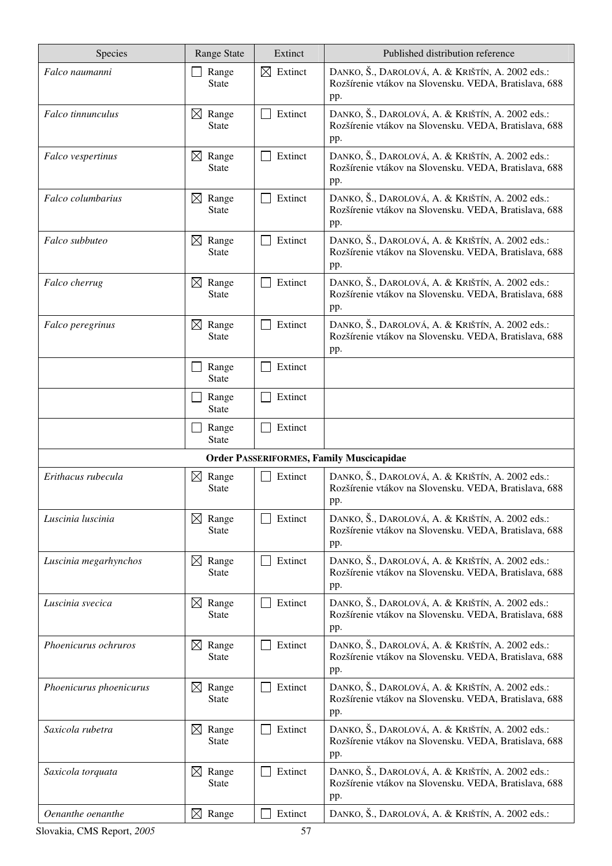| Species                 | <b>Range State</b>                   | Extinct                | Published distribution reference                                                                                 |
|-------------------------|--------------------------------------|------------------------|------------------------------------------------------------------------------------------------------------------|
| Falco naumanni          | Range<br><b>State</b>                | $\boxtimes$<br>Extinct | DANKO, Š., DAROLOVÁ, A. & KRIŠTÍN, A. 2002 eds.:<br>Rozšírenie vtákov na Slovensku. VEDA, Bratislava, 688<br>pp. |
| Falco tinnunculus       | $\boxtimes$ Range<br><b>State</b>    | Extinct                | DANKO, Š., DAROLOVÁ, A. & KRIŠTÍN, A. 2002 eds.:<br>Rozšírenie vtákov na Slovensku. VEDA, Bratislava, 688<br>pp. |
| Falco vespertinus       | Range<br>$\boxtimes$<br><b>State</b> | Extinct                | DANKO, Š., DAROLOVÁ, A. & KRIŠTÍN, A. 2002 eds.:<br>Rozšírenie vtákov na Slovensku. VEDA, Bratislava, 688<br>pp. |
| Falco columbarius       | $\boxtimes$<br>Range<br><b>State</b> | Extinct                | DANKO, Š., DAROLOVÁ, A. & KRIŠTÍN, A. 2002 eds.:<br>Rozšírenie vtákov na Slovensku. VEDA, Bratislava, 688<br>pp. |
| Falco subbuteo          | $\boxtimes$ Range<br><b>State</b>    | Extinct                | DANKO, Š., DAROLOVÁ, A. & KRIŠTÍN, A. 2002 eds.:<br>Rozšírenie vtákov na Slovensku. VEDA, Bratislava, 688<br>pp. |
| Falco cherrug           | $\boxtimes$ Range<br><b>State</b>    | Extinct                | DANKO, Š., DAROLOVÁ, A. & KRIŠTÍN, A. 2002 eds.:<br>Rozšírenie vtákov na Slovensku. VEDA, Bratislava, 688<br>pp. |
| Falco peregrinus        | $\boxtimes$ Range<br><b>State</b>    | Extinct                | DANKO, Š., DAROLOVÁ, A. & KRIŠTÍN, A. 2002 eds.:<br>Rozšírenie vtákov na Slovensku. VEDA, Bratislava, 688<br>pp. |
|                         | Range<br><b>State</b>                | Extinct                |                                                                                                                  |
|                         | Range<br><b>State</b>                | Extinct                |                                                                                                                  |
|                         | Range<br><b>State</b>                | Extinct                |                                                                                                                  |
|                         |                                      |                        | <b>Order PASSERIFORMES, Family Muscicapidae</b>                                                                  |
| Erithacus rubecula      | $\boxtimes$ Range<br><b>State</b>    | Extinct                | DANKO, Š., DAROLOVÁ, A. & KRIŠTÍN, A. 2002 eds.:<br>Rozšírenie vtákov na Slovensku. VEDA, Bratislava, 688<br>pp. |
| Luscinia luscinia       | $\boxtimes$ Range<br>State           | Extinct                | DANKO, Š., DAROLOVÁ, A. & KRIŠTÍN, A. 2002 eds.:<br>Rozšírenie vtákov na Slovensku. VEDA, Bratislava, 688<br>pp. |
| Luscinia megarhynchos   | $\boxtimes$ Range<br><b>State</b>    | Extinct                | DANKO, Š., DAROLOVÁ, A. & KRIŠTÍN, A. 2002 eds.:<br>Rozšírenie vtákov na Slovensku. VEDA, Bratislava, 688<br>pp. |
| Luscinia svecica        | Range<br>$\boxtimes$<br><b>State</b> | Extinct                | DANKO, Š., DAROLOVÁ, A. & KRIŠTÍN, A. 2002 eds.:<br>Rozšírenie vtákov na Slovensku. VEDA, Bratislava, 688<br>pp. |
| Phoenicurus ochruros    | Range<br>$\boxtimes$<br><b>State</b> | Extinct                | DANKO, Š., DAROLOVÁ, A. & KRIŠTÍN, A. 2002 eds.:<br>Rozšírenie vtákov na Slovensku. VEDA, Bratislava, 688<br>pp. |
| Phoenicurus phoenicurus | Range<br>$\boxtimes$<br><b>State</b> | Extinct                | DANKO, Š., DAROLOVÁ, A. & KRIŠTÍN, A. 2002 eds.:<br>Rozšírenie vtákov na Slovensku. VEDA, Bratislava, 688<br>pp. |
| Saxicola rubetra        | $\boxtimes$ Range<br><b>State</b>    | Extinct                | DANKO, Š., DAROLOVÁ, A. & KRIŠTÍN, A. 2002 eds.:<br>Rozšírenie vtákov na Slovensku. VEDA, Bratislava, 688<br>pp. |
| Saxicola torquata       | Range<br>$\boxtimes$<br>State        | Extinct                | DANKO, Š., DAROLOVÁ, A. & KRIŠTÍN, A. 2002 eds.:<br>Rozšírenie vtákov na Slovensku. VEDA, Bratislava, 688<br>pp. |
| Oenanthe oenanthe       | $\boxtimes$ Range                    | Extinct                | DANKO, Š., DAROLOVÁ, A. & KRIŠTÍN, A. 2002 eds.:                                                                 |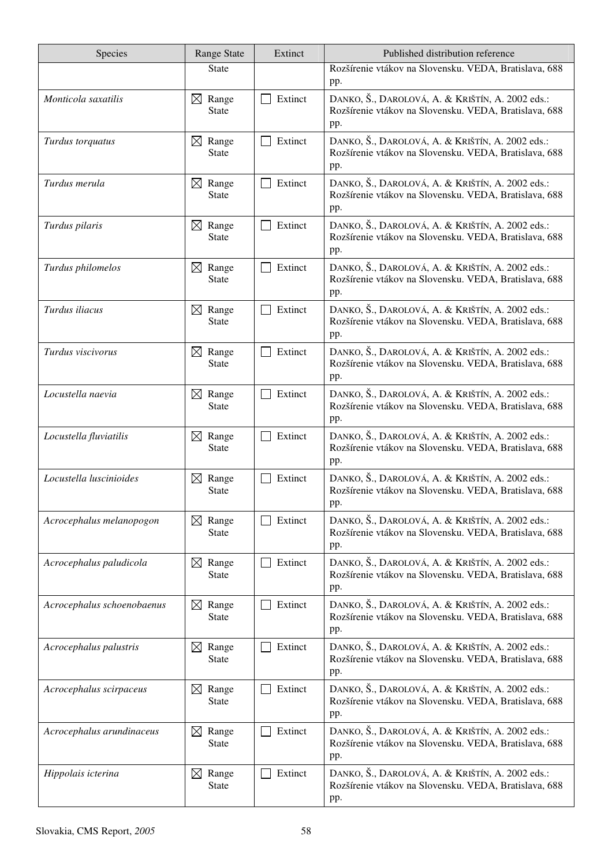| Species                    | <b>Range State</b>                   | Extinct | Published distribution reference                                                                                 |
|----------------------------|--------------------------------------|---------|------------------------------------------------------------------------------------------------------------------|
|                            | <b>State</b>                         |         | Rozšírenie vtákov na Slovensku. VEDA, Bratislava, 688<br>pp.                                                     |
| Monticola saxatilis        | $\boxtimes$ Range<br><b>State</b>    | Extinct | DANKO, Š., DAROLOVÁ, A. & KRIŠTÍN, A. 2002 eds.:<br>Rozšírenie vtákov na Slovensku. VEDA, Bratislava, 688<br>pp. |
| Turdus torquatus           | $\boxtimes$ Range<br><b>State</b>    | Extinct | DANKO, Š., DAROLOVÁ, A. & KRIŠTÍN, A. 2002 eds.:<br>Rozšírenie vtákov na Slovensku. VEDA, Bratislava, 688<br>pp. |
| Turdus merula              | Range<br>$\boxtimes$<br><b>State</b> | Extinct | DANKO, Š., DAROLOVÁ, A. & KRIŠTÍN, A. 2002 eds.:<br>Rozšírenie vtákov na Slovensku. VEDA, Bratislava, 688<br>pp. |
| Turdus pilaris             | $\boxtimes$ Range<br><b>State</b>    | Extinct | DANKO, Š., DAROLOVÁ, A. & KRIŠTÍN, A. 2002 eds.:<br>Rozšírenie vtákov na Slovensku. VEDA, Bratislava, 688<br>pp. |
| Turdus philomelos          | Range<br>$\boxtimes$<br>State        | Extinct | DANKO, Š., DAROLOVÁ, A. & KRIŠTÍN, A. 2002 eds.:<br>Rozšírenie vtákov na Slovensku. VEDA, Bratislava, 688<br>pp. |
| Turdus iliacus             | $\boxtimes$<br>Range<br><b>State</b> | Extinct | DANKO, Š., DAROLOVÁ, A. & KRIŠTÍN, A. 2002 eds.:<br>Rozšírenie vtákov na Slovensku. VEDA, Bratislava, 688<br>pp. |
| Turdus viscivorus          | $\boxtimes$ Range<br><b>State</b>    | Extinct | DANKO, Š., DAROLOVÁ, A. & KRIŠTÍN, A. 2002 eds.:<br>Rozšírenie vtákov na Slovensku. VEDA, Bratislava, 688<br>pp. |
| Locustella naevia          | $\boxtimes$ Range<br><b>State</b>    | Extinct | DANKO, Š., DAROLOVÁ, A. & KRIŠTÍN, A. 2002 eds.:<br>Rozšírenie vtákov na Slovensku. VEDA, Bratislava, 688<br>pp. |
| Locustella fluviatilis     | $\boxtimes$<br>Range<br><b>State</b> | Extinct | DANKO, Š., DAROLOVÁ, A. & KRIŠTÍN, A. 2002 eds.:<br>Rozšírenie vtákov na Slovensku. VEDA, Bratislava, 688<br>pp. |
| Locustella luscinioides    | $\boxtimes$ Range<br><b>State</b>    | Extinct | DANKO, Š., DAROLOVÁ, A. & KRIŠTÍN, A. 2002 eds.:<br>Rozšírenie vtákov na Slovensku. VEDA, Bratislava, 688<br>pp. |
| Acrocephalus melanopogon   | $\boxtimes$<br>Range<br><b>State</b> | Extinct | DANKO, Š., DAROLOVÁ, A. & KRIŠTÍN, A. 2002 eds.:<br>Rozšírenie vtákov na Slovensku. VEDA, Bratislava, 688<br>pp. |
| Acrocephalus paludicola    | $\boxtimes$<br>Range<br><b>State</b> | Extinct | DANKO, Š., DAROLOVÁ, A. & KRIŠTÍN, A. 2002 eds.:<br>Rozšírenie vtákov na Slovensku. VEDA, Bratislava, 688<br>pp. |
| Acrocephalus schoenobaenus | $\boxtimes$ Range<br><b>State</b>    | Extinct | DANKO, Š., DAROLOVÁ, A. & KRIŠTÍN, A. 2002 eds.:<br>Rozšírenie vtákov na Slovensku. VEDA, Bratislava, 688<br>pp. |
| Acrocephalus palustris     | Range<br>$\boxtimes$<br><b>State</b> | Extinct | DANKO, Š., DAROLOVÁ, A. & KRIŠTÍN, A. 2002 eds.:<br>Rozšírenie vtákov na Slovensku. VEDA, Bratislava, 688<br>pp. |
| Acrocephalus scirpaceus    | Range<br>$\boxtimes$<br><b>State</b> | Extinct | DANKO, Š., DAROLOVÁ, A. & KRIŠTÍN, A. 2002 eds.:<br>Rozšírenie vtákov na Slovensku. VEDA, Bratislava, 688<br>pp. |
| Acrocephalus arundinaceus  | Range<br>$\boxtimes$<br><b>State</b> | Extinct | DANKO, Š., DAROLOVÁ, A. & KRIŠTÍN, A. 2002 eds.:<br>Rozšírenie vtákov na Slovensku. VEDA, Bratislava, 688<br>pp. |
| Hippolais icterina         | Range<br>$\boxtimes$<br><b>State</b> | Extinct | DANKO, Š., DAROLOVÁ, A. & KRIŠTÍN, A. 2002 eds.:<br>Rozšírenie vtákov na Slovensku. VEDA, Bratislava, 688<br>pp. |